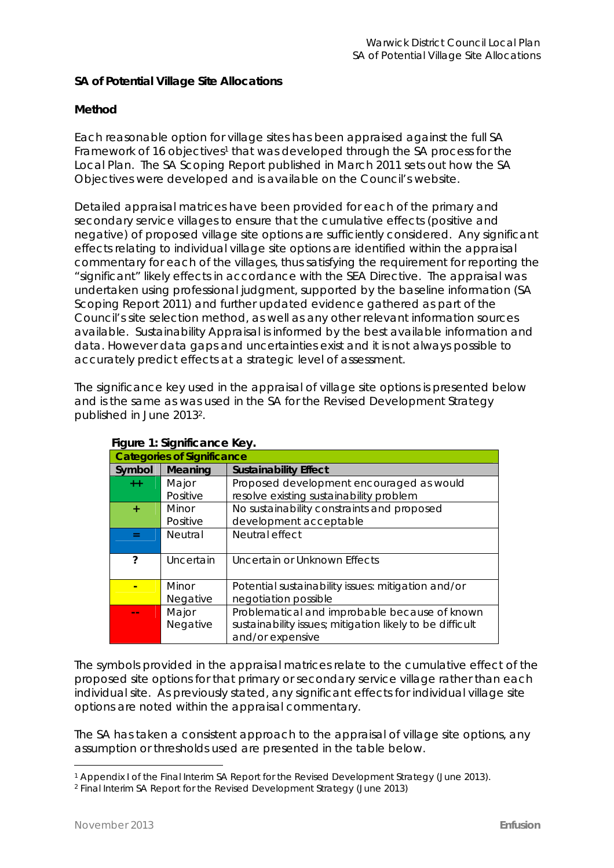# **SA of Potential Village Site Allocations**

# **Method**

Each reasonable option for village sites has been appraised against the full SA Framework of 16 objectives<sup>1</sup> that was developed through the SA process for the Local Plan. The SA Scoping Report published in March 2011 sets out how the SA Objectives were developed and is available on the Council's website.

Detailed appraisal matrices have been provided for each of the primary and secondary service villages to ensure that the cumulative effects (positive and negative) of proposed village site options are sufficiently considered. Any significant effects relating to individual village site options are identified within the appraisal commentary for each of the villages, thus satisfying the requirement for reporting the "*significant"* likely effects in accordance with the SEA Directive. The appraisal was undertaken using professional judgment, supported by the baseline information (SA Scoping Report 2011) and further updated evidence gathered as part of the Council's site selection method, as well as any other relevant information sources available. Sustainability Appraisal is informed by the best available information and data. However data gaps and uncertainties exist and it is not always possible to accurately predict effects at a strategic level of assessment.

The significance key used in the appraisal of village site options is presented below and is the same as was used in the SA for the Revised Development Strategy published in June 20132.

|        | <b>Categories of Significance</b> |                                                          |
|--------|-----------------------------------|----------------------------------------------------------|
| Symbol | Meaning                           | <b>Sustainability Effect</b>                             |
| $+ +$  | Major                             | Proposed development encouraged as would                 |
|        | Positive                          | resolve existing sustainability problem                  |
| $+$    | Minor                             | No sustainability constraints and proposed               |
|        | Positive                          | development acceptable                                   |
| =      | <b>Neutral</b>                    | Neutral effect                                           |
|        |                                   |                                                          |
| ?      | Uncertain                         | Uncertain or Unknown Effects                             |
|        |                                   |                                                          |
|        | Minor                             | Potential sustainability issues: mitigation and/or       |
|        | Negative                          | negotiation possible                                     |
|        | Major                             | Problematical and improbable because of known            |
|        | Negative                          | sustainability issues; mitigation likely to be difficult |
|        |                                   | and/or expensive                                         |

# **Figure 1: Significance Key.**

The symbols provided in the appraisal matrices relate to the cumulative effect of the proposed site options for that primary or secondary service village rather than each individual site. As previously stated, any significant effects for individual village site options are noted within the appraisal commentary.

The SA has taken a consistent approach to the appraisal of village site options, any assumption or thresholds used are presented in the table below.

 $\overline{a}$ 

<sup>&</sup>lt;sup>1</sup> Appendix I of the Final Interim SA Report for the Revised Development Strategy (June 2013). <sup>2</sup> Final Interim SA Report for the Revised Development Strategy (June 2013)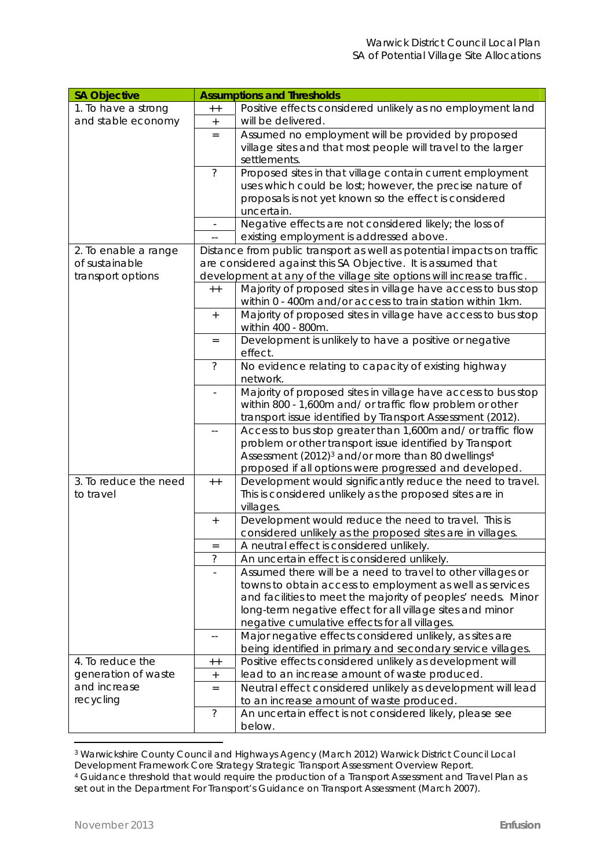| <b>SA Objective</b>   |                | <b>Assumptions and Thresholds</b>                                         |
|-----------------------|----------------|---------------------------------------------------------------------------|
| 1. To have a strong   | $+ +$          | Positive effects considered unlikely as no employment land                |
| and stable economy    | $^+$           | will be delivered.                                                        |
|                       | $\equiv$       | Assumed no employment will be provided by proposed                        |
|                       |                | village sites and that most people will travel to the larger              |
|                       |                | settlements.                                                              |
|                       | $\overline{?}$ | Proposed sites in that village contain current employment                 |
|                       |                | uses which could be lost; however, the precise nature of                  |
|                       |                | proposals is not yet known so the effect is considered                    |
|                       |                | uncertain.                                                                |
|                       |                | Negative effects are not considered likely; the loss of                   |
|                       |                | existing employment is addressed above.                                   |
| 2. To enable a range  |                | Distance from public transport as well as potential impacts on traffic    |
| of sustainable        |                | are considered against this SA Objective. It is assumed that              |
| transport options     |                | development at any of the village site options will increase traffic.     |
|                       | $+ +$          | Majority of proposed sites in village have access to bus stop             |
|                       |                | within 0 - 400m and/or access to train station within 1km.                |
|                       | $+$            | Majority of proposed sites in village have access to bus stop             |
|                       |                | within 400 - 800m.                                                        |
|                       | $=$            | Development is unlikely to have a positive or negative                    |
|                       |                | effect.                                                                   |
|                       | ?              | No evidence relating to capacity of existing highway                      |
|                       |                | network.                                                                  |
|                       |                | Majority of proposed sites in village have access to bus stop             |
|                       |                | within 800 - 1,600m and/ or traffic flow problem or other                 |
|                       |                | transport issue identified by Transport Assessment (2012).                |
|                       |                | Access to bus stop greater than 1,600m and/ or traffic flow               |
|                       |                | problem or other transport issue identified by Transport                  |
|                       |                | Assessment (2012) <sup>3</sup> and/or more than 80 dwellings <sup>4</sup> |
|                       |                | proposed if all options were progressed and developed.                    |
| 3. To reduce the need | $+ +$          | Development would significantly reduce the need to travel.                |
| to travel             |                | This is considered unlikely as the proposed sites are in                  |
|                       |                | villages.                                                                 |
|                       | $+$            | Development would reduce the need to travel. This is                      |
|                       |                | considered unlikely as the proposed sites are in villages.                |
|                       | $=$            | A neutral effect is considered unlikely.                                  |
|                       | ?              | An uncertain effect is considered unlikely.                               |
|                       |                | Assumed there will be a need to travel to other villages or               |
|                       |                | towns to obtain access to employment as well as services                  |
|                       |                | and facilities to meet the majority of peoples' needs. Minor              |
|                       |                | long-term negative effect for all village sites and minor                 |
|                       |                | negative cumulative effects for all villages.                             |
|                       | $- -$          | Major negative effects considered unlikely, as sites are                  |
|                       |                | being identified in primary and secondary service villages.               |
| 4. To reduce the      | $+ +$          | Positive effects considered unlikely as development will                  |
| generation of waste   | $^{+}$         | lead to an increase amount of waste produced.                             |
| and increase          | $=$            | Neutral effect considered unlikely as development will lead               |
| recycling             |                | to an increase amount of waste produced.                                  |
|                       | ?              | An uncertain effect is not considered likely, please see                  |
|                       |                | below.                                                                    |
|                       |                |                                                                           |

<sup>3</sup> Warwickshire County Council and Highways Agency (March 2012) Warwick District Council Local Development Framework Core Strategy Strategic Transport Assessment Overview Report. 4 Guidance threshold that would require the production of a Transport Assessment and Travel Plan as set out in the Department For Transport's Guidance on Transport Assessment (March 2007).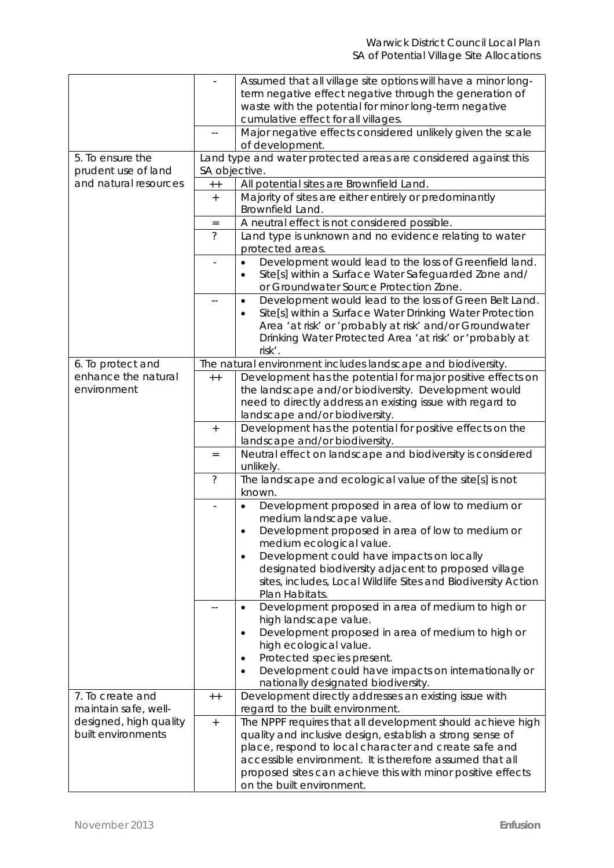|                        |                                               | Assumed that all village site options will have a minor long-              |
|------------------------|-----------------------------------------------|----------------------------------------------------------------------------|
|                        |                                               | term negative effect negative through the generation of                    |
|                        |                                               | waste with the potential for minor long-term negative                      |
|                        |                                               | cumulative effect for all villages.                                        |
|                        | $\mathord{\hspace{1pt}\text{--}\hspace{1pt}}$ | Major negative effects considered unlikely given the scale                 |
|                        |                                               | of development.                                                            |
| 5. To ensure the       |                                               | Land type and water protected areas are considered against this            |
| prudent use of land    | SA objective.                                 |                                                                            |
| and natural resources  | $\; + \; +$                                   | All potential sites are Brownfield Land.                                   |
|                        | $\ddot{}$                                     | Majority of sites are either entirely or predominantly                     |
|                        |                                               | Brownfield Land.                                                           |
|                        | $=$                                           | A neutral effect is not considered possible.                               |
|                        | $\overline{?}$                                | Land type is unknown and no evidence relating to water                     |
|                        |                                               | protected areas.                                                           |
|                        |                                               | Development would lead to the loss of Greenfield land.<br>$\bullet$        |
|                        |                                               | Site[s] within a Surface Water Safeguarded Zone and/<br>$\bullet$          |
|                        |                                               | or Groundwater Source Protection Zone.                                     |
|                        |                                               | Development would lead to the loss of Green Belt Land.<br>$\bullet$        |
|                        |                                               | Site[s] within a Surface Water Drinking Water Protection<br>$\bullet$      |
|                        |                                               | Area 'at risk' or 'probably at risk' and/or Groundwater                    |
|                        |                                               | Drinking Water Protected Area 'at risk' or 'probably at                    |
|                        |                                               | risk'.                                                                     |
| 6. To protect and      |                                               | The natural environment includes landscape and biodiversity.               |
| enhance the natural    | $+ +$                                         | Development has the potential for major positive effects on                |
| environment            |                                               | the landscape and/or biodiversity. Development would                       |
|                        |                                               | need to directly address an existing issue with regard to                  |
|                        |                                               | landscape and/or biodiversity.                                             |
|                        | $\! + \!\!\!\!$                               | Development has the potential for positive effects on the                  |
|                        |                                               | landscape and/or biodiversity.                                             |
|                        | $=$                                           | Neutral effect on landscape and biodiversity is considered                 |
|                        |                                               | unlikely.                                                                  |
|                        | $\overline{?}$                                | The landscape and ecological value of the site[s] is not                   |
|                        |                                               | known.                                                                     |
|                        |                                               | Development proposed in area of low to medium or<br>$\bullet$              |
|                        |                                               | medium landscape value.                                                    |
|                        |                                               | Development proposed in area of low to medium or                           |
|                        |                                               | medium ecological value.                                                   |
|                        |                                               | Development could have impacts on locally                                  |
|                        |                                               | designated biodiversity adjacent to proposed village                       |
|                        |                                               | sites, includes, Local Wildlife Sites and Biodiversity Action              |
|                        |                                               | Plan Habitats.                                                             |
|                        |                                               | Development proposed in area of medium to high or<br>$\bullet$             |
|                        |                                               | high landscape value.<br>Development proposed in area of medium to high or |
|                        |                                               | ٠<br>high ecological value.                                                |
|                        |                                               | Protected species present.<br>$\bullet$                                    |
|                        |                                               | Development could have impacts on internationally or<br>$\bullet$          |
|                        |                                               | nationally designated biodiversity.                                        |
| 7. To create and       | $+ +$                                         | Development directly addresses an existing issue with                      |
| maintain safe, well-   |                                               | regard to the built environment.                                           |
| designed, high quality | $^{+}$                                        | The NPPF requires that all development should achieve high                 |
| built environments     |                                               | quality and inclusive design, establish a strong sense of                  |
|                        |                                               | place, respond to local character and create safe and                      |
|                        |                                               | accessible environment. It is therefore assumed that all                   |
|                        |                                               | proposed sites can achieve this with minor positive effects                |
|                        |                                               |                                                                            |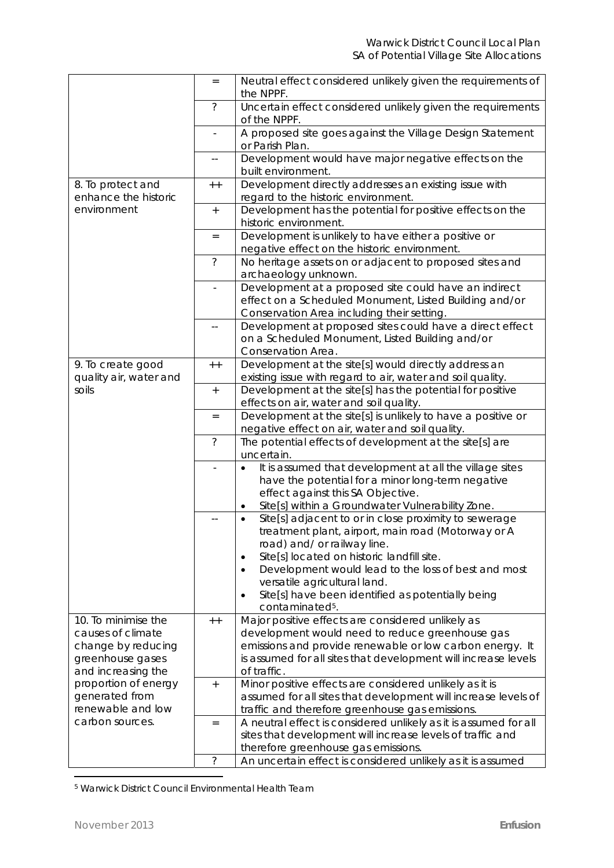|                                                                                                          | $=$    | Neutral effect considered unlikely given the requirements of<br>the NPPF.                                                                                                                                                                                                                                                                                                                                               |
|----------------------------------------------------------------------------------------------------------|--------|-------------------------------------------------------------------------------------------------------------------------------------------------------------------------------------------------------------------------------------------------------------------------------------------------------------------------------------------------------------------------------------------------------------------------|
|                                                                                                          | ?      | Uncertain effect considered unlikely given the requirements<br>of the NPPF.                                                                                                                                                                                                                                                                                                                                             |
|                                                                                                          |        | A proposed site goes against the Village Design Statement<br>or Parish Plan.                                                                                                                                                                                                                                                                                                                                            |
|                                                                                                          |        | Development would have major negative effects on the<br>built environment.                                                                                                                                                                                                                                                                                                                                              |
| 8. To protect and<br>enhance the historic                                                                | $+ +$  | Development directly addresses an existing issue with<br>regard to the historic environment.                                                                                                                                                                                                                                                                                                                            |
| environment                                                                                              | $^{+}$ | Development has the potential for positive effects on the<br>historic environment.                                                                                                                                                                                                                                                                                                                                      |
|                                                                                                          | $=$    | Development is unlikely to have either a positive or<br>negative effect on the historic environment.                                                                                                                                                                                                                                                                                                                    |
|                                                                                                          | ?      | No heritage assets on or adjacent to proposed sites and<br>archaeology unknown.                                                                                                                                                                                                                                                                                                                                         |
|                                                                                                          |        | Development at a proposed site could have an indirect<br>effect on a Scheduled Monument, Listed Building and/or<br>Conservation Area including their setting.                                                                                                                                                                                                                                                           |
|                                                                                                          |        | Development at proposed sites could have a direct effect<br>on a Scheduled Monument, Listed Building and/or<br>Conservation Area.                                                                                                                                                                                                                                                                                       |
| 9. To create good<br>quality air, water and                                                              | $+ +$  | Development at the site[s] would directly address an<br>existing issue with regard to air, water and soil quality.                                                                                                                                                                                                                                                                                                      |
| soils                                                                                                    | $+$    | Development at the site[s] has the potential for positive<br>effects on air, water and soil quality.                                                                                                                                                                                                                                                                                                                    |
|                                                                                                          | $=$    | Development at the site[s] is unlikely to have a positive or<br>negative effect on air, water and soil quality.                                                                                                                                                                                                                                                                                                         |
|                                                                                                          | ?      | The potential effects of development at the site[s] are<br>uncertain.                                                                                                                                                                                                                                                                                                                                                   |
|                                                                                                          |        | It is assumed that development at all the village sites<br>$\bullet$<br>have the potential for a minor long-term negative<br>effect against this SA Objective.<br>Site[s] within a Groundwater Vulnerability Zone.<br>٠                                                                                                                                                                                                 |
|                                                                                                          |        | Site[s] adjacent to or in close proximity to sewerage<br>$\bullet$<br>treatment plant, airport, main road (Motorway or A<br>road) and/ or railway line.<br>Site[s] located on historic landfill site.<br>$\bullet$<br>Development would lead to the loss of best and most<br>$\bullet$<br>versatile agricultural land.<br>Site[s] have been identified as potentially being<br>$\bullet$<br>contaminated <sup>5</sup> . |
| 10. To minimise the<br>causes of climate<br>change by reducing<br>greenhouse gases<br>and increasing the | $+ +$  | Major positive effects are considered unlikely as<br>development would need to reduce greenhouse gas<br>emissions and provide renewable or low carbon energy. It<br>is assumed for all sites that development will increase levels<br>of traffic.                                                                                                                                                                       |
| proportion of energy<br>generated from<br>renewable and low                                              | $^{+}$ | Minor positive effects are considered unlikely as it is<br>assumed for all sites that development will increase levels of<br>traffic and therefore greenhouse gas emissions.                                                                                                                                                                                                                                            |
| carbon sources.                                                                                          | $=$    | A neutral effect is considered unlikely as it is assumed for all<br>sites that development will increase levels of traffic and<br>therefore greenhouse gas emissions.                                                                                                                                                                                                                                                   |
|                                                                                                          | ?      | An uncertain effect is considered unlikely as it is assumed                                                                                                                                                                                                                                                                                                                                                             |

5 Warwick District Council Environmental Health Team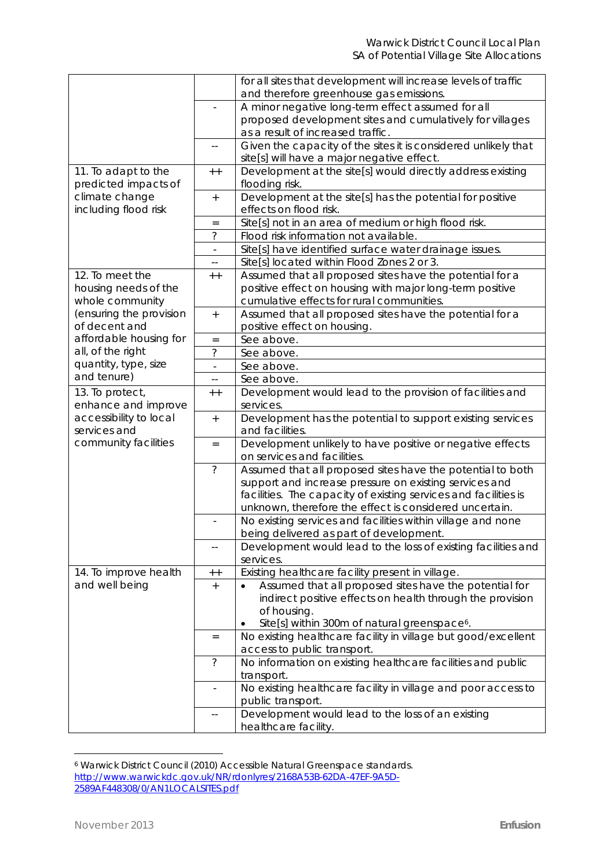|                         |                          | for all sites that development will increase levels of traffic<br>and therefore greenhouse gas emissions.                 |
|-------------------------|--------------------------|---------------------------------------------------------------------------------------------------------------------------|
|                         |                          | A minor negative long-term effect assumed for all                                                                         |
|                         |                          | proposed development sites and cumulatively for villages                                                                  |
|                         |                          | as a result of increased traffic.                                                                                         |
|                         | $- -$                    | Given the capacity of the sites it is considered unlikely that                                                            |
|                         |                          | site[s] will have a major negative effect.                                                                                |
| 11. To adapt to the     | $+ +$                    | Development at the site[s] would directly address existing                                                                |
| predicted impacts of    |                          | flooding risk.                                                                                                            |
| climate change          | $^{+}$                   | Development at the site[s] has the potential for positive                                                                 |
| including flood risk    |                          | effects on flood risk.                                                                                                    |
|                         | $=$                      | Site[s] not in an area of medium or high flood risk.                                                                      |
|                         | ?                        | Flood risk information not available.                                                                                     |
|                         |                          | Site[s] have identified surface water drainage issues.                                                                    |
|                         | $-$                      | Site[s] located within Flood Zones 2 or 3.                                                                                |
| 12. To meet the         | $\, +$ $+$               | Assumed that all proposed sites have the potential for a                                                                  |
| housing needs of the    |                          | positive effect on housing with major long-term positive                                                                  |
| whole community         |                          | cumulative effects for rural communities.                                                                                 |
| (ensuring the provision | $^{+}$                   | Assumed that all proposed sites have the potential for a                                                                  |
| of decent and           |                          | positive effect on housing.                                                                                               |
| affordable housing for  | $\quad =$                | See above.                                                                                                                |
| all, of the right       | $\tilde{?}$              | See above.                                                                                                                |
| quantity, type, size    | $\overline{\phantom{a}}$ | See above.                                                                                                                |
| and tenure)             | $-$                      | See above.                                                                                                                |
| 13. To protect,         | $+ +$                    | Development would lead to the provision of facilities and                                                                 |
| enhance and improve     |                          | services.                                                                                                                 |
| accessibility to local  | $\! + \!\!\!\!$          | Development has the potential to support existing services                                                                |
| services and            |                          | and facilities.                                                                                                           |
| community facilities    | $=$                      | Development unlikely to have positive or negative effects                                                                 |
|                         |                          | on services and facilities.                                                                                               |
|                         | $\tilde{?}$              | Assumed that all proposed sites have the potential to both                                                                |
|                         |                          | support and increase pressure on existing services and                                                                    |
|                         |                          | facilities. The capacity of existing services and facilities is<br>unknown, therefore the effect is considered uncertain. |
|                         | $\overline{\phantom{a}}$ | No existing services and facilities within village and none                                                               |
|                         |                          | being delivered as part of development.                                                                                   |
|                         | $-$                      | Development would lead to the loss of existing facilities and                                                             |
|                         |                          | services.                                                                                                                 |
| 14. To improve health   | $+ +$                    | Existing healthcare facility present in village.                                                                          |
| and well being          | $^{+}$                   | Assumed that all proposed sites have the potential for                                                                    |
|                         |                          | indirect positive effects on health through the provision                                                                 |
|                         |                          | of housing.                                                                                                               |
|                         |                          | Site[s] within 300m of natural greenspace <sup>6</sup> .                                                                  |
|                         | $=$                      | No existing healthcare facility in village but good/excellent                                                             |
|                         |                          | access to public transport.                                                                                               |
|                         | ?                        | No information on existing healthcare facilities and public                                                               |
|                         |                          | transport.                                                                                                                |
|                         |                          | No existing healthcare facility in village and poor access to                                                             |
|                         |                          | public transport.                                                                                                         |
|                         | $-$                      | Development would lead to the loss of an existing                                                                         |
|                         |                          | healthcare facility.                                                                                                      |

 $\overline{a}$ 6 Warwick District Council (2010) Accessible Natural Greenspace standards. http://www.warwickdc.gov.uk/NR/rdonlyres/2168A53B-62DA-47EF-9A5D-2589AF448308/0/AN1LOCALSITES.pdf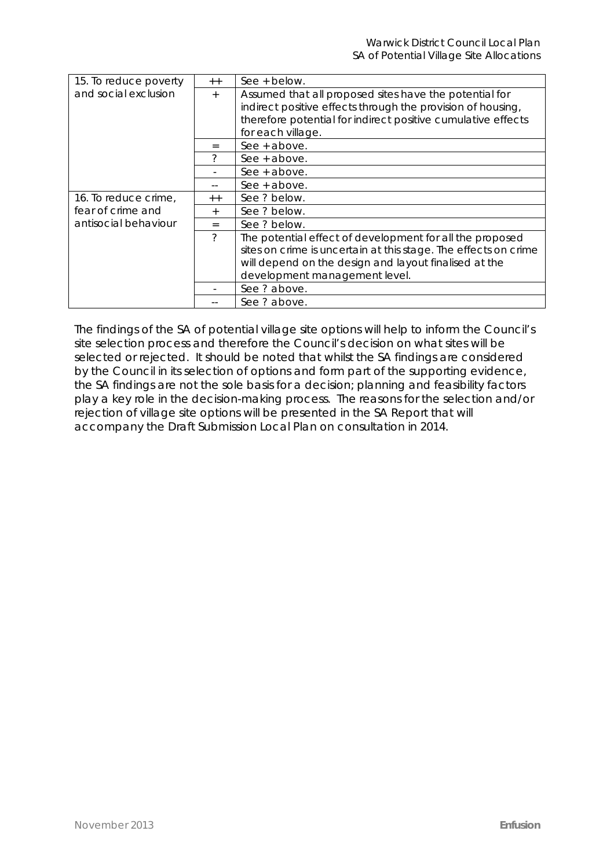| 15. To reduce poverty | $++$  | $See + below.$                                                  |
|-----------------------|-------|-----------------------------------------------------------------|
| and social exclusion  | $+$   | Assumed that all proposed sites have the potential for          |
|                       |       | indirect positive effects through the provision of housing,     |
|                       |       | therefore potential for indirect positive cumulative effects    |
|                       |       | for each village.                                               |
|                       |       | $See + above.$                                                  |
|                       | ?     | $See + above.$                                                  |
|                       |       | $See + above.$                                                  |
|                       |       | $See + above.$                                                  |
| 16. To reduce crime,  | $+ +$ | See ? below.                                                    |
| fear of crime and     | $+$   | See ? below.                                                    |
| antisocial behaviour  | $=$   | See ? below.                                                    |
|                       | ?     | The potential effect of development for all the proposed        |
|                       |       | sites on crime is uncertain at this stage. The effects on crime |
|                       |       | will depend on the design and layout finalised at the           |
|                       |       | development management level.                                   |
|                       |       | See ? above.                                                    |
|                       |       | See ? above.                                                    |

The findings of the SA of potential village site options will help to inform the Council's site selection process and therefore the Council's decision on what sites will be selected or rejected. It should be noted that whilst the SA findings are considered by the Council in its selection of options and form part of the supporting evidence, the SA findings are not the sole basis for a decision; planning and feasibility factors play a key role in the decision-making process. The reasons for the selection and/or rejection of village site options will be presented in the SA Report that will accompany the Draft Submission Local Plan on consultation in 2014.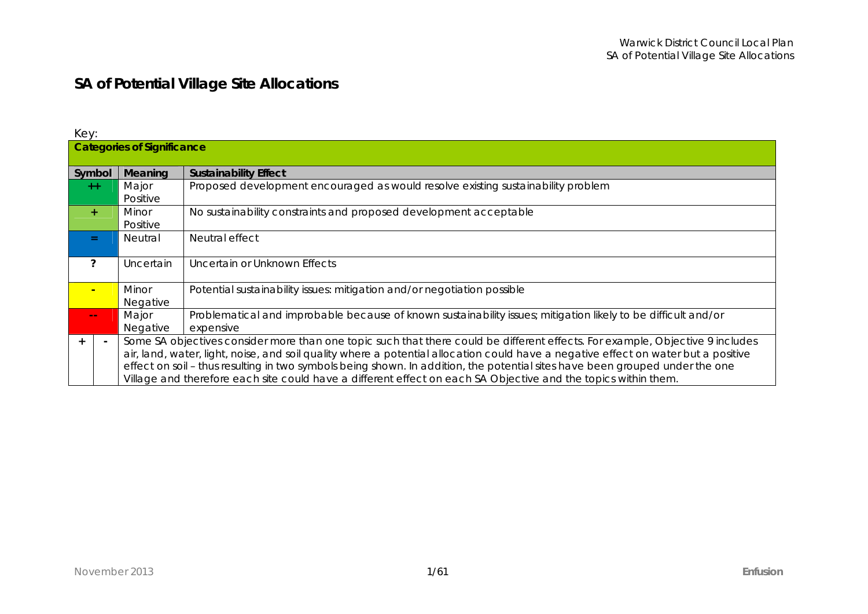# **SA of Potential Village Site Allocations**

| Key:                     |                                   |                                                                                                                                    |
|--------------------------|-----------------------------------|------------------------------------------------------------------------------------------------------------------------------------|
|                          | <b>Categories of Significance</b> |                                                                                                                                    |
| Symbol                   | Meaning                           |                                                                                                                                    |
|                          |                                   | <b>Sustainability Effect</b>                                                                                                       |
| $+ +$                    | Major                             | Proposed development encouraged as would resolve existing sustainability problem                                                   |
|                          | Positive                          |                                                                                                                                    |
| $+$                      | Minor                             | No sustainability constraints and proposed development acceptable                                                                  |
|                          | <b>Positive</b>                   |                                                                                                                                    |
|                          | <b>Neutral</b>                    | Neutral effect                                                                                                                     |
|                          |                                   |                                                                                                                                    |
| $\overline{\mathcal{E}}$ | Uncertain                         | Uncertain or Unknown Effects                                                                                                       |
|                          |                                   |                                                                                                                                    |
| $\blacksquare$           | Minor                             | Potential sustainability issues: mitigation and/or negotiation possible                                                            |
|                          | Negative                          |                                                                                                                                    |
|                          | Major                             | Problematical and improbable because of known sustainability issues; mitigation likely to be difficult and/or                      |
|                          | Negative                          | expensive                                                                                                                          |
| $+$                      |                                   | Some SA objectives consider more than one topic such that there could be different effects. For example, Objective 9 includes      |
|                          |                                   | air, land, water, light, noise, and soil quality where a potential allocation could have a negative effect on water but a positive |
|                          |                                   | effect on soil - thus resulting in two symbols being shown. In addition, the potential sites have been grouped under the one       |
|                          |                                   | Village and therefore each site could have a different effect on each SA Objective and the topics within them.                     |
|                          |                                   |                                                                                                                                    |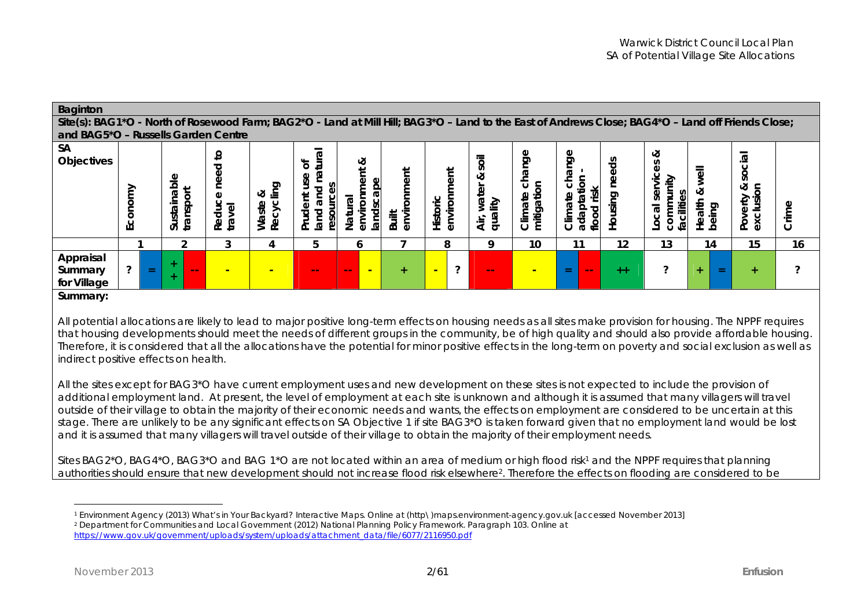| Baginton                            |                                                                                                                                                    |                         |                            |          |            |              |       |                   |              |                 |                                  |      |                         |                 |         |       |
|-------------------------------------|----------------------------------------------------------------------------------------------------------------------------------------------------|-------------------------|----------------------------|----------|------------|--------------|-------|-------------------|--------------|-----------------|----------------------------------|------|-------------------------|-----------------|---------|-------|
|                                     | Site(s): BAG1*O - North of Rosewood Farm; BAG2*O - Land at Mill Hill; BAG3*O – Land to the East of Andrews Close; BAG4*O – Land off Friends Close; |                         |                            |          |            |              |       |                   |              |                 |                                  |      |                         |                 |         |       |
| and BAG5*O - Russells Garden Centre |                                                                                                                                                    |                         |                            |          |            |              |       |                   |              |                 |                                  |      |                         |                 |         |       |
| <b>SA</b><br>ᢐ<br>∞                 |                                                                                                                                                    |                         |                            |          |            |              |       |                   |              |                 |                                  |      |                         |                 |         |       |
| <b>Objectives</b>                   |                                                                                                                                                    |                         | <u>ِهِ</u>                 |          | ৳          | త            |       |                   | soil         | ange            | ange                             | ಕೆ   | n                       |                 |         |       |
|                                     |                                                                                                                                                    |                         | need                       |          | natur<br>Φ | Εñ           | ent   | ent               | త            |                 |                                  |      |                         |                 | social  |       |
|                                     | ζu                                                                                                                                                 | $\frac{1}{\alpha}$<br>Ø |                            |          | Ū<br>ਹ     |              |       |                   |              | ৳               | ٥i                               |      | n                       | చ               | చ<br>ႅ  |       |
|                                     |                                                                                                                                                    | ð<br>≘.                 |                            | త        | ā<br>Φ     |              |       | 5                 | ater         | ate             | ڢ<br>σ                           | פַ   | ser<br>⋾                |                 | Poverty |       |
|                                     |                                                                                                                                                    | nsp<br>G                | Reduc<br>$\overline{\Phi}$ | Waste    | ত<br>and   | envir<br>and | envir | Historic<br>envir | quality<br>≷ | mitigat<br>Clim |                                  |      | faciliti<br>ocal<br>com | Health<br>being | exclusi | Crime |
|                                     | ш                                                                                                                                                  | Sust<br>tra             | $\mathbb{E}$               | <u>ക</u> | $\omega$   | Natu         | Built |                   | ्<br>द       |                 | ada<br>ä<br>$\tilde{\mathbf{e}}$ | 오    |                         |                 |         |       |
|                                     |                                                                                                                                                    |                         |                            | 4        | 5          | b            |       | 8                 | Q            | 10              | 11                               | 12   | 13                      | 14              | 15      | 16    |
| Appraisal                           |                                                                                                                                                    |                         |                            |          |            |              |       |                   |              |                 |                                  |      |                         |                 |         |       |
| Summary                             | ?<br>$=$                                                                                                                                           | $- -$                   |                            |          | $- -$      | $- -$<br>-   |       | 2<br>-            | $\sim$ $-$   |                 | e<br>$-$                         | $++$ | 2                       | $=$<br>$\pm$    | ٠       | ◠     |
| for Village                         |                                                                                                                                                    |                         |                            |          |            |              |       |                   |              |                 |                                  |      |                         |                 |         |       |
|                                     |                                                                                                                                                    |                         |                            |          |            |              |       |                   |              |                 |                                  |      |                         |                 |         |       |

**Summary:** 

All potential allocations are likely to lead to major positive long-term effects on housing needs as all sites make provision for housing. The NPPF requires that housing developments should meet the needs of different groups in the community, be of high quality and should also provide affordable housing. Therefore, it is considered that all the allocations have the potential for minor positive effects in the long-term on poverty and social exclusion as well as indirect positive effects on health.

All the sites except for BAG3\*O have current employment uses and new development on these sites is not expected to include the provision of additional employment land. At present, the level of employment at each site is unknown and although it is assumed that many villagers will travel outside of their village to obtain the majority of their economic needs and wants, the effects on employment are considered to be uncertain at this stage. There are unlikely to be any significant effects on SA Objective 1 if site BAG3\*O is taken forward given that no employment land would be lost and it is assumed that many villagers will travel outside of their village to obtain the majority of their employment needs.

Sites BAG2\*O, BAG4\*O, BAG3\*O and BAG 1\*O are not located within an area of medium or high flood risk<sup>1</sup> and the NPPF requires that planning authorities should ensure that new development should not increase flood risk elsewhere2. Therefore the effects on flooding are considered to be

<sup>&</sup>lt;sup>1</sup> Environment Agency (2013) What's in Your Backyard? Interactive Maps. Online at (http\)maps.environment-agency.gov.uk [accessed November 2013]<br><sup>2</sup> Department for Communities and Local Government (2012) National Planning

https://www.gov.uk/government/uploads/system/uploads/attachment\_data/file/6077/2116950.pdf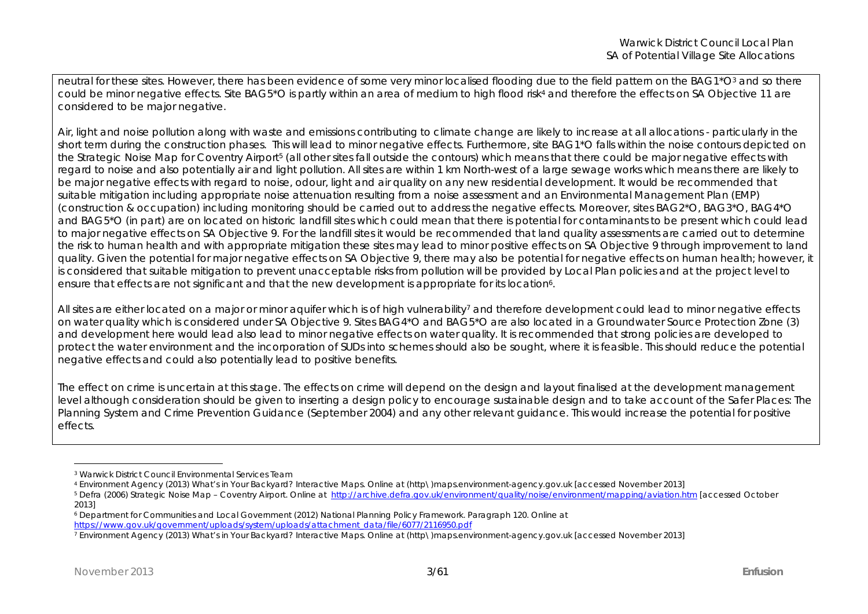neutral for these sites. However, there has been evidence of some very minor localised flooding due to the field pattern on the BAG1\*O3 and so there could be minor negative effects. Site BAG5\*O is partly within an area of medium to high flood risk4 and therefore the effects on SA Objective 11 are considered to be major negative.

Air, light and noise pollution along with waste and emissions contributing to climate change are likely to increase at all allocations - particularly in the short term during the construction phases. This will lead to minor negative effects. Furthermore, site BAG1\*O falls within the noise contours depicted on the Strategic Noise Map for Coventry Airport5 (all other sites fall outside the contours) which means that there could be major negative effects with regard to noise and also potentially air and light pollution. All sites are within 1 km North-west of a large sewage works which means there are likely to be major negative effects with regard to noise, odour, light and air quality on any new residential development. It would be recommended that suitable mitigation including appropriate noise attenuation resulting from a noise assessment and an Environmental Management Plan (EMP) (construction & occupation) including monitoring should be carried out to address the negative effects. Moreover, sites BAG2\*O, BAG3\*O, BAG4\*O and BAG5\*O (in part) are on located on historic landfill sites which could mean that there is potential for contaminants to be present which could lead to major negative effects on SA Objective 9. For the landfill sites it would be recommended that land quality assessments are carried out to determine the risk to human health and with appropriate mitigation these sites may lead to minor positive effects on SA Objective 9 through improvement to land quality. Given the potential for major negative effects on SA Objective 9, there may also be potential for negative effects on human health; however, it is considered that suitable mitigation to prevent unacceptable risks from pollution will be provided by Local Plan policies and at the project level to ensure that effects are not significant and that the new development is appropriate for its location<sup>6</sup>.

All sites are either located on a major or minor aquifer which is of high vulnerability<sup>7</sup> and therefore development could lead to minor negative effects on water quality which is considered under SA Objective 9. Sites BAG4\*O and BAG5\*O are also located in a Groundwater Source Protection Zone (3) and development here would lead also lead to minor negative effects on water quality. It is recommended that strong policies are developed to protect the water environment and the incorporation of SUDs into schemes should also be sought, where it is feasible. This should reduce the potential negative effects and could also potentially lead to positive benefits.

The effect on crime is uncertain at this stage. The effects on crime will depend on the design and layout finalised at the development management level although consideration should be given to inserting a design policy to encourage sustainable design and to take account of the Safer Places: The Planning System and Crime Prevention Guidance (September 2004) and any other relevant guidance. This would increase the potential for positive effects.

<sup>3</sup> Warwick District Council Environmental Services Team

<sup>&</sup>lt;sup>4</sup> Environment Agency (2013) What's in Your Backyard? Interactive Maps. Online at (http\)maps.environment-agency.gov.uk [accessed November 2013]<br><sup>5</sup> Defra (2006) Strategic Noise Map - Coventry Airport. Online at http://ar 2013]

<sup>6</sup> Department for Communities and Local Government (2012) National Planning Policy Framework. Paragraph 120. Online at https://www.gov.uk/government/uploads/system/uploads/attachment\_data/file/6077/2116950.pdf

<sup>7</sup> Environment Agency (2013) What's in Your Backyard? Interactive Maps. Online at (http\)maps.environment-agency.gov.uk [accessed November 2013]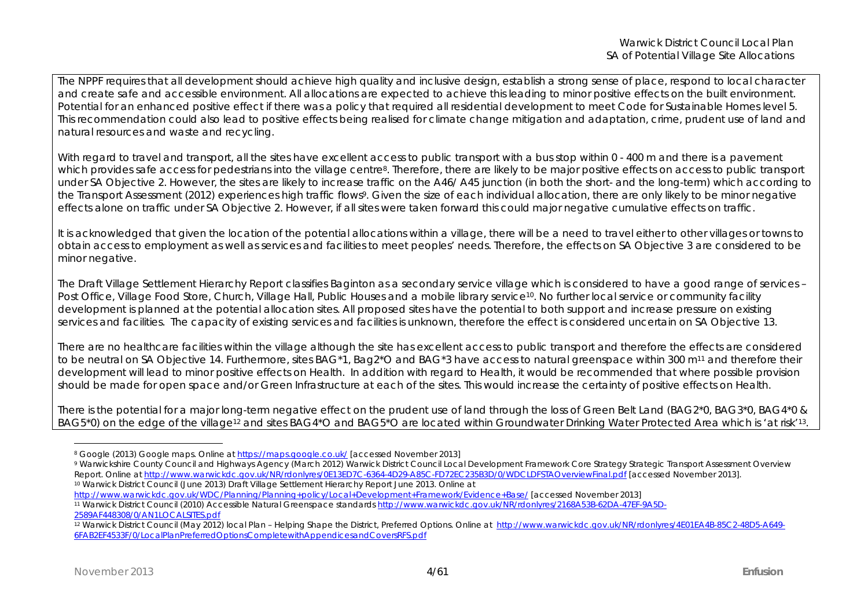The NPPF requires that all development should achieve high quality and inclusive design, establish a strong sense of place, respond to local character and create safe and accessible environment. All allocations are expected to achieve this leading to minor positive effects on the built environment. Potential for an enhanced positive effect if there was a policy that required all residential development to meet Code for Sustainable Homes level 5. This recommendation could also lead to positive effects being realised for climate change mitigation and adaptation, crime, prudent use of land and natural resources and waste and recycling.

With regard to travel and transport, all the sites have excellent access to public transport with a bus stop within 0 - 400 m and there is a pavement which provides safe access for pedestrians into the village centre<sup>8</sup>. Therefore, there are likely to be major positive effects on access to public transport under SA Objective 2. However, the sites are likely to increase traffic on the A46/ A45 junction (in both the short- and the long-term) which according to the Transport Assessment (2012) experiences high traffic flows9. Given the size of each individual allocation, there are only likely to be minor negative effects alone on traffic under SA Objective 2. However, if all sites were taken forward this could major negative cumulative effects on traffic.

It is acknowledged that given the location of the potential allocations within a village, there will be a need to travel either to other villages or towns to obtain access to employment as well as services and facilities to meet peoples' needs. Therefore, the effects on SA Objective 3 are considered to be minor negative.

The Draft Village Settlement Hierarchy Report classifies Baginton as a secondary service village which is considered to have a good range of services – Post Office, Village Food Store, Church, Village Hall, Public Houses and a mobile library service<sup>10</sup>. No further local service or community facility development is planned at the potential allocation sites. All proposed sites have the potential to both support and increase pressure on existing services and facilities. The capacity of existing services and facilities is unknown, therefore the effect is considered uncertain on SA Objective 13.

There are no healthcare facilities within the village although the site has excellent access to public transport and therefore the effects are considered to be neutral on SA Objective 14. Furthermore, sites BAG\*1, Bag2\*O and BAG\*3 have access to natural greenspace within 300 m<sup>11</sup> and therefore their development will lead to minor positive effects on Health. In addition with regard to Health, it would be recommended that where possible provision should be made for open space and/or Green Infrastructure at each of the sites. This would increase the certainty of positive effects on Health.

There is the potential for a major long-term negative effect on the prudent use of land through the loss of Green Belt Land (BAG2\*0, BAG3\*0, BAG4\*0 & BAG5<sup>\*</sup>0) on the edge of the village<sup>12</sup> and sites BAG4<sup>\*</sup>O and BAG5<sup>\*</sup>O are located within Groundwater Drinking Water Protected Area which is 'at risk'<sup>13</sup>.

<sup>&</sup>lt;sup>8</sup> Google (2013) Google maps. Online at https://maps.google.co.uk/ [accessed November 2013]<br>9 Warwickshire County Council and Highways Agency (March 2012) Warwick District Council Local Development Framework Core Strategy Report. Online at http://www.warwickdc.gov.uk/NR/rdonlyres/0E13ED7C-6364-4D29-A85C-FD72EC235B3D/0/WDCLDFSTAOverviewFinal.pdf [accessed November 2013]. 10 Warwick District Council (June 2013) Draft Village Settlement Hierarchy Report June 2013. Online at

http://www.warwickdc.gov.uk/WDC/Planning/Planning+policy/Local+Development+Framework/Evidence+Base/ [accessed November 2013]

<sup>11</sup> Warwick District Council (2010) Accessible Natural Greenspace standards http://www.warwickdc.gov.uk/NR/rdonlyres/2168A53B-62DA-47EF-9A5D-2589AF448308/0/AN1LOCALSITES.pdf

<sup>12</sup> Warwick District Council (May 2012) local Plan – Helping Shape the District, Preferred Options. Online at http://www.warwickdc.gov.uk/NR/rdonlyres/4E01EA4B-85C2-48D5-A649- 6FAB2EF4533F/0/LocalPlanPreferredOptionsCompletewithAppendicesandCoversRFS.pdf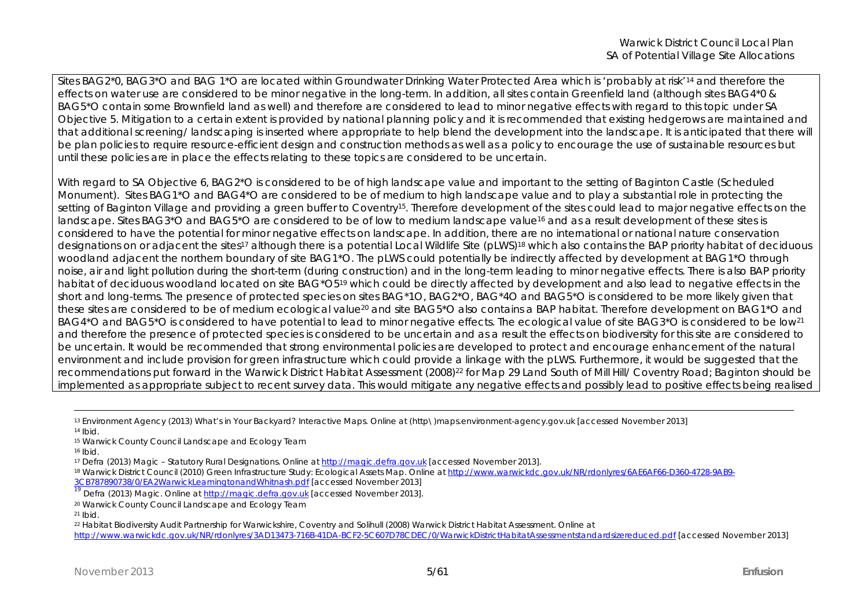Sites BAG2\*0, BAG3\*O and BAG 1\*O are located within Groundwater Drinking Water Protected Area which is 'probably at risk'14 and therefore the effects on water use are considered to be minor negative in the long-term. In addition, all sites contain Greenfield land (although sites BAG4\*0 & BAG5\*O contain some Brownfield land as well) and therefore are considered to lead to minor negative effects with regard to this topic under SA Objective 5. Mitigation to a certain extent is provided by national planning policy and it is recommended that existing hedgerows are maintained and that additional screening/ landscaping is inserted where appropriate to help blend the development into the landscape. It is anticipated that there will be plan policies to require resource-efficient design and construction methods as well as a policy to encourage the use of sustainable resources but until these policies are in place the effects relating to these topics are considered to be uncertain.

With regard to SA Objective 6, BAG2\*O is considered to be of high landscape value and important to the setting of Baginton Castle (Scheduled Monument). Sites BAG1\*O and BAG4\*O are considered to be of medium to high landscape value and to play a substantial role in protecting the setting of Baginton Village and providing a green buffer to Coventry15. Therefore development of the sites could lead to major negative effects on the landscape. Sites BAG3\*O and BAG5\*O are considered to be of low to medium landscape value<sup>16</sup> and as a result development of these sites is considered to have the potential for minor negative effects on landscape. In addition, there are no international or national nature conservation designations on or adjacent the sites<sup>17</sup> although there is a potential Local Wildlife Site (pLWS)<sup>18</sup> which also contains the BAP priority habitat of deciduous woodland adjacent the northern boundary of site BAG1\*O. The pLWS could potentially be indirectly affected by development at BAG1\*O through noise, air and light pollution during the short-term (during construction) and in the long-term leading to minor negative effects. There is also BAP priority habitat of deciduous woodland located on site BAG\*O519 which could be directly affected by development and also lead to negative effects in the short and long-terms. The presence of protected species on sites BAG\*1O, BAG2\*O, BAG\*4O and BAG5\*O is considered to be more likely given that these sites are considered to be of medium ecological value<sup>20</sup> and site BAG5\*O also contains a BAP habitat. Therefore development on BAG1\*O and BAG4\*O and BAG5\*O is considered to have potential to lead to minor negative effects. The ecological value of site BAG3\*O is considered to be low<sup>21</sup> and therefore the presence of protected species is considered to be uncertain and as a result the effects on biodiversity for this site are considered to be uncertain. It would be recommended that strong environmental policies are developed to protect and encourage enhancement of the natural environment and include provision for green infrastructure which could provide a linkage with the pLWS. Furthermore, it would be suggested that the recommendations put forward in the Warwick District Habitat Assessment (2008)<sup>22</sup> for Map 29 Land South of Mill Hill/ Coventry Road; Baginton should be implemented as appropriate subject to recent survey data. This would mitigate any negative effects and possibly lead to positive effects being realised

14 Ibid.

16 Ibid.

18 Warwick District Council (2010) Green Infrastructure Study: Ecological Assets Map. Online at http://www.warwickdc.gov.uk/NR/rdonlyres/6AE6AF66-D360-4728-9AB9- 3CB787890738/0/EA2WarwickLeamingtonandWhitnash.pdf [accessed November 2013]

<sup>19</sup> Defra (2013) Magic. Online at <u>http://magic.defra.gov.uk</u> [accessed November 2013].

20 Warwick County Council Landscape and Ecology Team

21 Ibid.

<sup>13</sup> Environment Agency (2013) What's in Your Backyard? Interactive Maps. Online at (http\)maps.environment-agency.gov.uk [accessed November 2013]

<sup>15</sup> Warwick County Council Landscape and Ecology Team

<sup>17</sup> Defra (2013) Magic – Statutory Rural Designations. Online at http://magic.defra.gov.uk [accessed November 2013].

<sup>22</sup> Habitat Biodiversity Audit Partnership for Warwickshire, Coventry and Solihull (2008) Warwick District Habitat Assessment. Online at http://www.warwickdc.gov.uk/NR/rdonlyres/3AD13473-716B-41DA-BCF2-5C607D78CDEC/0/WarwickDistrictHabitatAssessmentstandardsizereduced.pdf [accessed November 2013]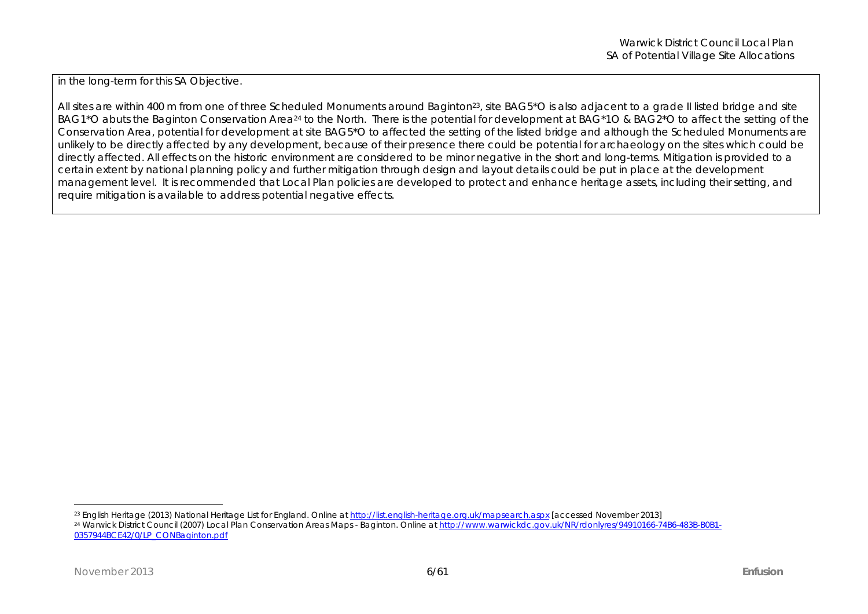in the long-term for this SA Objective.

All sites are within 400 m from one of three Scheduled Monuments around Baginton<sup>23</sup>, site BAG5\*O is also adjacent to a grade II listed bridge and site BAG1<sup>\*</sup>O abuts the Baginton Conservation Area<sup>24</sup> to the North. There is the potential for development at BAG<sup>\*1</sup>O & BAG2<sup>\*</sup>O to affect the setting of the Conservation Area, potential for development at site BAG5\*O to affected the setting of the listed bridge and although the Scheduled Monuments are unlikely to be directly affected by any development, because of their presence there could be potential for archaeology on the sites which could be directly affected. All effects on the historic environment are considered to be minor negative in the short and long-terms. Mitigation is provided to a certain extent by national planning policy and further mitigation through design and layout details could be put in place at the development management level. It is recommended that Local Plan policies are developed to protect and enhance heritage assets, including their setting, and require mitigation is available to address potential negative effects.

<sup>23</sup> English Heritage (2013) National Heritage List for England. Online at http://list.english-heritage.org.uk/mapsearch.aspx [accessed November 2013] 24 Warwick District Council (2007) Local Plan Conservation Areas Maps - Baginton. Online at http://www.warwickdc.gov.uk/NR/rdonlyres/94910166-74B6-483B-B0B1- 0357944BCE42/0/LP\_CONBaginton.pdf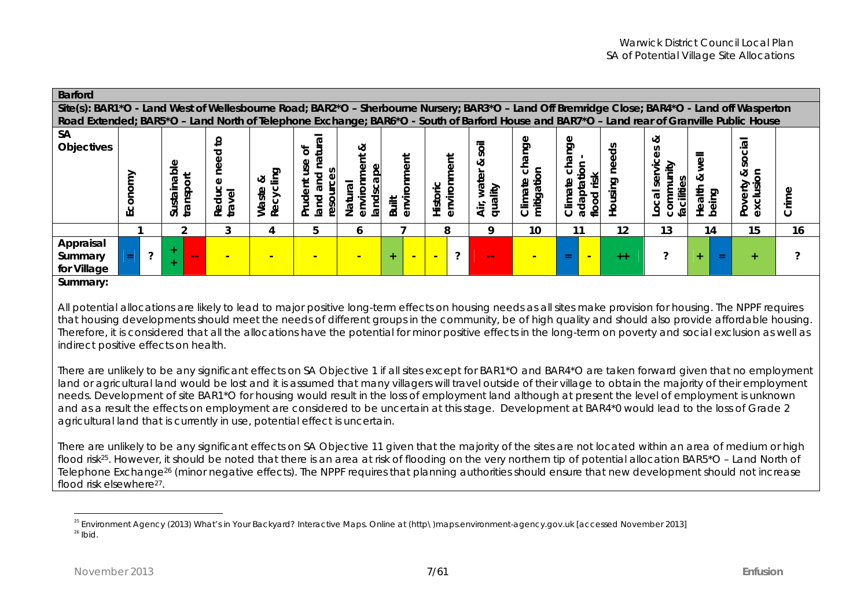| <b>Barford</b>                                                                                                                                |   |            |                       |           |         |     |                      |          |               |         |                         |       |         |                 |         |             |
|-----------------------------------------------------------------------------------------------------------------------------------------------|---|------------|-----------------------|-----------|---------|-----|----------------------|----------|---------------|---------|-------------------------|-------|---------|-----------------|---------|-------------|
| Site(s): BAR1*O - Land West of Wellesbourne Road; BAR2*O - Sherbourne Nursery; BAR3*O - Land Off Bremridge Close; BAR4*O - Land off Wasperton |   |            |                       |           |         |     |                      |          |               |         |                         |       |         |                 |         |             |
| Road Extended; BAR5*O – Land North of Telephone Exchange; BAR6*O - South of Barford House and BAR7*O – Land rear of Granville Public House    |   |            |                       |           |         |     |                      |          |               |         |                         |       |         |                 |         |             |
| <b>SA</b>                                                                                                                                     |   |            |                       |           |         |     |                      |          |               |         |                         |       | ∞       |                 |         |             |
| <b>Objectives</b>                                                                                                                             |   |            |                       |           | ъ       | త   |                      |          |               | ත       | gе                      | ಕೆ    |         |                 |         |             |
|                                                                                                                                               |   | ≗          | 雨                     |           |         |     |                      |          |               |         |                         |       |         |                 | S       |             |
|                                                                                                                                               |   |            |                       |           |         |     |                      |          |               |         |                         |       |         |                 | త       |             |
|                                                                                                                                               |   | port       |                       | త<br>Φ    |         |     |                      | ō        | ā             |         |                         |       |         |                 | 3       |             |
|                                                                                                                                               |   | ustai<br>š | duc<br>$\overline{e}$ |           |         |     |                      | Historic |               | mitigar |                         |       | aciliti |                 | Poverty |             |
|                                                                                                                                               | ш | న్<br>E    | р.<br>С<br>œ          | Wast<br>ഷ | ౚ<br>ΦI | and | envi<br><b>Built</b> |          | quality<br>दै | ءِ<br>ت | う<br>ਹ<br>ě<br><b>G</b> |       | ပ္ပ     | Health<br>being |         | <b>Grim</b> |
|                                                                                                                                               |   |            |                       |           |         |     |                      |          | Q             |         |                         |       |         |                 |         |             |
|                                                                                                                                               |   |            |                       |           | 5       | n   |                      | 8        |               | 10      | 11                      | 12    | 13      | 14              | 15      | 16          |
| Appraisal                                                                                                                                     |   |            |                       |           |         |     |                      |          |               |         |                         |       |         |                 |         |             |
| Summary                                                                                                                                       | ? |            |                       |           |         |     | -                    | າ<br>-   | $\sim$ $-$    |         | =<br>-                  | $+ +$ |         | $=$<br>÷        |         |             |
| for Village                                                                                                                                   |   |            |                       |           |         |     |                      |          |               |         |                         |       |         |                 |         |             |

# **Summary:**

All potential allocations are likely to lead to major positive long-term effects on housing needs as all sites make provision for housing. The NPPF requires that housing developments should meet the needs of different groups in the community, be of high quality and should also provide affordable housing. Therefore, it is considered that all the allocations have the potential for minor positive effects in the long-term on poverty and social exclusion as well as indirect positive effects on health.

There are unlikely to be any significant effects on SA Objective 1 if all sites except for BAR1\*O and BAR4\*O are taken forward given that no employment land or agricultural land would be lost and it is assumed that many villagers will travel outside of their village to obtain the majority of their employment needs. Development of site BAR1\*O for housing would result in the loss of employment land although at present the level of employment is unknown and as a result the effects on employment are considered to be uncertain at this stage. Development at BAR4\*0 would lead to the loss of Grade 2 agricultural land that is currently in use, potential effect is uncertain.

There are unlikely to be any significant effects on SA Objective 11 given that the majority of the sites are not located within an area of medium or high flood risk<sup>25</sup>. However, it should be noted that there is an area at risk of flooding on the very northern tip of potential allocation BAR5\*O – Land North of Telephone Exchange<sup>26</sup> (minor negative effects). The NPPF requires that planning authorities should ensure that new development should not increase flood risk elsewhere<sup>27</sup>.

<sup>&</sup>lt;sup>25</sup> Environment Agency (2013) What's in Your Backyard? Interactive Maps. Online at (http\)maps.environment-agency.gov.uk [accessed November 2013] <sup>26</sup> Ibid.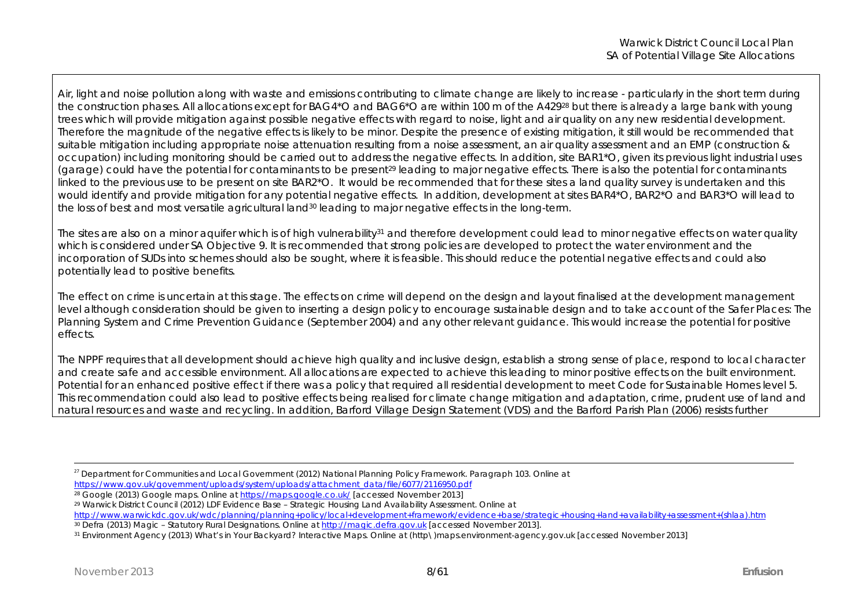Air, light and noise pollution along with waste and emissions contributing to climate change are likely to increase - particularly in the short term during the construction phases. All allocations except for BAG4\*O and BAG6\*O are within 100 m of the A42928 but there is already a large bank with young trees which will provide mitigation against possible negative effects with regard to noise, light and air quality on any new residential development. Therefore the magnitude of the negative effects is likely to be minor. Despite the presence of existing mitigation, it still would be recommended that suitable mitigation including appropriate noise attenuation resulting from a noise assessment, an air quality assessment and an EMP (construction & occupation) including monitoring should be carried out to address the negative effects. In addition, site BAR1\*O, given its previous light industrial uses (garage) could have the potential for contaminants to be present<sup>29</sup> leading to major negative effects. There is also the potential for contaminants linked to the previous use to be present on site BAR2\*O. It would be recommended that for these sites a land quality survey is undertaken and this would identify and provide mitigation for any potential negative effects. In addition, development at sites BAR4\*O, BAR2\*O and BAR3\*O will lead to the loss of best and most versatile agricultural land30 leading to major negative effects in the long-term.

The sites are also on a minor aquifer which is of high vulnerability<sup>31</sup> and therefore development could lead to minor negative effects on water quality which is considered under SA Objective 9. It is recommended that strong policies are developed to protect the water environment and the incorporation of SUDs into schemes should also be sought, where it is feasible. This should reduce the potential negative effects and could also potentially lead to positive benefits.

The effect on crime is uncertain at this stage. The effects on crime will depend on the design and layout finalised at the development management level although consideration should be given to inserting a design policy to encourage sustainable design and to take account of the Safer Places: The Planning System and Crime Prevention Guidance (September 2004) and any other relevant guidance. This would increase the potential for positive effects.

The NPPF requires that all development should achieve high quality and inclusive design, establish a strong sense of place, respond to local character and create safe and accessible environment. All allocations are expected to achieve this leading to minor positive effects on the built environment. Potential for an enhanced positive effect if there was a policy that required all residential development to meet Code for Sustainable Homes level 5. This recommendation could also lead to positive effects being realised for climate change mitigation and adaptation, crime, prudent use of land and natural resources and waste and recycling. In addition, Barford Village Design Statement (VDS) and the Barford Parish Plan (2006) resists further

<sup>&</sup>lt;sup>27</sup> Department for Communities and Local Government (2012) National Planning Policy Framework. Paragraph 103. Online at

https://www.gov.uk/government/uploads/system/uploads/attachment\_data/file/6077/2116950.pdf

<sup>&</sup>lt;sup>28</sup> Google (2013) Google maps. Online at https://maps.google.co.uk/ [accessed November 2013]

<sup>29</sup> Warwick District Council (2012) LDF Evidence Base – Strategic Housing Land Availability Assessment. Online at http://www.warwickdc.gov.uk/wdc/planning/planning+policy/local+development+framework/evidence+base/strategic+housing+land+availability+assessment+(shlaa).htm

<sup>30</sup> Defra (2013) Magic – Statutory Rural Designations. Online at http://magic.defra.gov.uk [accessed November 2013].

<sup>31</sup> Environment Agency (2013) What's in Your Backyard? Interactive Maps. Online at (http\)maps.environment-agency.gov.uk [accessed November 2013]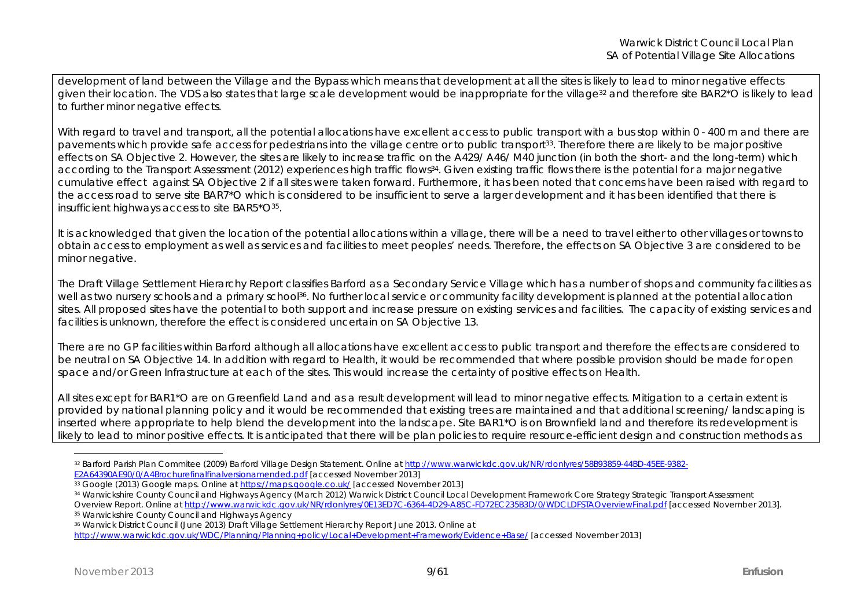development of land between the Village and the Bypass which means that development at all the sites is likely to lead to minor negative effects given their location. The VDS also states that large scale development would be inappropriate for the village<sup>32</sup> and therefore site BAR2<sup>\*</sup>O is likely to lead to further minor negative effects.

With regard to travel and transport, all the potential allocations have excellent access to public transport with a bus stop within 0 - 400 m and there are pavements which provide safe access for pedestrians into the village centre or to public transport<sup>33</sup>. Therefore there are likely to be major positive effects on SA Objective 2. However, the sites are likely to increase traffic on the A429/ A46/ M40 junction (in both the short- and the long-term) which according to the Transport Assessment (2012) experiences high traffic flows<sup>34</sup>. Given existing traffic flows there is the potential for a major negative cumulative effect against SA Objective 2 if all sites were taken forward. Furthermore, it has been noted that concerns have been raised with regard to the access road to serve site BAR7\*O which is considered to be insufficient to serve a larger development and it has been identified that there is insufficient highways access to site BAR5\*O35.

It is acknowledged that given the location of the potential allocations within a village, there will be a need to travel either to other villages or towns to obtain access to employment as well as services and facilities to meet peoples' needs. Therefore, the effects on SA Objective 3 are considered to be minor negative.

The Draft Village Settlement Hierarchy Report classifies Barford as a Secondary Service Village which has a number of shops and community facilities as well as two nursery schools and a primary school<sup>36</sup>. No further local service or community facility development is planned at the potential allocation sites. All proposed sites have the potential to both support and increase pressure on existing services and facilities. The capacity of existing services and facilities is unknown, therefore the effect is considered uncertain on SA Objective 13.

There are no GP facilities within Barford although all allocations have excellent access to public transport and therefore the effects are considered to be neutral on SA Objective 14. In addition with regard to Health, it would be recommended that where possible provision should be made for open space and/or Green Infrastructure at each of the sites. This would increase the certainty of positive effects on Health.

All sites except for BAR1\*O are on Greenfield Land and as a result development will lead to minor negative effects. Mitigation to a certain extent is provided by national planning policy and it would be recommended that existing trees are maintained and that additional screening/ landscaping is inserted where appropriate to help blend the development into the landscape. Site BAR1\*O is on Brownfield land and therefore its redevelopment is likely to lead to minor positive effects. It is anticipated that there will be plan policies to require resource-efficient design and construction methods as

<sup>32</sup> Barford Parish Plan Commitee (2009) Barford Village Design Statement. Online at http://www.warwickdc.gov.uk/NR/rdonlyres/58B93859-44BD-45EE-9382- E2A64390AE90/0/A4Brochurefinalfinalversionamended.pdf [accessed November 2013]

<sup>33</sup> Google (2013) Google maps. Online at https://maps.google.co.uk/ [accessed November 2013]

<sup>34</sup> Warwickshire County Council and Highways Agency (March 2012) Warwick District Council Local Development Framework Core Strategy Strategic Transport Assessment Overview Report. Online at http://www.warwickdc.gov.uk/NR/rdonlyres/0E13ED7C-6364-4D29-A85C-FD72EC235B3D/0/WDCLDFSTAOverviewFinal.pdf [accessed November 2013]. 35 Warwickshire County Council and Highways Agency

<sup>36</sup> Warwick District Council (June 2013) Draft Village Settlement Hierarchy Report June 2013. Online at

http://www.warwickdc.gov.uk/WDC/Planning/Planning+policy/Local+Development+Framework/Evidence+Base/ [accessed November 2013]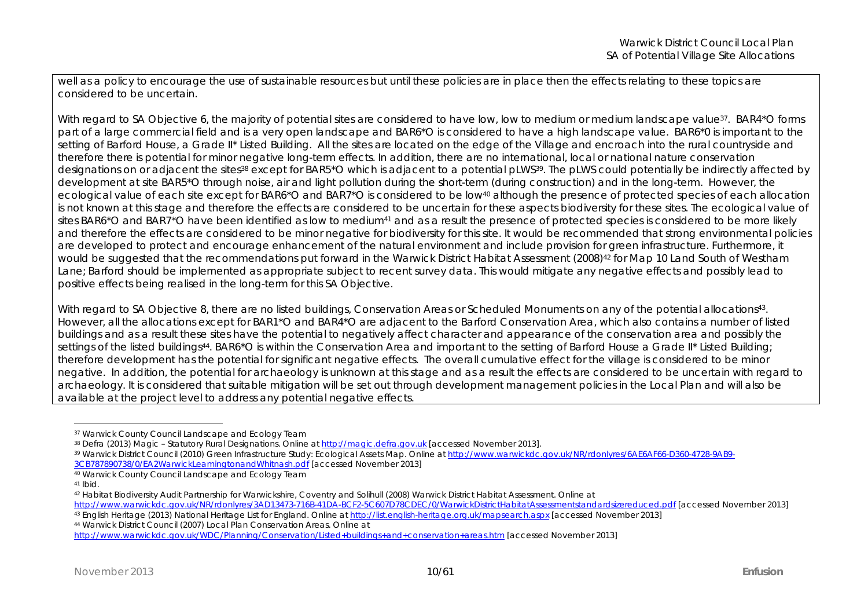well as a policy to encourage the use of sustainable resources but until these policies are in place then the effects relating to these topics are considered to be uncertain.

With regard to SA Objective 6, the majority of potential sites are considered to have low, low to medium or medium landscape value<sup>37</sup>. BAR4\*O forms part of a large commercial field and is a very open landscape and BAR6\*O is considered to have a high landscape value. BAR6\*0 is important to the setting of Barford House, a Grade II\* Listed Building. All the sites are located on the edge of the Village and encroach into the rural countryside and therefore there is potential for minor negative long-term effects. In addition, there are no international, local or national nature conservation designations on or adjacent the sites<sup>38</sup> except for BAR5<sup>\*</sup>O which is adjacent to a potential pLWS<sup>39</sup>. The pLWS could potentially be indirectly affected by development at site BAR5\*O through noise, air and light pollution during the short-term (during construction) and in the long-term. However, the ecological value of each site except for BAR6\*O and BAR7\*O is considered to be low<sup>40</sup> although the presence of protected species of each allocation is not known at this stage and therefore the effects are considered to be uncertain for these aspects biodiversity for these sites. The ecological value of sites BAR6\*O and BAR7\*O have been identified as low to medium<sup>41</sup> and as a result the presence of protected species is considered to be more likely and therefore the effects are considered to be minor negative for biodiversity for this site. It would be recommended that strong environmental policies are developed to protect and encourage enhancement of the natural environment and include provision for green infrastructure. Furthermore, it would be suggested that the recommendations put forward in the Warwick District Habitat Assessment (2008)<sup>42</sup> for Map 10 Land South of Westham Lane; Barford should be implemented as appropriate subject to recent survey data. This would mitigate any negative effects and possibly lead to positive effects being realised in the long-term for this SA Objective.

With regard to SA Objective 8, there are no listed buildings, Conservation Areas or Scheduled Monuments on any of the potential allocations<sup>43</sup>. However, all the allocations except for BAR1\*O and BAR4\*O are adjacent to the Barford Conservation Area, which also contains a number of listed buildings and as a result these sites have the potential to negatively affect character and appearance of the conservation area and possibly the settings of the listed buildings<sup>44</sup>. BAR6<sup>\*</sup>O is within the Conservation Area and important to the setting of Barford House a Grade II\* Listed Building; therefore development has the potential for significant negative effects. The overall cumulative effect for the village is considered to be minor negative. In addition, the potential for archaeology is unknown at this stage and as a result the effects are considered to be uncertain with regard to archaeology. It is considered that suitable mitigation will be set out through development management policies in the Local Plan and will also be available at the project level to address any potential negative effects.

39 Warwick District Council (2010) Green Infrastructure Study: Ecological Assets Map. Online at http://www.warwickdc.gov.uk/NR/rdonlyres/6AE6AF66-D360-4728-9AB9- 3CB787890738/0/EA2WarwickLeamingtonandWhitnash.pdf [accessed November 2013]

44 Warwick District Council (2007) Local Plan Conservation Areas. Online at

<sup>&</sup>lt;sup>37</sup> Warwick County Council Landscape and Ecology Team

<sup>38</sup> Defra (2013) Magic – Statutory Rural Designations. Online at http://magic.defra.gov.uk [accessed November 2013].

<sup>40</sup> Warwick County Council Landscape and Ecology Team

<sup>41</sup> Ibid.

<sup>42</sup> Habitat Biodiversity Audit Partnership for Warwickshire, Coventry and Solihull (2008) Warwick District Habitat Assessment. Online at http://www.warwickdc.gov.uk/NR/rdonlyres/3AD13473-716B-41DA-BCF2-5C607D78CDEC/0/WarwickDistrictHabitatAssessmentstandardsizereduced.pdf [accessed November 2013] 43 English Heritage (2013) National Heritage List for England. Online at http://list.english-heritage.org.uk/mapsearch.aspx [accessed November 2013]

http://www.warwickdc.gov.uk/WDC/Planning/Conservation/Listed+buildings+and+conservation+areas.htm [accessed November 2013]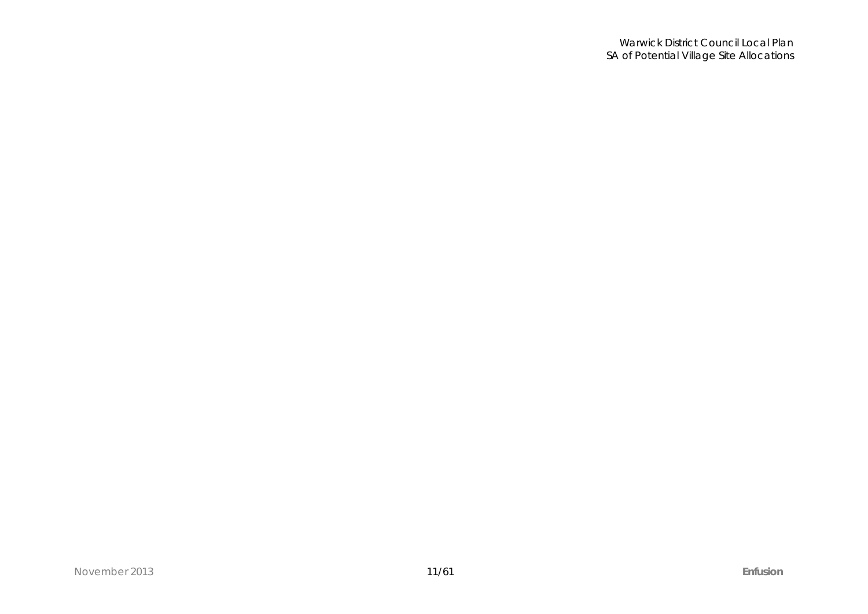Warwick District Council Local Plan SA of Potential Village Site Allocations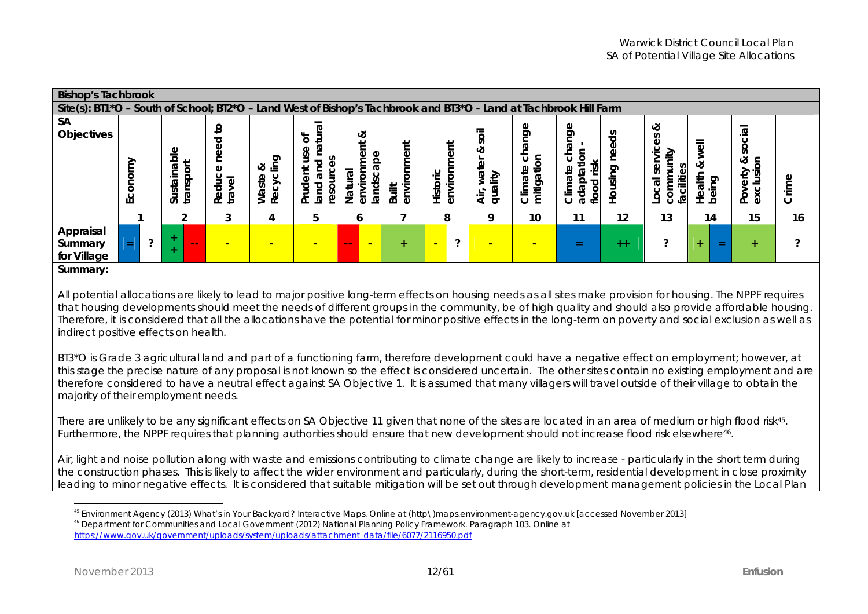|                                                                                                                   | <b>Bishop's Tachbrook</b> |                                                      |                                                                     |                             |                                                                                    |                                            |                      |                               |                                                                        |                                              |                                                   |                        |                                                                                                    |                         |                                                |         |
|-------------------------------------------------------------------------------------------------------------------|---------------------------|------------------------------------------------------|---------------------------------------------------------------------|-----------------------------|------------------------------------------------------------------------------------|--------------------------------------------|----------------------|-------------------------------|------------------------------------------------------------------------|----------------------------------------------|---------------------------------------------------|------------------------|----------------------------------------------------------------------------------------------------|-------------------------|------------------------------------------------|---------|
| Site(s): BT1*O - South of School; BT2*O - Land West of Bishop's Tachbrook and BT3*O - Land at Tachbrook Hill Farm |                           |                                                      |                                                                     |                             |                                                                                    |                                            |                      |                               |                                                                        |                                              |                                                   |                        |                                                                                                    |                         |                                                |         |
| <b>SA</b><br>Objectives                                                                                           | LЦ                        | ہ<br>ما<br>ă<br>đ<br>$\frac{1}{6}$<br>transp<br>Sust | <u>9</u><br>need<br>Φ<br>Reduc<br>$\overline{\Phi}$<br>$\mathbb{E}$ | ರಾ<br>త<br>Waste<br>eء<br>R | Ф<br>₫<br>৳<br><b>ื้อ</b><br>Φ<br>ਠ<br>ā<br>c<br>Φ<br>᠊ᠣ<br>land<br>sΠ<br>론<br>ا ك | ∝<br>՟<br>Φ<br>ω<br>Natu<br>う<br>land<br>ত | ent<br>envi<br>Built | onment<br>Historic<br>envir   | ㅎ<br>S<br>త<br>ater<br>quality<br>℥<br>$\overline{\phantom{0}}$<br>दें | Φ<br>pang<br>ڡٟ<br>≂<br>mitigat<br>ø<br>Clir | ange<br>৳<br>io<br>₽<br>đ<br>Climat<br>flood<br>ನ | ర<br>Ō<br>Φ<br>రా<br>ಕ | త<br>gs<br><b>ilities</b><br>$\overline{\mathfrak{g}}$<br>$\epsilon$<br>ن<br>20<br>ğ<br><u>iac</u> | alth<br>Health<br>being | <u>ର</u><br>င္တ<br>త<br>Poverty<br>ğ<br>×<br>Φ | Φ<br>ĠΪ |
|                                                                                                                   |                           | າ                                                    | 3                                                                   | 4                           | 5                                                                                  | <sub>n</sub>                               |                      | 8                             | Q                                                                      | 10                                           | 11                                                | 12                     | 13                                                                                                 | 14                      | 15                                             | 16      |
| Appraisal<br>Summary<br>for Village                                                                               | ?<br>=                    | $-$<br>н.                                            |                                                                     | $\overline{\phantom{a}}$    | -                                                                                  | $-$<br>-                                   | ÷                    | 2<br>$\overline{\phantom{a}}$ | -                                                                      |                                              | =                                                 | $++$                   | っ                                                                                                  | $\pm$<br>$=$            |                                                | ົ       |

# **Summary:**

All potential allocations are likely to lead to major positive long-term effects on housing needs as all sites make provision for housing. The NPPF requires that housing developments should meet the needs of different groups in the community, be of high quality and should also provide affordable housing. Therefore, it is considered that all the allocations have the potential for minor positive effects in the long-term on poverty and social exclusion as well as indirect positive effects on health.

BT3\*O is Grade 3 agricultural land and part of a functioning farm, therefore development could have a negative effect on employment; however, at this stage the precise nature of any proposal is not known so the effect is considered uncertain. The other sites contain no existing employment and are therefore considered to have a neutral effect against SA Objective 1. It is assumed that many villagers will travel outside of their village to obtain the majority of their employment needs.

There are unlikely to be any significant effects on SA Objective 11 given that none of the sites are located in an area of medium or high flood risk<sup>45</sup>. Furthermore, the NPPF requires that planning authorities should ensure that new development should not increase flood risk elsewhere<sup>46</sup>.

Air, light and noise pollution along with waste and emissions contributing to climate change are likely to increase - particularly in the short term during the construction phases. This is likely to affect the wider environment and particularly, during the short-term, residential development in close proximity leading to minor negative effects. It is considered that suitable mitigation will be set out through development management policies in the Local Plan

<sup>45</sup> Environment Agency (2013) What's in Your Backyard? Interactive Maps. Online at (http\)maps.environment-agency.gov.uk [accessed November 2013] <sup>46</sup> Department for Communities and Local Government (2012) National Planning Policy Framework. Paragraph 103. Online at https://www.gov.uk/government/uploads/system/uploads/attachment\_data/file/6077/2116950.pdf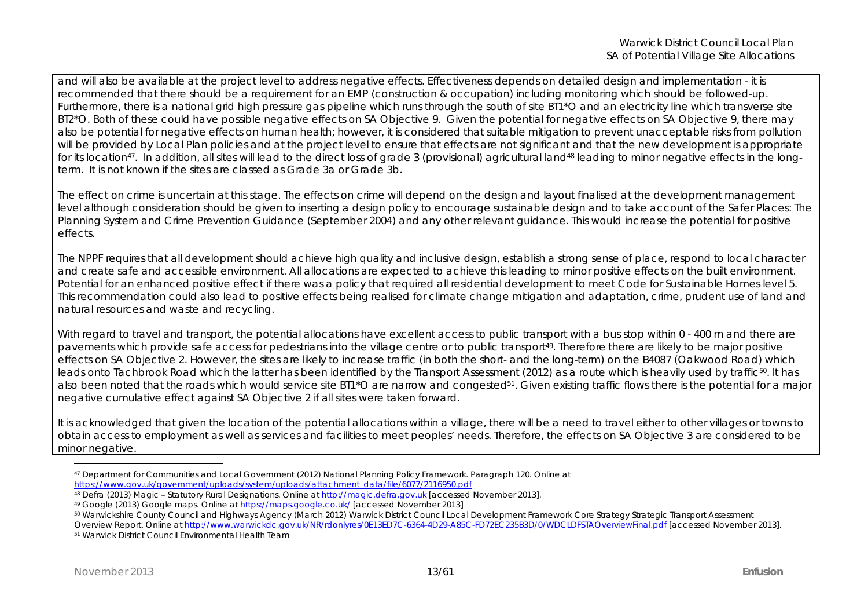and will also be available at the project level to address negative effects. Effectiveness depends on detailed design and implementation - it is recommended that there should be a requirement for an EMP (construction & occupation) including monitoring which should be followed-up. Furthermore, there is a national grid high pressure gas pipeline which runs through the south of site BT1\*O and an electricity line which transverse site BT2\*O. Both of these could have possible negative effects on SA Objective 9. Given the potential for negative effects on SA Objective 9, there may also be potential for negative effects on human health; however, it is considered that suitable mitigation to prevent unacceptable risks from pollution will be provided by Local Plan policies and at the project level to ensure that effects are not significant and that the new development is appropriate for its location<sup>47</sup>. In addition, all sites will lead to the direct loss of grade 3 (provisional) agricultural land<sup>48</sup> leading to minor negative effects in the longterm. It is not known if the sites are classed as Grade 3a or Grade 3b.

The effect on crime is uncertain at this stage. The effects on crime will depend on the design and layout finalised at the development management level although consideration should be given to inserting a design policy to encourage sustainable design and to take account of the Safer Places: The Planning System and Crime Prevention Guidance (September 2004) and any other relevant guidance. This would increase the potential for positive effects.

The NPPF requires that all development should achieve high quality and inclusive design, establish a strong sense of place, respond to local character and create safe and accessible environment. All allocations are expected to achieve this leading to minor positive effects on the built environment. Potential for an enhanced positive effect if there was a policy that required all residential development to meet Code for Sustainable Homes level 5. This recommendation could also lead to positive effects being realised for climate change mitigation and adaptation, crime, prudent use of land and natural resources and waste and recycling.

With regard to travel and transport, the potential allocations have excellent access to public transport with a bus stop within 0 - 400 m and there are pavements which provide safe access for pedestrians into the village centre or to public transport49. Therefore there are likely to be major positive effects on SA Objective 2. However, the sites are likely to increase traffic (in both the short- and the long-term) on the B4087 (Oakwood Road) which leads onto Tachbrook Road which the latter has been identified by the Transport Assessment (2012) as a route which is heavily used by traffic<sup>50</sup>. It has also been noted that the roads which would service site BT1\*O are narrow and congested<sup>51</sup>. Given existing traffic flows there is the potential for a major negative cumulative effect against SA Objective 2 if all sites were taken forward.

It is acknowledged that given the location of the potential allocations within a village, there will be a need to travel either to other villages or towns to obtain access to employment as well as services and facilities to meet peoples' needs. Therefore, the effects on SA Objective 3 are considered to be minor negative.

- 47 Department for Communities and Local Government (2012) National Planning Policy Framework. Paragraph 120. Online at https://www.gov.uk/government/uploads/system/uploads/attachment\_data/file/6077/2116950.pdf
- 48 Defra (2013) Magic Statutory Rural Designations. Online at http://magic.defra.gov.uk [accessed November 2013].

<sup>49</sup> Google (2013) Google maps. Online at https://maps.google.co.uk/ [accessed November 2013]

<sup>50</sup> Warwickshire County Council and Highways Agency (March 2012) Warwick District Council Local Development Framework Core Strategy Strategic Transport Assessment

Overview Report. Online at http://www.warwickdc.gov.uk/NR/rdonlyres/0E13ED7C-6364-4D29-A85C-FD72EC235B3D/0/WDCLDFSTAOverviewFinal.pdf [accessed November 2013]. 51 Warwick District Council Environmental Health Team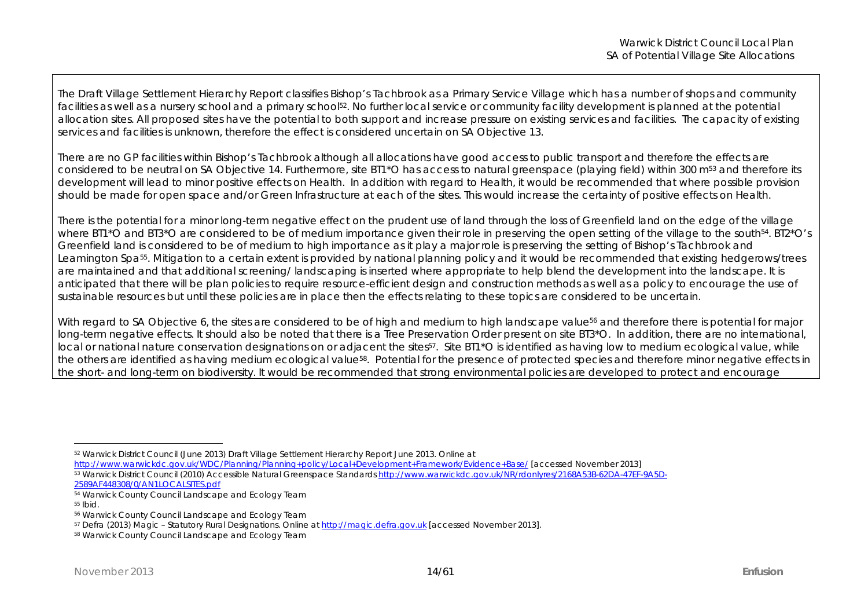The Draft Village Settlement Hierarchy Report classifies Bishop's Tachbrook as a Primary Service Village which has a number of shops and community facilities as well as a nursery school and a primary school<sup>52</sup>. No further local service or community facility development is planned at the potential allocation sites. All proposed sites have the potential to both support and increase pressure on existing services and facilities. The capacity of existing services and facilities is unknown, therefore the effect is considered uncertain on SA Objective 13.

There are no GP facilities within Bishop's Tachbrook although all allocations have good access to public transport and therefore the effects are considered to be neutral on SA Objective 14. Furthermore, site BT1\*O has access to natural greenspace (playing field) within 300 m<sup>53</sup> and therefore its development will lead to minor positive effects on Health. In addition with regard to Health, it would be recommended that where possible provision should be made for open space and/or Green Infrastructure at each of the sites. This would increase the certainty of positive effects on Health.

There is the potential for a minor long-term negative effect on the prudent use of land through the loss of Greenfield land on the edge of the village where BT1<sup>\*</sup>O and BT3<sup>\*</sup>O are considered to be of medium importance given their role in preserving the open setting of the village to the south<sup>54</sup>. BT2<sup>\*</sup>O's Greenfield land is considered to be of medium to high importance as it play a major role is preserving the setting of Bishop's Tachbrook and Leamington Spa55. Mitigation to a certain extent is provided by national planning policy and it would be recommended that existing hedgerows/trees are maintained and that additional screening/ landscaping is inserted where appropriate to help blend the development into the landscape. It is anticipated that there will be plan policies to require resource-efficient design and construction methods as well as a policy to encourage the use of sustainable resources but until these policies are in place then the effects relating to these topics are considered to be uncertain.

With regard to SA Objective 6, the sites are considered to be of high and medium to high landscape value<sup>56</sup> and therefore there is potential for major long-term negative effects. It should also be noted that there is a Tree Preservation Order present on site BT3\*O. In addition, there are no international, local or national nature conservation designations on or adjacent the sites<sup>57</sup>. Site BT1<sup>\*</sup>O is identified as having low to medium ecological value, while the others are identified as having medium ecological value58. Potential for the presence of protected species and therefore minor negative effects in the short- and long-term on biodiversity. It would be recommended that strong environmental policies are developed to protect and encourage

<sup>52</sup> Warwick District Council (June 2013) Draft Village Settlement Hierarchy Report June 2013. Online at

http://www.warwickdc.gov.uk/WDC/Planning/Planning+policy/Local+Development+Framework/Evidence+Base/ [accessed November 2013]

<sup>53</sup> Warwick District Council (2010) Accessible Natural Greenspace Standards http://www.warwickdc.gov.uk/NR/rdonlyres/2168A53B-62DA-47EF-9A5D-2589AF448308/0/AN1LOCALSITES.pdf

<sup>54</sup> Warwick County Council Landscape and Ecology Team

<sup>55</sup> Ibid.

<sup>56</sup> Warwick County Council Landscape and Ecology Team

<sup>57</sup> Defra (2013) Magic – Statutory Rural Designations. Online at http://magic.defra.gov.uk [accessed November 2013].

<sup>58</sup> Warwick County Council Landscape and Ecology Team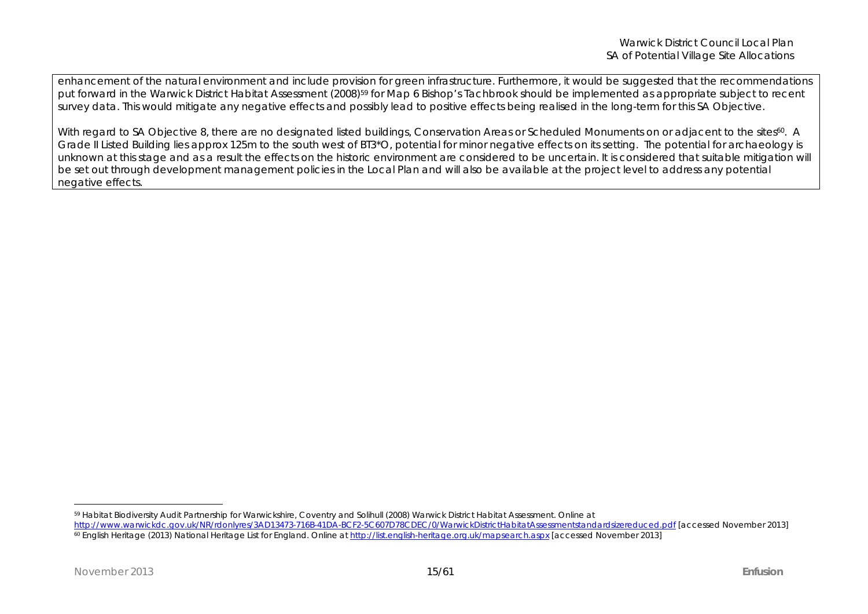enhancement of the natural environment and include provision for green infrastructure. Furthermore, it would be suggested that the recommendations put forward in the Warwick District Habitat Assessment (2008)<sup>59</sup> for Map 6 Bishop's Tachbrook should be implemented as appropriate subject to recent survey data. This would mitigate any negative effects and possibly lead to positive effects being realised in the long-term for this SA Objective.

With regard to SA Objective 8, there are no designated listed buildings, Conservation Areas or Scheduled Monuments on or adjacent to the sites<sup>60</sup>. A Grade II Listed Building lies approx 125m to the south west of BT3\*O, potential for minor negative effects on its setting. The potential for archaeology is unknown at this stage and as a result the effects on the historic environment are considered to be uncertain. It is considered that suitable mitigation will be set out through development management policies in the Local Plan and will also be available at the project level to address any potential negative effects.

<sup>59</sup> Habitat Biodiversity Audit Partnership for Warwickshire, Coventry and Solihull (2008) Warwick District Habitat Assessment. Online at

http://www.warwickdc.gov.uk/NR/rdonlyres/3AD13473-716B-41DA-BCF2-5C607D78CDEC/0/WarwickDistrictHabitatAssessmentstandardsizereduced.pdf [accessed November 2013] 60 English Heritage (2013) National Heritage List for England. Online at http://list.english-heritage.org.uk/mapsearch.aspx [accessed November 2013]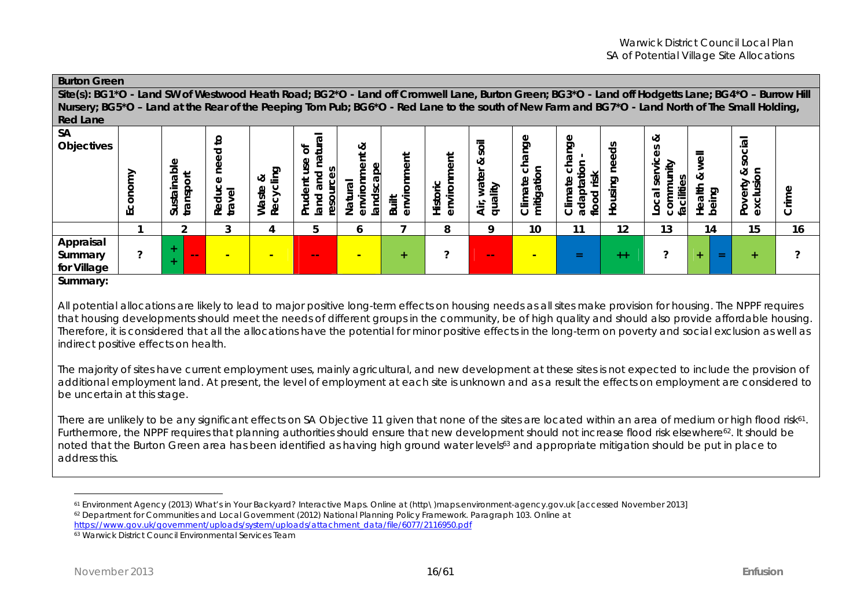**Burton Green** 

**Site(s): BG1\*O - Land SW of Westwood Heath Road; BG2\*O - Land off Cromwell Lane, Burton Green; BG3\*O - Land off Hodgetts Lane; BG4\*O – Burrow Hill Nursery; BG5\*O – Land at the Rear of the Peeping Tom Pub; BG6\*O - Red Lane to the south of New Farm and BG7\*O - Land North of The Small Holding, Red Lane** 

| SA<br><b>Objectives</b>             | ≥<br>ш | $\overline{\mathbb{Q}}$<br>$\circ$<br>ω<br>-<br>$\mathbf{\Omega}$<br>ᢐ<br>S<br>-<br>-<br>n<br>∽<br>ω<br>-<br>≖<br>n | $\circ$<br>ಾ<br>Φ<br>Ō<br>⊂<br>Φ<br>ັ<br>–<br>Φ<br>Б<br>ত<br>><br>$\bar{a}$<br>Φ<br>느<br>≃ | ס<br>త<br>≔<br>ste<br>ω<br>Š<br>≃ | -<br>$\sim$<br>৳<br>Ξ<br>w<br>ಾ<br>►<br>≒<br>$\rightarrow$<br>ਹ<br>┶<br>ݢ<br>Ψ<br>≝ | ∞<br>پ<br>Ф<br>Φ<br>চ<br>j<br>≓<br>āñ<br>Σã<br>≂<br>ō | ent<br>₹<br>≝<br>╼<br>ō<br>മ് | ⊭<br>Φ<br>O<br>►<br>- 1<br>Histor<br>∸.<br>$\tilde{\phantom{a}}$<br>Φ | ㅎ<br>s<br>త<br>Ф<br><u>ت</u><br>Ø<br>><br>≔<br>-<br>-<br>∸.<br>۰<br>⊄<br>$\sigma$ | 9e<br>-<br>►<br>G<br>-<br>c<br>ပ<br>ate<br>₹ā<br>Ξ<br>-<br>∼<br>≔<br>έ<br>ပ | შe<br>ω<br>$\overline{O}$<br>ءِ<br>٠š<br>Φ<br>ω<br>ਨੌ<br>ರ<br>o<br>≝<br>₫<br>ပ<br>$\circ$<br>ω | n<br>ರ<br>ත<br>._ | త<br>◡<br>≒<br>Φ<br>S<br>۰<br>S<br>W<br>–<br>ω<br>ပ<br>O<br>e,<br>┙<br>∼ | Φ<br>త<br>ರಾ<br>亖<br>$\boldsymbol{\varpi}$<br>.≐<br>Φ<br>Ф<br>$\Omega$ | <u>ఠ</u><br>S<br>∞<br>⊂<br>erty<br><u>آگا</u><br>⋗<br>Ō.<br>$\times$<br>Φ | Φ<br>Grin |
|-------------------------------------|--------|---------------------------------------------------------------------------------------------------------------------|--------------------------------------------------------------------------------------------|-----------------------------------|-------------------------------------------------------------------------------------|-------------------------------------------------------|-------------------------------|-----------------------------------------------------------------------|-----------------------------------------------------------------------------------|-----------------------------------------------------------------------------|------------------------------------------------------------------------------------------------|-------------------|--------------------------------------------------------------------------|------------------------------------------------------------------------|---------------------------------------------------------------------------|-----------|
|                                     |        |                                                                                                                     |                                                                                            |                                   | b                                                                                   | O                                                     |                               | 8                                                                     | ο                                                                                 | 10                                                                          | 11                                                                                             | 12                | 13                                                                       | 14                                                                     | 15                                                                        | 16        |
| Appraisal<br>Summary<br>for Village | っ      | <b>COMPANY</b>                                                                                                      |                                                                                            | $\blacksquare$                    | $\sim$ $\sim$                                                                       | -                                                     |                               | っ                                                                     | $- -$                                                                             | $\blacksquare$                                                              | $=$                                                                                            | $++$              | っ                                                                        | $\pm$<br>$=$                                                           | ÷                                                                         |           |

**Summary:** 

All potential allocations are likely to lead to major positive long-term effects on housing needs as all sites make provision for housing. The NPPF requires that housing developments should meet the needs of different groups in the community, be of high quality and should also provide affordable housing. Therefore, it is considered that all the allocations have the potential for minor positive effects in the long-term on poverty and social exclusion as well as indirect positive effects on health.

The majority of sites have current employment uses, mainly agricultural, and new development at these sites is not expected to include the provision of additional employment land. At present, the level of employment at each site is unknown and as a result the effects on employment are considered to be uncertain at this stage.

There are unlikely to be any significant effects on SA Objective 11 given that none of the sites are located within an area of medium or high flood risk<sup>61</sup>. Furthermore, the NPPF requires that planning authorities should ensure that new development should not increase flood risk elsewhere<sup>62</sup>. It should be noted that the Burton Green area has been identified as having high ground water levels<sup>63</sup> and appropriate mitigation should be put in place to address this.

<sup>61</sup> Environment Agency (2013) What's in Your Backyard? Interactive Maps. Online at (http\)maps.environment-agency.gov.uk [accessed November 2013]

<sup>62</sup> Department for Communities and Local Government (2012) National Planning Policy Framework. Paragraph 103. Online at https://www.gov.uk/government/uploads/system/uploads/attachment\_data/file/6077/2116950.pdf

<sup>63</sup> Warwick District Council Environmental Services Team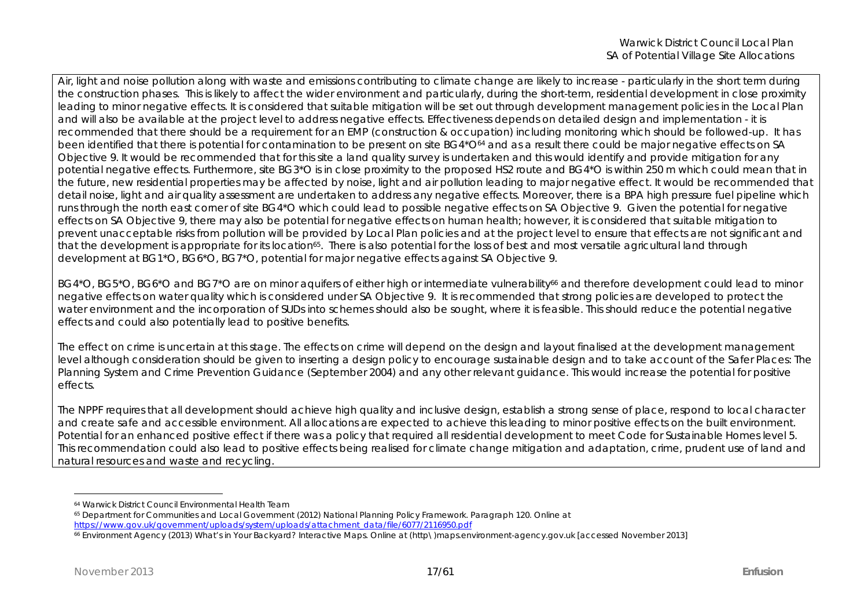Air, light and noise pollution along with waste and emissions contributing to climate change are likely to increase - particularly in the short term during the construction phases. This is likely to affect the wider environment and particularly, during the short-term, residential development in close proximity leading to minor negative effects. It is considered that suitable mitigation will be set out through development management policies in the Local Plan and will also be available at the project level to address negative effects. Effectiveness depends on detailed design and implementation - it is recommended that there should be a requirement for an EMP (construction & occupation) including monitoring which should be followed-up. It has been identified that there is potential for contamination to be present on site BG4\*O<sup>64</sup> and as a result there could be major negative effects on SA Objective 9. It would be recommended that for this site a land quality survey is undertaken and this would identify and provide mitigation for any potential negative effects. Furthermore, site BG3\*O is in close proximity to the proposed HS2 route and BG4\*O is within 250 m which could mean that in the future, new residential properties may be affected by noise, light and air pollution leading to major negative effect. It would be recommended that detail noise, light and air quality assessment are undertaken to address any negative effects. Moreover, there is a BPA high pressure fuel pipeline which runs through the north east corner of site BG4\*O which could lead to possible negative effects on SA Objective 9. Given the potential for negative effects on SA Objective 9, there may also be potential for negative effects on human health; however, it is considered that suitable mitigation to prevent unacceptable risks from pollution will be provided by Local Plan policies and at the project level to ensure that effects are not significant and that the development is appropriate for its location65. There is also potential for the loss of best and most versatile agricultural land through development at BG1\*O, BG6\*O, BG7\*O, potential for major negative effects against SA Objective 9.

BG4\*O, BG5\*O, BG6\*O and BG7\*O are on minor aquifers of either high or intermediate vulnerability<sup>66</sup> and therefore development could lead to minor negative effects on water quality which is considered under SA Objective 9. It is recommended that strong policies are developed to protect the water environment and the incorporation of SUDs into schemes should also be sought, where it is feasible. This should reduce the potential negative effects and could also potentially lead to positive benefits.

The effect on crime is uncertain at this stage. The effects on crime will depend on the design and layout finalised at the development management level although consideration should be given to inserting a design policy to encourage sustainable design and to take account of the Safer Places: The Planning System and Crime Prevention Guidance (September 2004) and any other relevant guidance. This would increase the potential for positive effects.

The NPPF requires that all development should achieve high quality and inclusive design, establish a strong sense of place, respond to local character and create safe and accessible environment. All allocations are expected to achieve this leading to minor positive effects on the built environment. Potential for an enhanced positive effect if there was a policy that required all residential development to meet Code for Sustainable Homes level 5. This recommendation could also lead to positive effects being realised for climate change mitigation and adaptation, crime, prudent use of land and natural resources and waste and recycling.

<sup>64</sup> Warwick District Council Environmental Health Team

<sup>65</sup> Department for Communities and Local Government (2012) National Planning Policy Framework. Paragraph 120. Online at https://www.gov.uk/government/uploads/system/uploads/attachment\_data/file/6077/2116950.pdf

<sup>66</sup> Environment Agency (2013) What's in Your Backyard? Interactive Maps. Online at (http\)maps.environment-agency.gov.uk [accessed November 2013]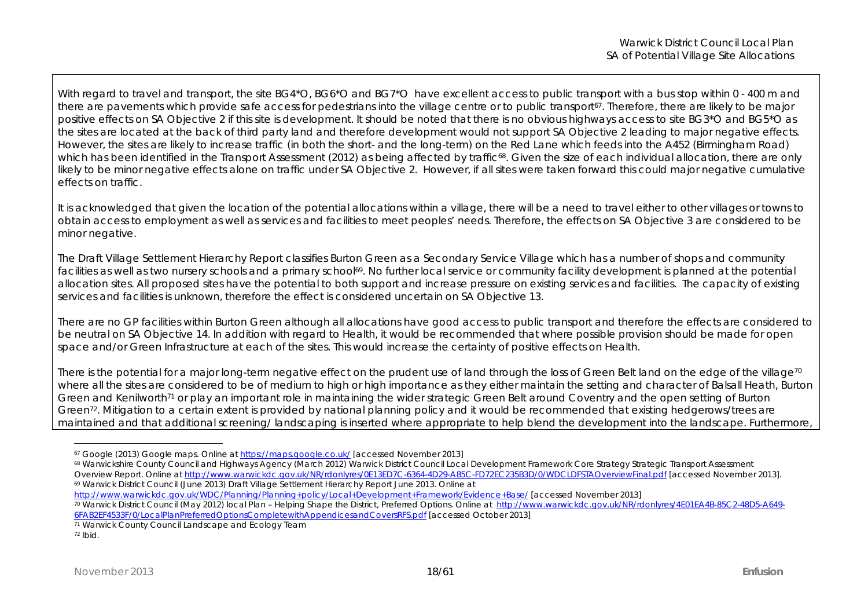With regard to travel and transport, the site BG4\*O, BG6\*O and BG7\*O have excellent access to public transport with a bus stop within 0 - 400 m and there are pavements which provide safe access for pedestrians into the village centre or to public transport<sup>67</sup>. Therefore, there are likely to be major positive effects on SA Objective 2 if this site is development. It should be noted that there is no obvious highways access to site BG3\*O and BG5\*O as the sites are located at the back of third party land and therefore development would not support SA Objective 2 leading to major negative effects. However, the sites are likely to increase traffic (in both the short- and the long-term) on the Red Lane which feeds into the A452 (Birmingham Road) which has been identified in the Transport Assessment (2012) as being affected by traffic<sup>68</sup>. Given the size of each individual allocation, there are only likely to be minor negative effects alone on traffic under SA Objective 2. However, if all sites were taken forward this could major negative cumulative effects on traffic.

It is acknowledged that given the location of the potential allocations within a village, there will be a need to travel either to other villages or towns to obtain access to employment as well as services and facilities to meet peoples' needs. Therefore, the effects on SA Objective 3 are considered to be minor negative.

The Draft Village Settlement Hierarchy Report classifies Burton Green as a Secondary Service Village which has a number of shops and community facilities as well as two nursery schools and a primary school<sup>69</sup>. No further local service or community facility development is planned at the potential allocation sites. All proposed sites have the potential to both support and increase pressure on existing services and facilities. The capacity of existing services and facilities is unknown, therefore the effect is considered uncertain on SA Objective 13.

There are no GP facilities within Burton Green although all allocations have good access to public transport and therefore the effects are considered to be neutral on SA Objective 14. In addition with regard to Health, it would be recommended that where possible provision should be made for open space and/or Green Infrastructure at each of the sites. This would increase the certainty of positive effects on Health.

There is the potential for a major long-term negative effect on the prudent use of land through the loss of Green Belt land on the edge of the village<sup>70</sup> where all the sites are considered to be of medium to high or high importance as they either maintain the setting and character of Balsall Heath, Burton Green and Kenilworth<sup>71</sup> or play an important role in maintaining the wider strategic Green Belt around Coventry and the open setting of Burton Green72. Mitigation to a certain extent is provided by national planning policy and it would be recommended that existing hedgerows/trees are maintained and that additional screening/ landscaping is inserted where appropriate to help blend the development into the landscape. Furthermore,

<sup>67</sup> Google (2013) Google maps. Online at https://maps.google.co.uk/ [accessed November 2013]

<sup>68</sup> Warwickshire County Council and Highways Agency (March 2012) Warwick District Council Local Development Framework Core Strategy Strategic Transport Assessment Overview Report. Online at http://www.warwickdc.gov.uk/NR/rdonlyres/0E13ED7C-6364-4D29-A85C-FD72EC235B3D/0/WDCLDFSTAOverviewFinal.pdf [accessed November 2013]. 69 Warwick District Council (June 2013) Draft Village Settlement Hierarchy Report June 2013. Online at

http://www.warwickdc.gov.uk/WDC/Planning/Planning+policy/Local+Development+Framework/Evidence+Base/ [accessed November 2013]

<sup>70</sup> Warwick District Council (May 2012) local Plan – Helping Shape the District, Preferred Options. Online at http://www.warwickdc.gov.uk/NR/rdonlyres/4E01EA4B-85C2-48D5-A649- 6FAB2EF4533F/0/LocalPlanPreferredOptionsCompletewithAppendicesandCoversRFS.pdf [accessed October 2013]

<sup>71</sup> Warwick County Council Landscape and Ecology Team

<sup>72</sup> Ibid.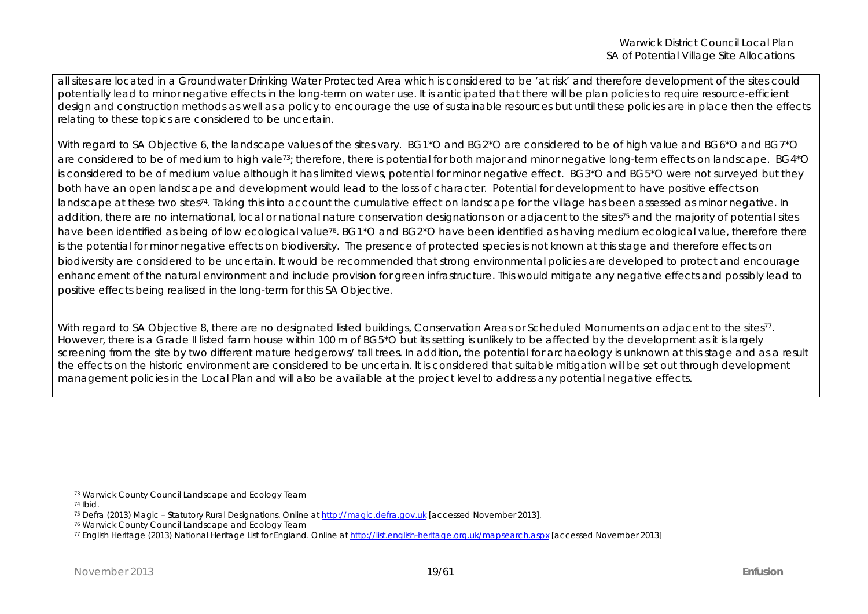all sites are located in a Groundwater Drinking Water Protected Area which is considered to be 'at risk' and therefore development of the sites could potentially lead to minor negative effects in the long-term on water use. It is anticipated that there will be plan policies to require resource-efficient design and construction methods as well as a policy to encourage the use of sustainable resources but until these policies are in place then the effects relating to these topics are considered to be uncertain.

With regard to SA Objective 6, the landscape values of the sites vary. BG1\*O and BG2\*O are considered to be of high value and BG6\*O and BG7\*O are considered to be of medium to high vale<sup>73</sup>; therefore, there is potential for both major and minor negative long-term effects on landscape. BG4\*O is considered to be of medium value although it has limited views, potential for minor negative effect. BG3\*O and BG5\*O were not surveyed but they both have an open landscape and development would lead to the loss of character. Potential for development to have positive effects on landscape at these two sites<sup>74</sup>. Taking this into account the cumulative effect on landscape for the village has been assessed as minor negative. In addition, there are no international, local or national nature conservation designations on or adjacent to the sites<sup>75</sup> and the majority of potential sites have been identified as being of low ecological value<sup>76</sup>. BG1\*O and BG2\*O have been identified as having medium ecological value, therefore there is the potential for minor negative effects on biodiversity. The presence of protected species is not known at this stage and therefore effects on biodiversity are considered to be uncertain. It would be recommended that strong environmental policies are developed to protect and encourage enhancement of the natural environment and include provision for green infrastructure. This would mitigate any negative effects and possibly lead to positive effects being realised in the long-term for this SA Objective.

With regard to SA Objective 8, there are no designated listed buildings, Conservation Areas or Scheduled Monuments on adjacent to the sites<sup>77</sup>. However, there is a Grade II listed farm house within 100 m of BG5<sup>\*</sup>O but its setting is unlikely to be affected by the development as it is largely screening from the site by two different mature hedgerows/ tall trees. In addition, the potential for archaeology is unknown at this stage and as a result the effects on the historic environment are considered to be uncertain. It is considered that suitable mitigation will be set out through development management policies in the Local Plan and will also be available at the project level to address any potential negative effects.

74 Ibid.

<sup>73</sup> Warwick County Council Landscape and Ecology Team

<sup>75</sup> Defra (2013) Magic – Statutory Rural Designations. Online at http://magic.defra.gov.uk [accessed November 2013].

<sup>76</sup> Warwick County Council Landscape and Ecology Team

<sup>77</sup> English Heritage (2013) National Heritage List for England. Online at http://list.english-heritage.org.uk/mapsearch.aspx [accessed November 2013]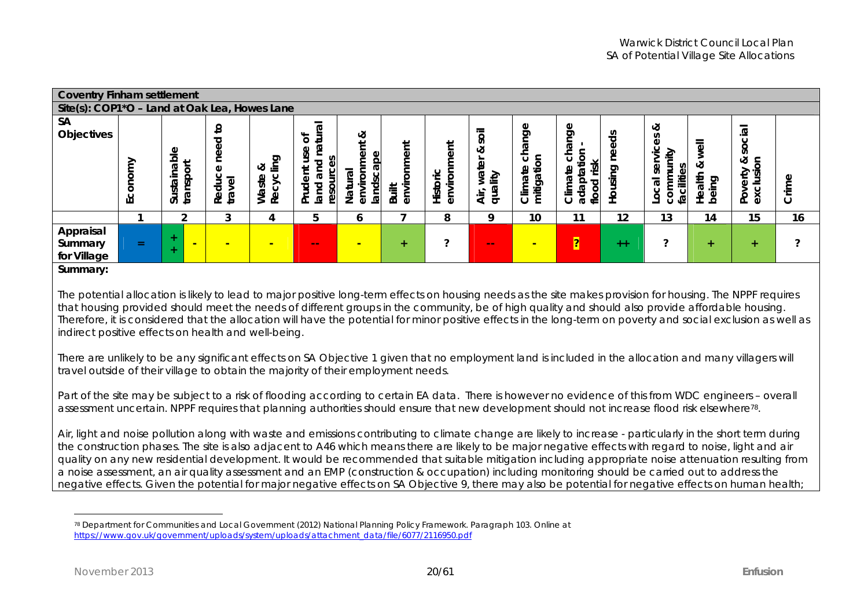|                                               | <b>Coventry Finham settlement</b> |                                             |                                          |                                |                                                                                     |                                                                                                 |                     |                                |                                              |                                              |                                                                  |                 |                                                                                              |                                                  |                                                       |           |
|-----------------------------------------------|-----------------------------------|---------------------------------------------|------------------------------------------|--------------------------------|-------------------------------------------------------------------------------------|-------------------------------------------------------------------------------------------------|---------------------|--------------------------------|----------------------------------------------|----------------------------------------------|------------------------------------------------------------------|-----------------|----------------------------------------------------------------------------------------------|--------------------------------------------------|-------------------------------------------------------|-----------|
| Site(s): COP1*O - Land at Oak Lea, Howes Lane |                                   |                                             |                                          |                                |                                                                                     |                                                                                                 |                     |                                |                                              |                                              |                                                                  |                 |                                                                                              |                                                  |                                                       |           |
| <b>SA</b><br><b>Objectives</b>                | ξ<br>입                            | $\frac{e}{\alpha}$<br>transport<br>Sustaina | <u>ୁ</u><br>need<br>Ф<br>Reduc<br>travel | פַ<br>≝<br>∞<br>Waste<br>Recyc | $\overline{\mathfrak{a}}$<br>৳<br>ᢐ<br>use<br>ਨ<br>Prudent<br>నె<br>resourc<br>land | త<br>ent<br>등<br>$\overline{\sigma}$<br>envir<br>▿<br>$\overline{\mathsf{a}}$<br>$\overline{z}$ | ΕĦ<br>envi<br>Built | hent<br>Historic<br>ŏ<br>envir | soil<br>∞<br>ater<br>quality<br>⋧<br>-<br>दं | hange<br>৳<br>c<br>c<br>Climate<br>mitigatio | ange<br>$\tilde{\epsilon}$<br>tation<br>Climate<br>adapi<br>floo | ငိ<br>sing<br>오 | త<br>n<br>Φ<br>≝<br>৳<br>Ĕ<br>facilities<br>s<br>$\overline{\sigma}$<br>com<br><u>ن</u><br>ق | $\bar{\bar{\mathbb{e}}}$<br>త<br>Health<br>being | social<br>⊂<br>త<br>Poverty<br><b>Slusi</b><br>×<br>Ö | Φ<br>Crim |
|                                               |                                   | 2                                           | 3                                        | 4                              | 5                                                                                   | 6                                                                                               |                     | 8                              | 9                                            | 10                                           | 11                                                               | 12              | 13                                                                                           | 14                                               | 15                                                    | 16        |
| Appraisal<br>Summary<br>for Village           | =                                 | $\overline{ }$<br>$\overline{1}$            |                                          | $\blacksquare$                 | $\sim$ $\sim$                                                                       | -                                                                                               | ÷                   | 7                              | $\sim$ $\sim$                                | -                                            | $\overline{\mathbf{r}}$                                          | $++$            | 7                                                                                            | $\ddot{}$                                        | ÷                                                     | 2         |
| Summary:                                      |                                   |                                             |                                          |                                |                                                                                     |                                                                                                 |                     |                                |                                              |                                              |                                                                  |                 |                                                                                              |                                                  |                                                       |           |

The potential allocation is likely to lead to major positive long-term effects on housing needs as the site makes provision for housing. The NPPF requires that housing provided should meet the needs of different groups in the community, be of high quality and should also provide affordable housing. Therefore, it is considered that the allocation will have the potential for minor positive effects in the long-term on poverty and social exclusion as well as indirect positive effects on health and well-being.

There are unlikely to be any significant effects on SA Objective 1 given that no employment land is included in the allocation and many villagers will travel outside of their village to obtain the majority of their employment needs.

Part of the site may be subject to a risk of flooding according to certain EA data. There is however no evidence of this from WDC engineers – overall assessment uncertain. NPPF requires that planning authorities should ensure that new development should not increase flood risk elsewhere<sup>78</sup>.

Air, light and noise pollution along with waste and emissions contributing to climate change are likely to increase - particularly in the short term during the construction phases. The site is also adjacent to A46 which means there are likely to be major negative effects with regard to noise, light and air quality on any new residential development. It would be recommended that suitable mitigation including appropriate noise attenuation resulting from a noise assessment, an air quality assessment and an EMP (construction & occupation) including monitoring should be carried out to address the negative effects. Given the potential for major negative effects on SA Objective 9, there may also be potential for negative effects on human health;

<sup>78</sup> Department for Communities and Local Government (2012) National Planning Policy Framework. Paragraph 103. Online at https://www.gov.uk/government/uploads/system/uploads/attachment\_data/file/6077/2116950.pdf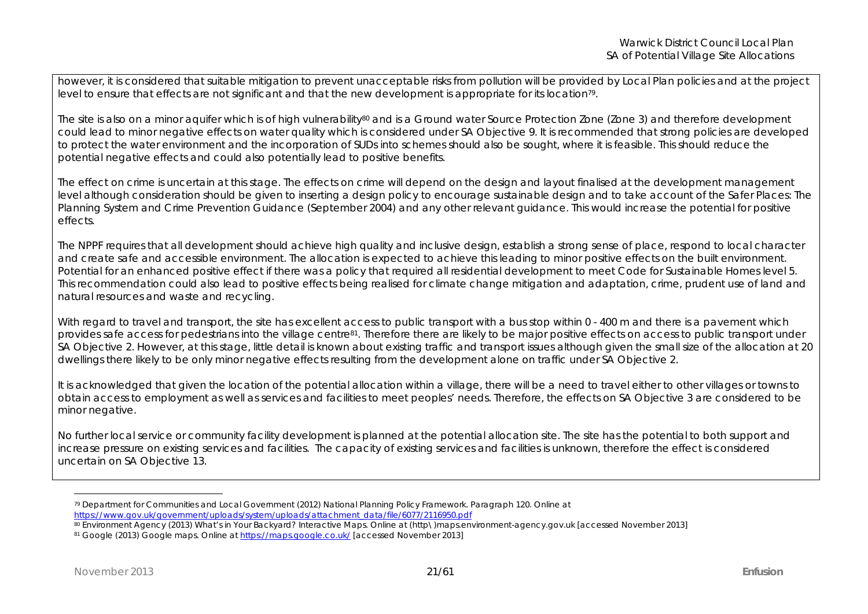however, it is considered that suitable mitigation to prevent unacceptable risks from pollution will be provided by Local Plan policies and at the project level to ensure that effects are not significant and that the new development is appropriate for its location79.

The site is also on a minor aquifer which is of high vulnerability<sup>80</sup> and is a Ground water Source Protection Zone (Zone 3) and therefore development could lead to minor negative effects on water quality which is considered under SA Objective 9. It is recommended that strong policies are developed to protect the water environment and the incorporation of SUDs into schemes should also be sought, where it is feasible. This should reduce the potential negative effects and could also potentially lead to positive benefits.

The effect on crime is uncertain at this stage. The effects on crime will depend on the design and layout finalised at the development management level although consideration should be given to inserting a design policy to encourage sustainable design and to take account of the Safer Places: The Planning System and Crime Prevention Guidance (September 2004) and any other relevant guidance. This would increase the potential for positive effects.

The NPPF requires that all development should achieve high quality and inclusive design, establish a strong sense of place, respond to local character and create safe and accessible environment. The allocation is expected to achieve this leading to minor positive effects on the built environment. Potential for an enhanced positive effect if there was a policy that required all residential development to meet Code for Sustainable Homes level 5. This recommendation could also lead to positive effects being realised for climate change mitigation and adaptation, crime, prudent use of land and natural resources and waste and recycling.

With regard to travel and transport, the site has excellent access to public transport with a bus stop within 0 - 400 m and there is a pavement which provides safe access for pedestrians into the village centre81. Therefore there are likely to be major positive effects on access to public transport under SA Objective 2. However, at this stage, little detail is known about existing traffic and transport issues although given the small size of the allocation at 20 dwellings there likely to be only minor negative effects resulting from the development alone on traffic under SA Objective 2.

It is acknowledged that given the location of the potential allocation within a village, there will be a need to travel either to other villages or towns to obtain access to employment as well as services and facilities to meet peoples' needs. Therefore, the effects on SA Objective 3 are considered to be minor negative.

No further local service or community facility development is planned at the potential allocation site. The site has the potential to both support and increase pressure on existing services and facilities. The capacity of existing services and facilities is unknown, therefore the effect is considered uncertain on SA Objective 13.

<sup>79</sup> Department for Communities and Local Government (2012) National Planning Policy Framework. Paragraph 120. Online at https://www.gov.uk/government/uploads/system/uploads/attachment\_data/file/6077/2116950.pdf

<sup>80</sup> Environment Agency (2013) What's in Your Backyard? Interactive Maps. Online at (http\)maps.environment-agency.gov.uk [accessed November 2013]

<sup>81</sup> Google (2013) Google maps. Online at https://maps.google.co.uk/ [accessed November 2013]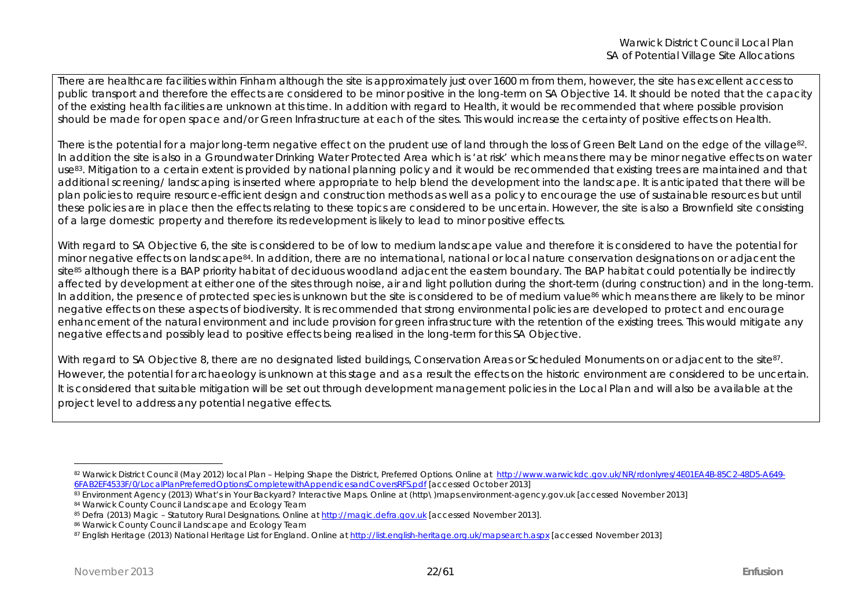There are healthcare facilities within Finham although the site is approximately just over 1600 m from them, however, the site has excellent access to public transport and therefore the effects are considered to be minor positive in the long-term on SA Objective 14. It should be noted that the capacity of the existing health facilities are unknown at this time. In addition with regard to Health, it would be recommended that where possible provision should be made for open space and/or Green Infrastructure at each of the sites. This would increase the certainty of positive effects on Health.

There is the potential for a major long-term negative effect on the prudent use of land through the loss of Green Belt Land on the edge of the village<sup>82</sup>. In addition the site is also in a Groundwater Drinking Water Protected Area which is 'at risk' which means there may be minor negative effects on water use<sup>83</sup>. Mitigation to a certain extent is provided by national planning policy and it would be recommended that existing trees are maintained and that additional screening/ landscaping is inserted where appropriate to help blend the development into the landscape. It is anticipated that there will be plan policies to require resource-efficient design and construction methods as well as a policy to encourage the use of sustainable resources but until these policies are in place then the effects relating to these topics are considered to be uncertain. However, the site is also a Brownfield site consisting of a large domestic property and therefore its redevelopment is likely to lead to minor positive effects.

With regard to SA Objective 6, the site is considered to be of low to medium landscape value and therefore it is considered to have the potential for minor negative effects on landscape<sup>84</sup>. In addition, there are no international, national or local nature conservation designations on or adjacent the site<sup>85</sup> although there is a BAP priority habitat of deciduous woodland adjacent the eastern boundary. The BAP habitat could potentially be indirectly affected by development at either one of the sites through noise, air and light pollution during the short-term (during construction) and in the long-term. In addition, the presence of protected species is unknown but the site is considered to be of medium value<sup>86</sup> which means there are likely to be minor negative effects on these aspects of biodiversity. It is recommended that strong environmental policies are developed to protect and encourage enhancement of the natural environment and include provision for green infrastructure with the retention of the existing trees. This would mitigate any negative effects and possibly lead to positive effects being realised in the long-term for this SA Objective.

With regard to SA Objective 8, there are no designated listed buildings, Conservation Areas or Scheduled Monuments on or adjacent to the site87. However, the potential for archaeology is unknown at this stage and as a result the effects on the historic environment are considered to be uncertain. It is considered that suitable mitigation will be set out through development management policies in the Local Plan and will also be available at the project level to address any potential negative effects.

<sup>82</sup> Warwick District Council (May 2012) local Plan – Helping Shape the District, Preferred Options. Online at http://www.warwickdc.gov.uk/NR/rdonlyres/4E01EA4B-85C2-48D5-A649-6FAB2EF4533F/0/LocalPlanPreferredOptionsCompletewithAppendicesandCoversRFS.pdf [accessed October 2013]

<sup>83</sup> Environment Agency (2013) What's in Your Backyard? Interactive Maps. Online at (http\)maps.environment-agency.gov.uk [accessed November 2013]

<sup>84</sup> Warwick County Council Landscape and Ecology Team

<sup>85</sup> Defra (2013) Magic – Statutory Rural Designations. Online at http://magic.defra.gov.uk [accessed November 2013].

<sup>86</sup> Warwick County Council Landscape and Ecology Team

<sup>87</sup> English Heritage (2013) National Heritage List for England. Online at http://list.english-heritage.org.uk/mapsearch.aspx [accessed November 2013]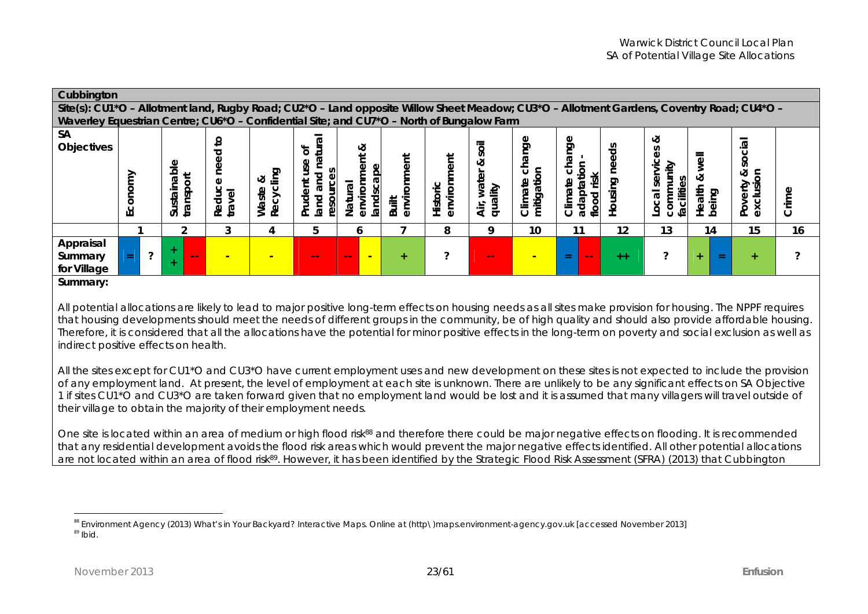| Cubbington        |                                                                                                                                                                                                                                        |                         |            |        |            |              |               |                   |         |          |                                                  |       |               |                         |         |             |
|-------------------|----------------------------------------------------------------------------------------------------------------------------------------------------------------------------------------------------------------------------------------|-------------------------|------------|--------|------------|--------------|---------------|-------------------|---------|----------|--------------------------------------------------|-------|---------------|-------------------------|---------|-------------|
|                   | Site(s): CU1*O - Allotment land, Rugby Road; CU2*O - Land opposite Willow Sheet Meadow; CU3*O - Allotment Gardens, Coventry Road; CU4*O -<br>Waverley Equestrian Centre; CU6*O - Confidential Site; and CU7*O - North of Bungalow Farm |                         |            |        |            |              |               |                   |         |          |                                                  |       |               |                         |         |             |
|                   |                                                                                                                                                                                                                                        |                         |            |        |            |              |               |                   |         |          |                                                  |       |               |                         |         |             |
| <b>SA</b>         | <u>o</u><br>త<br>ω<br>త                                                                                                                                                                                                                |                         |            |        |            |              |               |                   |         |          |                                                  |       |               |                         |         |             |
| <b>Objectives</b> | ρg<br>ㅎ<br>ρņ<br>ಕೆ<br>৳                                                                                                                                                                                                               |                         |            |        |            |              |               |                   |         |          |                                                  |       |               |                         |         |             |
|                   |                                                                                                                                                                                                                                        |                         | need       |        | ᡴᠦ         |              |               | ξ                 |         |          |                                                  | Φ     |               |                         | S       |             |
|                   |                                                                                                                                                                                                                                        | $\frac{1}{\Omega}$<br>Ф |            |        |            | Φ            |               |                   |         |          |                                                  |       | Φ             |                         | త       |             |
|                   |                                                                                                                                                                                                                                        | sport<br>$\frac{1}{10}$ |            | త<br>Φ | ಸ          | ᢐ            |               |                   | o       | ate<br>đ | nate                                             |       |               |                         | SU      |             |
|                   |                                                                                                                                                                                                                                        | šü                      | duc<br>yel | Wast   | ਹ          | and          |               | Historic<br>envir | quality | mitig    |                                                  |       | faciliti<br>ω | alth<br>Health<br>being | Poverty |             |
|                   | ш                                                                                                                                                                                                                                      | tran<br>$\mathfrak o$   | Γā<br>œ    | ഷ      | ă<br>Φ     | envi<br>Natu | envi<br>Built |                   | दै      | ri<br>تا | floo<br><b>Jin</b><br>ਹ<br>$\boldsymbol{\varpi}$ |       | ပိ<br>ŏ       |                         | (I)     | <b>Crim</b> |
|                   |                                                                                                                                                                                                                                        |                         | 3          |        | 5          | n            |               | 8                 | Q       | 10       | 11                                               | 12    | 13            | 14                      | 15      | 16          |
| Appraisal         |                                                                                                                                                                                                                                        |                         |            |        |            |              |               |                   |         |          |                                                  |       |               |                         |         |             |
| Summary           | ?<br>$=$                                                                                                                                                                                                                               |                         |            |        | $\sim$ $-$ | $- -$        |               | 2                 | $\sim$  |          | $=$<br>$\sim$ $\sim$                             | $+ +$ | 2             | $=$<br>÷                |         |             |
| for Village       |                                                                                                                                                                                                                                        |                         |            |        |            |              |               |                   |         |          |                                                  |       |               |                         |         |             |
|                   |                                                                                                                                                                                                                                        |                         |            |        |            |              |               |                   |         |          |                                                  |       |               |                         |         |             |

# **Summary:**

All potential allocations are likely to lead to major positive long-term effects on housing needs as all sites make provision for housing. The NPPF requires that housing developments should meet the needs of different groups in the community, be of high quality and should also provide affordable housing. Therefore, it is considered that all the allocations have the potential for minor positive effects in the long-term on poverty and social exclusion as well as indirect positive effects on health.

All the sites except for CU1\*O and CU3\*O have current employment uses and new development on these sites is not expected to include the provision of any employment land. At present, the level of employment at each site is unknown. There are unlikely to be any significant effects on SA Objective 1 if sites CU1\*O and CU3\*O are taken forward given that no employment land would be lost and it is assumed that many villagers will travel outside of their village to obtain the majority of their employment needs.

One site is located within an area of medium or high flood risk<sup>88</sup> and therefore there could be major negative effects on flooding. It is recommended that any residential development avoids the flood risk areas which would prevent the major negative effects identified. All other potential allocations are not located within an area of flood risk<sup>89</sup>. However, it has been identified by the Strategic Flood Risk Assessment (SFRA) (2013) that Cubbington

<sup>88</sup> Environment Agency (2013) What's in Your Backyard? Interactive Maps. Online at (http\)maps.environment-agency.gov.uk [accessed November 2013] <sup>89</sup> Ibid.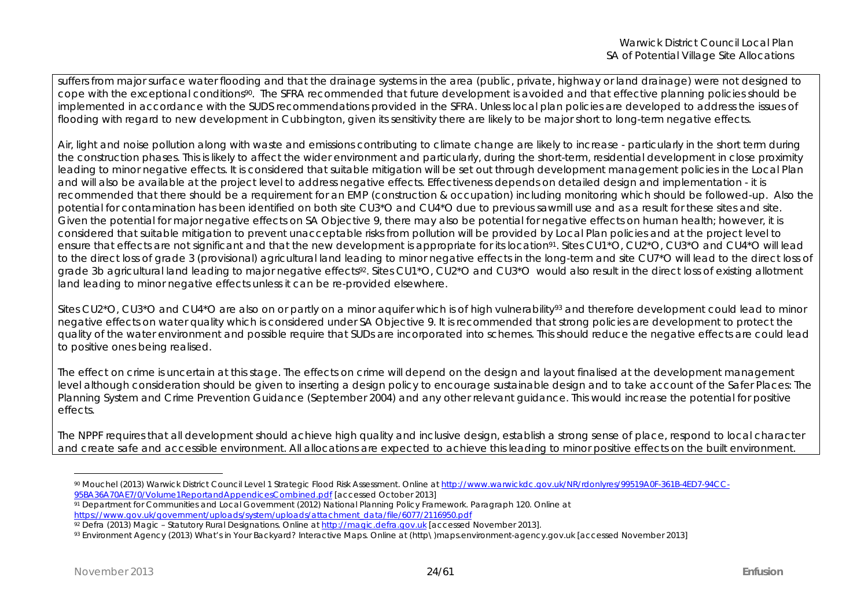suffers from major surface water flooding and that the drainage systems in the area (public, private, highway or land drainage) were not designed to cope with the exceptional conditions<sup>90</sup>. The SFRA recommended that future development is avoided and that effective planning policies should be implemented in accordance with the SUDS recommendations provided in the SFRA. Unless local plan policies are developed to address the issues of flooding with regard to new development in Cubbington, given its sensitivity there are likely to be major short to long-term negative effects.

Air, light and noise pollution along with waste and emissions contributing to climate change are likely to increase - particularly in the short term during the construction phases. This is likely to affect the wider environment and particularly, during the short-term, residential development in close proximity leading to minor negative effects. It is considered that suitable mitigation will be set out through development management policies in the Local Plan and will also be available at the project level to address negative effects. Effectiveness depends on detailed design and implementation - it is recommended that there should be a requirement for an EMP (construction & occupation) including monitoring which should be followed-up. Also the potential for contamination has been identified on both site CU3\*O and CU4\*O due to previous sawmill use and as a result for these sites and site. Given the potential for major negative effects on SA Objective 9, there may also be potential for negative effects on human health; however, it is considered that suitable mitigation to prevent unacceptable risks from pollution will be provided by Local Plan policies and at the project level to ensure that effects are not significant and that the new development is appropriate for its location<sup>91</sup>. Sites CU1\*O, CU2\*O, CU3\*O and CU4\*O will lead to the direct loss of grade 3 (provisional) agricultural land leading to minor negative effects in the long-term and site CU7\*O will lead to the direct loss of grade 3b agricultural land leading to major negative effects<sup>92</sup>. Sites CU1\*O, CU2\*O and CU3\*O would also result in the direct loss of existing allotment land leading to minor negative effects unless it can be re-provided elsewhere.

Sites CU2<sup>\*</sup>O, CU3<sup>\*</sup>O and CU4<sup>\*</sup>O are also on or partly on a minor aquifer which is of high vulnerability<sup>93</sup> and therefore development could lead to minor negative effects on water quality which is considered under SA Objective 9. It is recommended that strong policies are development to protect the quality of the water environment and possible require that SUDs are incorporated into schemes. This should reduce the negative effects are could lead to positive ones being realised.

The effect on crime is uncertain at this stage. The effects on crime will depend on the design and layout finalised at the development management level although consideration should be given to inserting a design policy to encourage sustainable design and to take account of the Safer Places: The Planning System and Crime Prevention Guidance (September 2004) and any other relevant guidance. This would increase the potential for positive effects.

The NPPF requires that all development should achieve high quality and inclusive design, establish a strong sense of place, respond to local character and create safe and accessible environment. All allocations are expected to achieve this leading to minor positive effects on the built environment.

<sup>%</sup> Mouchel (2013) Warwick District Council Level 1 Strategic Flood Risk Assessment. Online at http://www.warwickdc.gov.uk/NR/rdonlyres/99519A0F-361B-4ED7-94CC-95BA36A70AE7/0/Volume1ReportandAppendicesCombined.pdf [accessed October 2013]

<sup>91</sup> Department for Communities and Local Government (2012) National Planning Policy Framework. Paragraph 120. Online at https://www.gov.uk/government/uploads/system/uploads/attachment\_data/file/6077/2116950.pdf

<sup>92</sup> Defra (2013) Magic – Statutory Rural Designations. Online at http://magic.defra.gov.uk [accessed November 2013].

<sup>93</sup> Environment Agency (2013) What's in Your Backyard? Interactive Maps. Online at (http\)maps.environment-agency.gov.uk [accessed November 2013]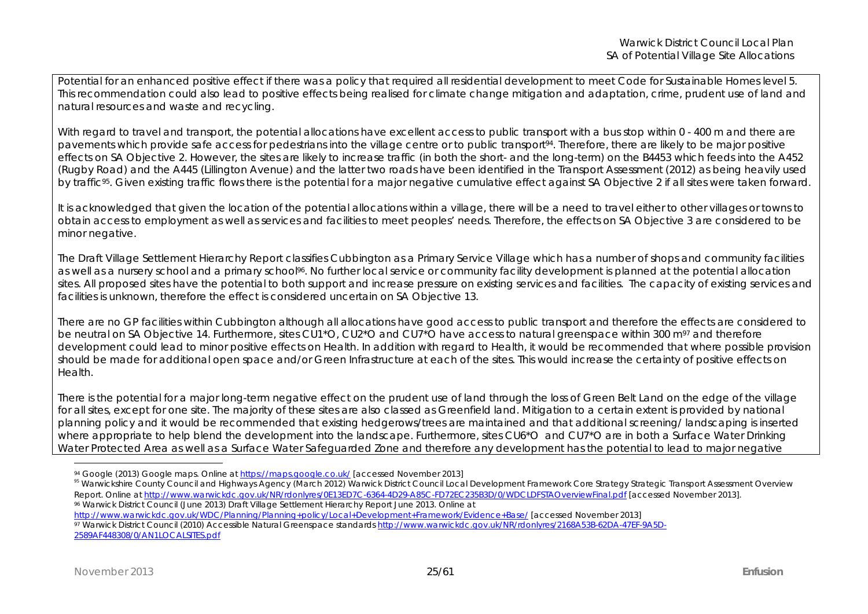Potential for an enhanced positive effect if there was a policy that required all residential development to meet Code for Sustainable Homes level 5. This recommendation could also lead to positive effects being realised for climate change mitigation and adaptation, crime, prudent use of land and natural resources and waste and recycling.

With regard to travel and transport, the potential allocations have excellent access to public transport with a bus stop within 0 - 400 m and there are pavements which provide safe access for pedestrians into the village centre or to public transport94. Therefore, there are likely to be major positive effects on SA Objective 2. However, the sites are likely to increase traffic (in both the short- and the long-term) on the B4453 which feeds into the A452 (Rugby Road) and the A445 (Lillington Avenue) and the latter two roads have been identified in the Transport Assessment (2012) as being heavily used by traffic<sup>95</sup>. Given existing traffic flows there is the potential for a major negative cumulative effect against SA Objective 2 if all sites were taken forward.

It is acknowledged that given the location of the potential allocations within a village, there will be a need to travel either to other villages or towns to obtain access to employment as well as services and facilities to meet peoples' needs. Therefore, the effects on SA Objective 3 are considered to be minor negative.

The Draft Village Settlement Hierarchy Report classifies Cubbington as a Primary Service Village which has a number of shops and community facilities as well as a nursery school and a primary school96. No further local service or community facility development is planned at the potential allocation sites. All proposed sites have the potential to both support and increase pressure on existing services and facilities. The capacity of existing services and facilities is unknown, therefore the effect is considered uncertain on SA Objective 13.

There are no GP facilities within Cubbington although all allocations have good access to public transport and therefore the effects are considered to be neutral on SA Objective 14. Furthermore, sites CU1\*O, CU2\*O and CU7\*O have access to natural greenspace within 300 m<sup>97</sup> and therefore development could lead to minor positive effects on Health. In addition with regard to Health, it would be recommended that where possible provision should be made for additional open space and/or Green Infrastructure at each of the sites. This would increase the certainty of positive effects on Health.

There is the potential for a major long-term negative effect on the prudent use of land through the loss of Green Belt Land on the edge of the village for all sites, except for one site. The majority of these sites are also classed as Greenfield land. Mitigation to a certain extent is provided by national planning policy and it would be recommended that existing hedgerows/trees are maintained and that additional screening/ landscaping is inserted where appropriate to help blend the development into the landscape. Furthermore, sites CU6\*O and CU7\*O are in both a Surface Water Drinking Water Protected Area as well as a Surface Water Safeguarded Zone and therefore any development has the potential to lead to major negative

<sup>95</sup> Warwickshire County Council and Highways Agency (March 2012) Warwick District Council Local Development Framework Core Strategy Strategic Transport Assessment Overview Report. Online at http://www.warwickdc.gov.uk/NR/rdonlyres/0E13ED7C-6364-4D29-A85C-FD72EC235B3D/0/WDCLDFSTAOverviewFinal.pdf [accessed November 2013].

96 Warwick District Council (June 2013) Draft Village Settlement Hierarchy Report June 2013. Online at http://www.warwickdc.gov.uk/WDC/Planning/Planning+policy/Local+Development+Framework/Evidence+Base/ [accessed November 2013] 97 Warwick District Council (2010) Accessible Natural Greenspace standards http://www.warwickdc.gov.uk/NR/rdonlyres/2168A53B-62DA-47EF-9A5D-2589AF448308/0/AN1LOCALSITES.pdf

<sup>94</sup> Google (2013) Google maps. Online at https://maps.google.co.uk/ [accessed November 2013]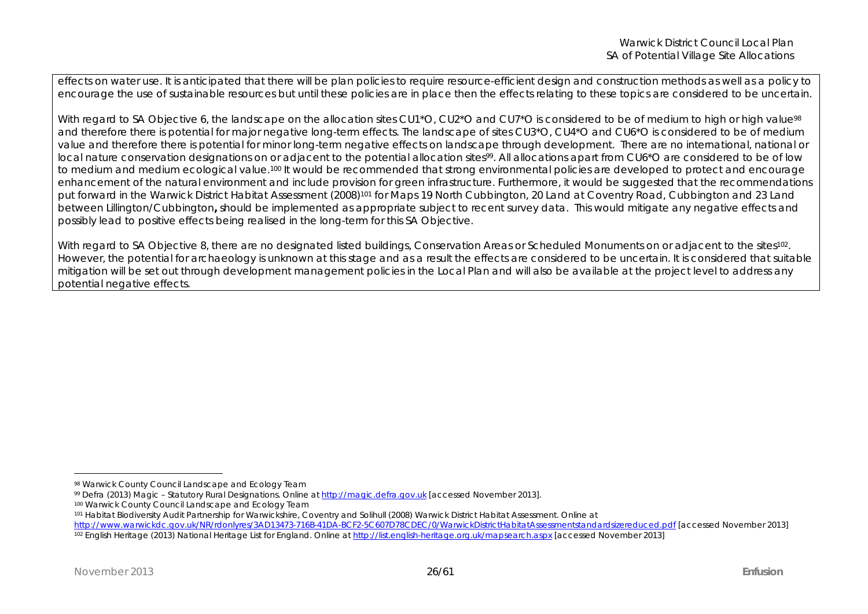effects on water use. It is anticipated that there will be plan policies to require resource-efficient design and construction methods as well as a policy to encourage the use of sustainable resources but until these policies are in place then the effects relating to these topics are considered to be uncertain.

With regard to SA Objective 6, the landscape on the allocation sites CU1\*O, CU2\*O and CU7\*O is considered to be of medium to high or high value<sup>98</sup> and therefore there is potential for major negative long-term effects. The landscape of sites CU3\*O, CU4\*O and CU6\*O is considered to be of medium value and therefore there is potential for minor long-term negative effects on landscape through development. There are no international, national or local nature conservation designations on or adjacent to the potential allocation sites<sup>99</sup>. All allocations apart from CU6<sup>\*</sup>O are considered to be of low to medium and medium ecological value.100 It would be recommended that strong environmental policies are developed to protect and encourage enhancement of the natural environment and include provision for green infrastructure. Furthermore, it would be suggested that the recommendations put forward in the Warwick District Habitat Assessment (2008)101 for Maps 19 North Cubbington, 20 Land at Coventry Road, Cubbington and 23 Land between Lillington/Cubbington**,** should be implemented as appropriate subject to recent survey data. This would mitigate any negative effects and possibly lead to positive effects being realised in the long-term for this SA Objective.

With regard to SA Objective 8, there are no designated listed buildings, Conservation Areas or Scheduled Monuments on or adjacent to the sites<sup>102</sup>. However, the potential for archaeology is unknown at this stage and as a result the effects are considered to be uncertain. It is considered that suitable mitigation will be set out through development management policies in the Local Plan and will also be available at the project level to address any potential negative effects.

<sup>98</sup> Warwick County Council Landscape and Ecology Team

<sup>99</sup> Defra (2013) Magic – Statutory Rural Designations. Online at http://magic.defra.gov.uk [accessed November 2013].

<sup>100</sup> Warwick County Council Landscape and Ecology Team

<sup>101</sup> Habitat Biodiversity Audit Partnership for Warwickshire, Coventry and Solihull (2008) Warwick District Habitat Assessment. Online at

http://www.warwickdc.gov.uk/NR/rdonlyres/3AD13473-716B-41DA-BCF2-5C607D78CDEC/0/WarwickDistrictHabitatAssessmentstandardsizereduced.pdf [accessed November 2013] 102 English Heritage (2013) National Heritage List for England. Online at http://list.english-heritage.org.uk/mapsearch.aspx [accessed November 2013]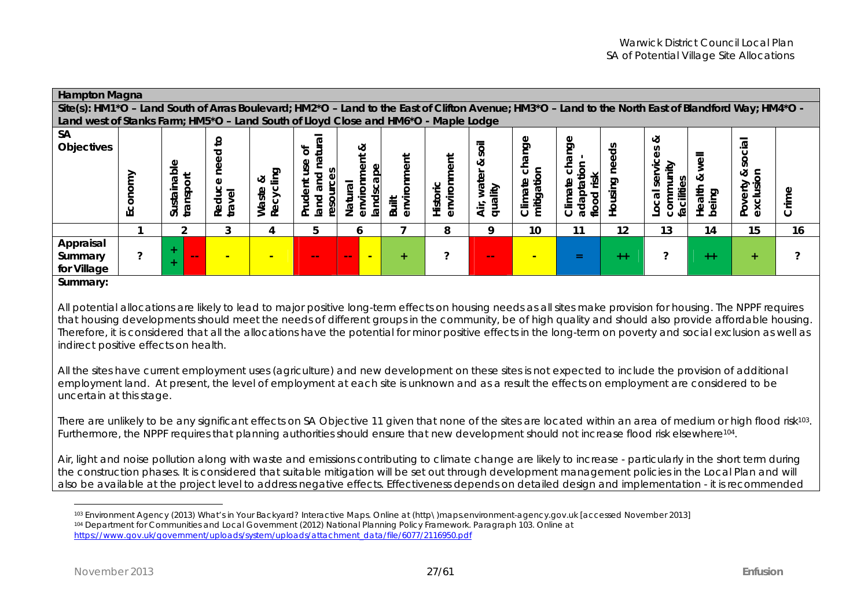| <b>Hampton Magna</b>                                                                                                                                 |                                                                                                                                                                                                                                                                                                                                                                                                                                                                                                                                           |        |            |  |               |       |   |   |      |        |       |                   |    |      |           |    |
|------------------------------------------------------------------------------------------------------------------------------------------------------|-------------------------------------------------------------------------------------------------------------------------------------------------------------------------------------------------------------------------------------------------------------------------------------------------------------------------------------------------------------------------------------------------------------------------------------------------------------------------------------------------------------------------------------------|--------|------------|--|---------------|-------|---|---|------|--------|-------|-------------------|----|------|-----------|----|
| Site(s): HM1*O – Land South of Arras Boulevard; HM2*O – Land to the East of Clifton Avenue; HM3*O – Land to the North East of Blandford Way; HM4*O - |                                                                                                                                                                                                                                                                                                                                                                                                                                                                                                                                           |        |            |  |               |       |   |   |      |        |       |                   |    |      |           |    |
| Land west of Stanks Farm; HM5*O - Land South of Lloyd Close and HM6*O - Maple Lodge                                                                  |                                                                                                                                                                                                                                                                                                                                                                                                                                                                                                                                           |        |            |  |               |       |   |   |      |        |       |                   |    |      |           |    |
| <b>SA</b><br><b>Objectives</b>                                                                                                                       |                                                                                                                                                                                                                                                                                                                                                                                                                                                                                                                                           |        | <u>ِهِ</u> |  | ಸ<br>৳        | త     |   |   | soil | change | hange | ಕೆ                | ళ  |      |           |    |
|                                                                                                                                                      | natur.<br>need<br>Ξ<br>ent<br>ent<br>Φ<br>Se<br>త<br>Ьe<br>Ō<br>క్<br>ပ<br>٩<br>త<br>water<br>ē<br>ਹ<br>≈<br>transport<br>ō<br>త<br>g<br>త<br>ate<br>פַר<br>ā<br>Φ<br>ξ<br>Climate<br>mitigatio<br>δ<br>σ<br>erty<br>ustain<br>Historic<br>quality<br>duc<br>g<br>dile<br>Waste<br>facilitie<br>Crime<br>travel<br>being<br>$\overline{\mathfrak{g}}$<br>flood<br>Ĕ<br>Natu<br>envir<br>Clim<br>envir<br>ರ<br>and<br>land<br>Built<br>δñ<br><b>Pod</b><br>ن<br>2<br>َّفِ<br>ತ<br>दै<br>우<br>œ<br>δŘ<br>ഷ<br>$\omega$<br>ᅔ<br>σ.<br>ய<br>Ō |        |            |  |               |       |   |   |      |        |       |                   |    |      |           |    |
|                                                                                                                                                      |                                                                                                                                                                                                                                                                                                                                                                                                                                                                                                                                           |        | 3          |  | 5             | O     |   | 8 | 9    | 10     | 11    | $12 \overline{ }$ | 13 | 14   | 15        | 16 |
| Appraisal<br>Summary<br>for Village                                                                                                                  | 2                                                                                                                                                                                                                                                                                                                                                                                                                                                                                                                                         | $\sim$ |            |  | $\sim$ $\sim$ | $- -$ | ÷ | ? | $-$  |        | $=$   | $++$              | 2  | $++$ | $\ddot{}$ |    |
| Summary:                                                                                                                                             |                                                                                                                                                                                                                                                                                                                                                                                                                                                                                                                                           |        |            |  |               |       |   |   |      |        |       |                   |    |      |           |    |

All potential allocations are likely to lead to major positive long-term effects on housing needs as all sites make provision for housing. The NPPF requires that housing developments should meet the needs of different groups in the community, be of high quality and should also provide affordable housing. Therefore, it is considered that all the allocations have the potential for minor positive effects in the long-term on poverty and social exclusion as well as indirect positive effects on health.

All the sites have current employment uses (agriculture) and new development on these sites is not expected to include the provision of additional employment land. At present, the level of employment at each site is unknown and as a result the effects on employment are considered to be uncertain at this stage.

There are unlikely to be any significant effects on SA Objective 11 given that none of the sites are located within an area of medium or high flood risk<sup>103</sup>. Furthermore, the NPPF requires that planning authorities should ensure that new development should not increase flood risk elsewhere<sup>104</sup>.

Air, light and noise pollution along with waste and emissions contributing to climate change are likely to increase - particularly in the short term during the construction phases. It is considered that suitable mitigation will be set out through development management policies in the Local Plan and will also be available at the project level to address negative effects. Effectiveness depends on detailed design and implementation - it is recommended

<sup>103</sup> Environment Agency (2013) What's in Your Backyard? Interactive Maps. Online at (http\)maps.environment-agency.gov.uk [accessed November 2013] 104 Department for Communities and Local Government (2012) National Planning Policy Framework. Paragraph 103. Online at

https://www.gov.uk/government/uploads/system/uploads/attachment\_data/file/6077/2116950.pdf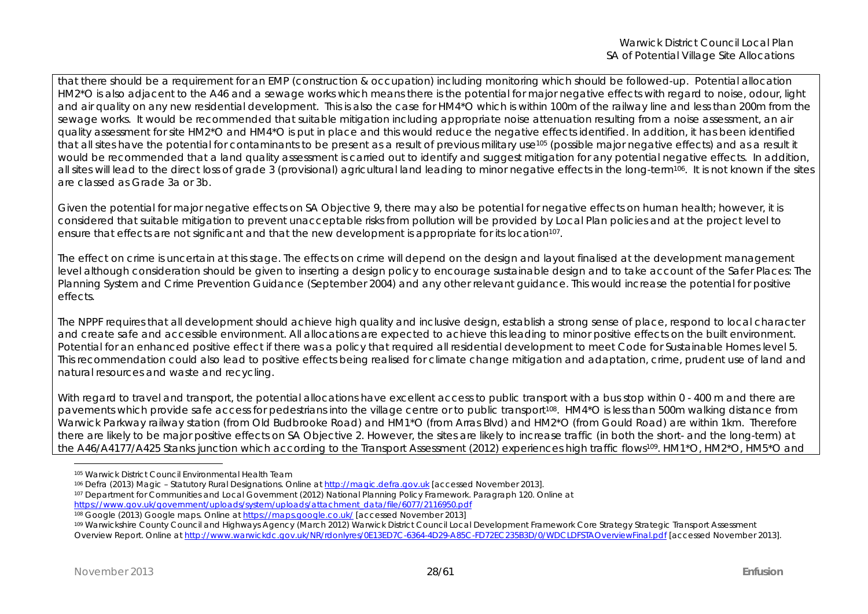that there should be a requirement for an EMP (construction & occupation) including monitoring which should be followed-up. Potential allocation HM2<sup>\*</sup>O is also adjacent to the A46 and a sewage works which means there is the potential for major negative effects with regard to noise, odour, light and air quality on any new residential development. This is also the case for HM4\*O which is within 100m of the railway line and less than 200m from the sewage works. It would be recommended that suitable mitigation including appropriate noise attenuation resulting from a noise assessment, an air quality assessment for site HM2\*O and HM4\*O is put in place and this would reduce the negative effects identified. In addition, it has been identified that all sites have the potential for contaminants to be present as a result of previous military use<sup>105</sup> (possible major negative effects) and as a result it would be recommended that a land quality assessment is carried out to identify and suggest mitigation for any potential negative effects. In addition, all sites will lead to the direct loss of grade 3 (provisional) agricultural land leading to minor negative effects in the long-term<sup>106</sup>. It is not known if the sites are classed as Grade 3a or 3b.

Given the potential for major negative effects on SA Objective 9, there may also be potential for negative effects on human health; however, it is considered that suitable mitigation to prevent unacceptable risks from pollution will be provided by Local Plan policies and at the project level to ensure that effects are not significant and that the new development is appropriate for its location107.

The effect on crime is uncertain at this stage. The effects on crime will depend on the design and layout finalised at the development management level although consideration should be given to inserting a design policy to encourage sustainable design and to take account of the Safer Places: The Planning System and Crime Prevention Guidance (September 2004) and any other relevant guidance. This would increase the potential for positive effects.

The NPPF requires that all development should achieve high quality and inclusive design, establish a strong sense of place, respond to local character and create safe and accessible environment. All allocations are expected to achieve this leading to minor positive effects on the built environment. Potential for an enhanced positive effect if there was a policy that required all residential development to meet Code for Sustainable Homes level 5. This recommendation could also lead to positive effects being realised for climate change mitigation and adaptation, crime, prudent use of land and natural resources and waste and recycling.

With regard to travel and transport, the potential allocations have excellent access to public transport with a bus stop within 0 - 400 m and there are pavements which provide safe access for pedestrians into the village centre or to public transport<sup>108</sup>. HM4\*O is less than 500m walking distance from Warwick Parkway railway station (from Old Budbrooke Road) and HM1\*O (from Arras Blvd) and HM2\*O (from Gould Road) are within 1km. Therefore there are likely to be major positive effects on SA Objective 2. However, the sites are likely to increase traffic (in both the short- and the long-term) at the A46/A4177/A425 Stanks junction which according to the Transport Assessment (2012) experiences high traffic flows109. HM1\*O, HM2\*O, HM5\*O and

<sup>105</sup> Warwick District Council Environmental Health Team

<sup>106</sup> Defra (2013) Magic – Statutory Rural Designations. Online at http://magic.defra.gov.uk [accessed November 2013].

<sup>107</sup> Department for Communities and Local Government (2012) National Planning Policy Framework. Paragraph 120. Online at https://www.gov.uk/government/uploads/system/uploads/attachment\_data/file/6077/2116950.pdf

<sup>108</sup> Google (2013) Google maps. Online at https://maps.google.co.uk/ [accessed November 2013]

<sup>109</sup> Warwickshire County Council and Highways Agency (March 2012) Warwick District Council Local Development Framework Core Strategy Strategic Transport Assessment Overview Report. Online at http://www.warwickdc.gov.uk/NR/rdonlyres/0E13ED7C-6364-4D29-A85C-FD72EC235B3D/0/WDCLDFSTAOverviewFinal.pdf [accessed November 2013].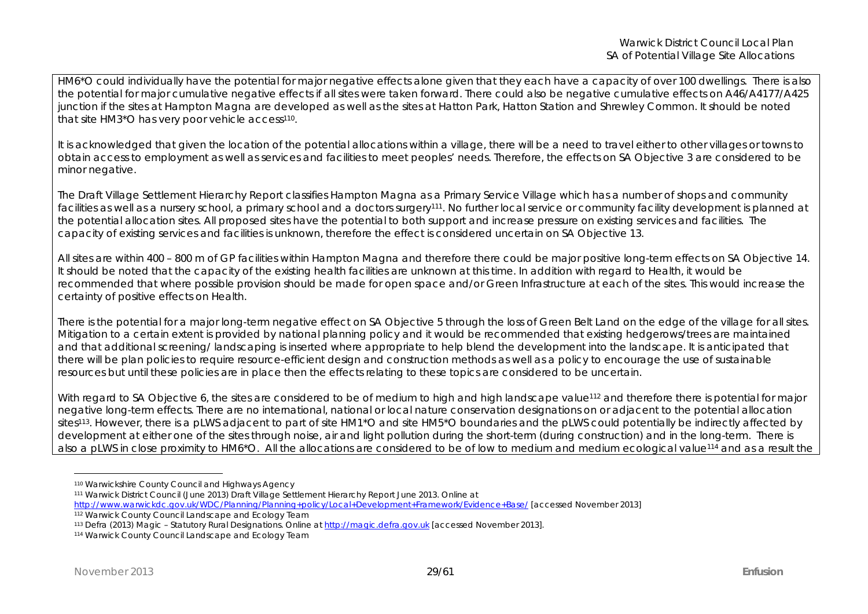HM6\*O could individually have the potential for major negative effects alone given that they each have a capacity of over 100 dwellings. There is also the potential for major cumulative negative effects if all sites were taken forward. There could also be negative cumulative effects on A46/A4177/A425 junction if the sites at Hampton Magna are developed as well as the sites at Hatton Park, Hatton Station and Shrewley Common. It should be noted that site HM3<sup>\*</sup>O has very poor vehicle access<sup>110</sup>.

It is acknowledged that given the location of the potential allocations within a village, there will be a need to travel either to other villages or towns to obtain access to employment as well as services and facilities to meet peoples' needs. Therefore, the effects on SA Objective 3 are considered to be minor negative.

The Draft Village Settlement Hierarchy Report classifies Hampton Magna as a Primary Service Village which has a number of shops and community facilities as well as a nursery school, a primary school and a doctors surgery<sup>111</sup>. No further local service or community facility development is planned at the potential allocation sites. All proposed sites have the potential to both support and increase pressure on existing services and facilities. The capacity of existing services and facilities is unknown, therefore the effect is considered uncertain on SA Objective 13.

All sites are within 400 – 800 m of GP facilities within Hampton Magna and therefore there could be major positive long-term effects on SA Objective 14. It should be noted that the capacity of the existing health facilities are unknown at this time. In addition with regard to Health, it would be recommended that where possible provision should be made for open space and/or Green Infrastructure at each of the sites. This would increase the certainty of positive effects on Health.

There is the potential for a major long-term negative effect on SA Objective 5 through the loss of Green Belt Land on the edge of the village for all sites. Mitigation to a certain extent is provided by national planning policy and it would be recommended that existing hedgerows/trees are maintained and that additional screening/ landscaping is inserted where appropriate to help blend the development into the landscape. It is anticipated that there will be plan policies to require resource-efficient design and construction methods as well as a policy to encourage the use of sustainable resources but until these policies are in place then the effects relating to these topics are considered to be uncertain.

With regard to SA Objective 6, the sites are considered to be of medium to high and high landscape value<sup>112</sup> and therefore there is potential for major negative long-term effects. There are no international, national or local nature conservation designations on or adjacent to the potential allocation sites<sup>113</sup>. However, there is a pLWS adjacent to part of site HM1<sup>\*</sup>O and site HM5<sup>\*</sup>O boundaries and the pLWS could potentially be indirectly affected by development at either one of the sites through noise, air and light pollution during the short-term (during construction) and in the long-term. There is also a pLWS in close proximity to HM6\*O. All the allocations are considered to be of low to medium and medium ecological value114 and as a result the

<sup>110</sup> Warwickshire County Council and Highways Agency

<sup>111</sup> Warwick District Council (June 2013) Draft Village Settlement Hierarchy Report June 2013. Online at

http://www.warwickdc.gov.uk/WDC/Planning/Planning+policy/Local+Development+Framework/Evidence+Base/ [accessed November 2013]

<sup>112</sup> Warwick County Council Landscape and Ecology Team

<sup>113</sup> Defra (2013) Magic – Statutory Rural Designations. Online at http://magic.defra.gov.uk [accessed November 2013].

<sup>114</sup> Warwick County Council Landscape and Ecology Team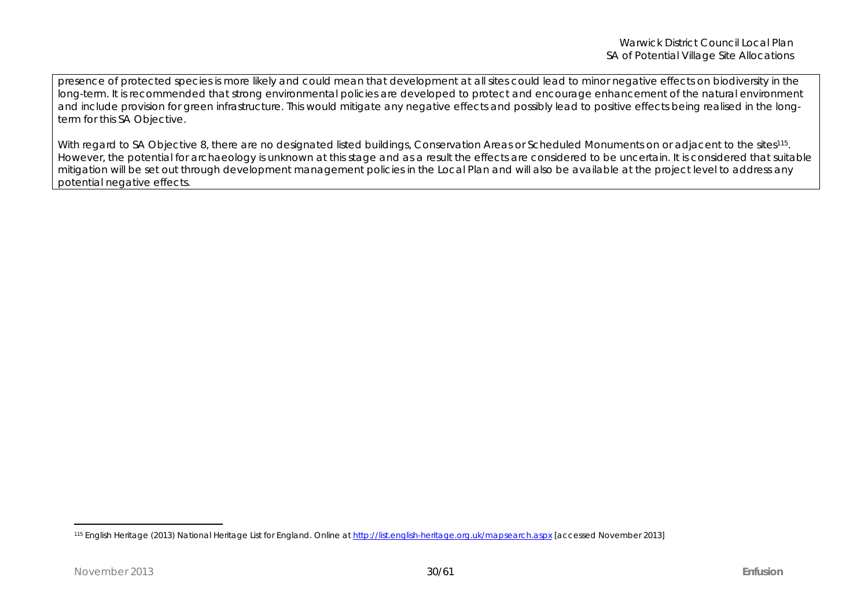presence of protected species is more likely and could mean that development at all sites could lead to minor negative effects on biodiversity in the long-term. It is recommended that strong environmental policies are developed to protect and encourage enhancement of the natural environment and include provision for green infrastructure. This would mitigate any negative effects and possibly lead to positive effects being realised in the longterm for this SA Objective.

With regard to SA Objective 8, there are no designated listed buildings, Conservation Areas or Scheduled Monuments on or adjacent to the sites<sup>115</sup>. However, the potential for archaeology is unknown at this stage and as a result the effects are considered to be uncertain. It is considered that suitable mitigation will be set out through development management policies in the Local Plan and will also be available at the project level to address any potential negative effects.

<sup>115</sup> English Heritage (2013) National Heritage List for England. Online at http://list.english-heritage.org.uk/mapsearch.aspx [accessed November 2013]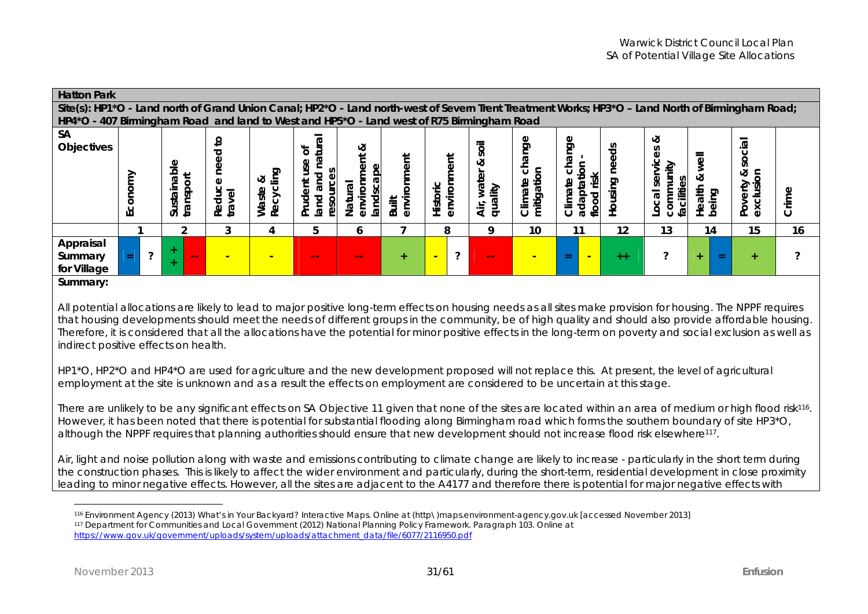| <b>Hatton Park</b>                                                                                                                                |                                                                               |                      |                   |       |                 |                    |                |                     |                   |                       |                                |      |                   |                        |              |      |
|---------------------------------------------------------------------------------------------------------------------------------------------------|-------------------------------------------------------------------------------|----------------------|-------------------|-------|-----------------|--------------------|----------------|---------------------|-------------------|-----------------------|--------------------------------|------|-------------------|------------------------|--------------|------|
| Site(s): HP1*O - Land north of Grand Union Canal; HP2*O - Land north-west of Severn Trent Treatment Works; HP3*O – Land North of Birmingham Road; |                                                                               |                      |                   |       |                 |                    |                |                     |                   |                       |                                |      |                   |                        |              |      |
| HP4*O - 407 Birmingham Road and land to West and HP5*O - Land west of R75 Birmingham Road                                                         |                                                                               |                      |                   |       |                 |                    |                |                     |                   |                       |                                |      |                   |                        |              |      |
| <b>SA</b>                                                                                                                                         |                                                                               |                      |                   |       |                 |                    |                |                     |                   |                       |                                |      |                   |                        |              |      |
| <b>Objectives</b>                                                                                                                                 | pp<br>nge<br>త<br>Ω<br>$\overline{\omega}$<br>ㅎ<br>巨<br>ర<br>త<br>৳<br>ರ<br>Ō |                      |                   |       |                 |                    |                |                     |                   |                       |                                |      |                   |                        |              |      |
|                                                                                                                                                   |                                                                               |                      |                   |       | ᡴᠦ              |                    |                |                     |                   |                       |                                |      |                   |                        |              |      |
|                                                                                                                                                   |                                                                               | Φ                    |                   |       |                 |                    |                |                     | త                 |                       | ပ                              |      |                   |                        |              |      |
|                                                                                                                                                   |                                                                               | Ø                    |                   | త     |                 |                    |                |                     | ₫                 |                       | º                              | రా   | Φ                 |                        | ళ<br>⊊       |      |
|                                                                                                                                                   |                                                                               | transport<br>Sustain | g                 |       | Ф               |                    |                | environ<br>Historic | ø<br>quality<br>≩ | ate<br>mitigati       | ठ                              |      | l<br>ಸ            |                        | Poverty<br>S |      |
|                                                                                                                                                   |                                                                               |                      | yel               | Waste | ਹ               | envir<br>and<br>శ్ | envir<br>Built |                     |                   | ┍                     | lima<br>$\overline{0}$         |      |                   | $\frac{1}{5}$<br>being |              | Crim |
|                                                                                                                                                   | ш                                                                             |                      | <u>ត្ថិ</u><br>Re | ഷ     | <u>ក្ខ</u><br>Φ | 7                  |                |                     | È,                | $\overline{\text{C}}$ | ᠊ᡉ<br>$\circ$<br>$\sigma$<br>ſ |      | ن<br>٥<br>ე<br>ნე | َّفِ                   |              |      |
|                                                                                                                                                   |                                                                               |                      |                   | 4     | 5               |                    |                | 8                   | Q                 | 10                    | 11                             | 12   | 13                | 14                     | 15           | 16   |
| Appraisal                                                                                                                                         |                                                                               |                      |                   |       |                 |                    |                |                     |                   |                       |                                |      |                   |                        |              |      |
| Summary                                                                                                                                           | 7                                                                             | $\sim$               |                   |       | $- -$           | $- -$              | ٠              | າ<br>-              | $\sim$ $-$        |                       | œ.<br>-                        | $++$ |                   | $=$<br>÷               |              |      |
| for Village                                                                                                                                       |                                                                               |                      |                   |       |                 |                    |                |                     |                   |                       |                                |      |                   |                        |              |      |
| $C1$ in $C2$ in $C3$                                                                                                                              |                                                                               |                      |                   |       |                 |                    |                |                     |                   |                       |                                |      |                   |                        |              |      |

**Summary:** 

All potential allocations are likely to lead to major positive long-term effects on housing needs as all sites make provision for housing. The NPPF requires that housing developments should meet the needs of different groups in the community, be of high quality and should also provide affordable housing. Therefore, it is considered that all the allocations have the potential for minor positive effects in the long-term on poverty and social exclusion as well as indirect positive effects on health.

HP1\*O, HP2\*O and HP4\*O are used for agriculture and the new development proposed will not replace this. At present, the level of agricultural employment at the site is unknown and as a result the effects on employment are considered to be uncertain at this stage.

There are unlikely to be any significant effects on SA Objective 11 given that none of the sites are located within an area of medium or high flood risk<sup>116</sup>. However, it has been noted that there is potential for substantial flooding along Birmingham road which forms the southern boundary of site HP3\*O, although the NPPF requires that planning authorities should ensure that new development should not increase flood risk elsewhere<sup>117</sup>.

Air, light and noise pollution along with waste and emissions contributing to climate change are likely to increase - particularly in the short term during the construction phases. This is likely to affect the wider environment and particularly, during the short-term, residential development in close proximity leading to minor negative effects. However, all the sites are adjacent to the A4177 and therefore there is potential for major negative effects with

<sup>116</sup> Environment Agency (2013) What's in Your Backyard? Interactive Maps. Online at (http\)maps.environment-agency.gov.uk [accessed November 2013] 117 Department for Communities and Local Government (2012) National Planning Policy Framework. Paragraph 103. Online at

https://www.gov.uk/government/uploads/system/uploads/attachment\_data/file/6077/2116950.pdf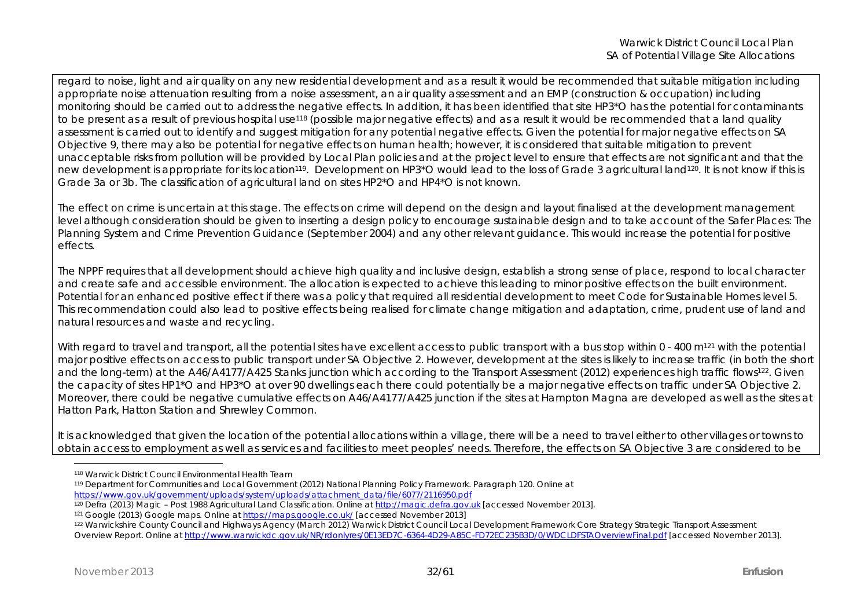regard to noise, light and air quality on any new residential development and as a result it would be recommended that suitable mitigation including appropriate noise attenuation resulting from a noise assessment, an air quality assessment and an EMP (construction & occupation) including monitoring should be carried out to address the negative effects. In addition, it has been identified that site HP3\*O has the potential for contaminants to be present as a result of previous hospital use<sup>118</sup> (possible major negative effects) and as a result it would be recommended that a land quality assessment is carried out to identify and suggest mitigation for any potential negative effects. Given the potential for major negative effects on SA Objective 9, there may also be potential for negative effects on human health; however, it is considered that suitable mitigation to prevent unacceptable risks from pollution will be provided by Local Plan policies and at the project level to ensure that effects are not significant and that the new development is appropriate for its location<sup>119</sup>. Development on HP3\*O would lead to the loss of Grade 3 agricultural land<sup>120</sup>. It is not know if this is Grade 3a or 3b. The classification of agricultural land on sites HP2\*O and HP4\*O is not known.

The effect on crime is uncertain at this stage. The effects on crime will depend on the design and layout finalised at the development management level although consideration should be given to inserting a design policy to encourage sustainable design and to take account of the Safer Places: The Planning System and Crime Prevention Guidance (September 2004) and any other relevant guidance. This would increase the potential for positive effects.

The NPPF requires that all development should achieve high quality and inclusive design, establish a strong sense of place, respond to local character and create safe and accessible environment. The allocation is expected to achieve this leading to minor positive effects on the built environment. Potential for an enhanced positive effect if there was a policy that required all residential development to meet Code for Sustainable Homes level 5. This recommendation could also lead to positive effects being realised for climate change mitigation and adaptation, crime, prudent use of land and natural resources and waste and recycling.

With regard to travel and transport, all the potential sites have excellent access to public transport with a bus stop within 0 - 400 m<sup>121</sup> with the potential major positive effects on access to public transport under SA Objective 2. However, development at the sites is likely to increase traffic (in both the short and the long-term) at the A46/A4177/A425 Stanks junction which according to the Transport Assessment (2012) experiences high traffic flows<sup>122</sup>. Given the capacity of sites HP1\*O and HP3\*O at over 90 dwellings each there could potentially be a major negative effects on traffic under SA Objective 2. Moreover, there could be negative cumulative effects on A46/A4177/A425 junction if the sites at Hampton Magna are developed as well as the sites at Hatton Park, Hatton Station and Shrewley Common.

It is acknowledged that given the location of the potential allocations within a village, there will be a need to travel either to other villages or towns to obtain access to employment as well as services and facilities to meet peoples' needs. Therefore, the effects on SA Objective 3 are considered to be

<sup>118</sup> Warwick District Council Environmental Health Team

<sup>119</sup> Department for Communities and Local Government (2012) National Planning Policy Framework. Paragraph 120. Online at https://www.gov.uk/government/uploads/system/uploads/attachment\_data/file/6077/2116950.pdf

<sup>&</sup>lt;sup>120</sup> Defra (2013) Magic – Post 1988 Agricultural Land Classification. Online at http://magic.defra.gov.uk [accessed November 2013].

<sup>121</sup> Google (2013) Google maps. Online at https://maps.google.co.uk/ [accessed November 2013]

<sup>122</sup> Warwickshire County Council and Highways Agency (March 2012) Warwick District Council Local Development Framework Core Strategy Strategic Transport Assessment Overview Report. Online at http://www.warwickdc.gov.uk/NR/rdonlyres/0E13ED7C-6364-4D29-A85C-FD72EC235B3D/0/WDCLDFSTAOverviewFinal.pdf [accessed November 2013].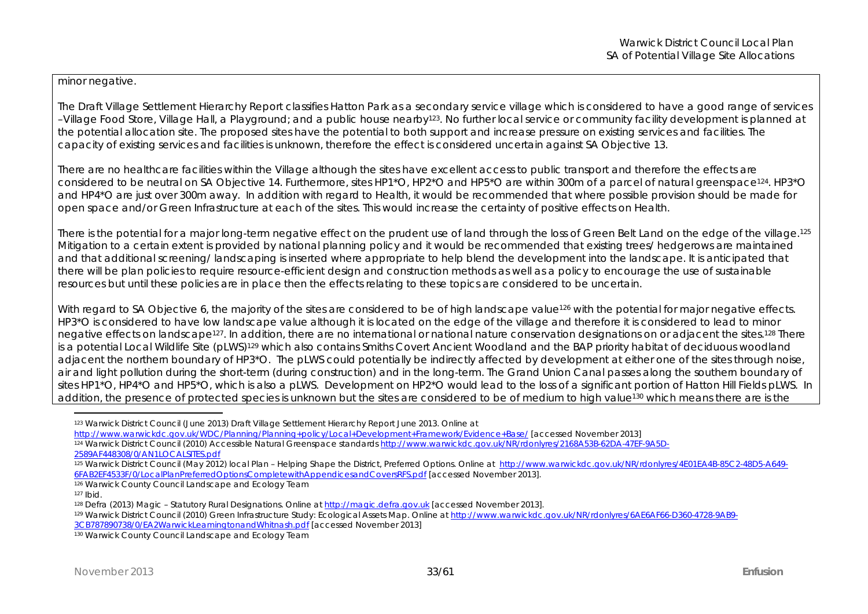# minor negative.

The Draft Village Settlement Hierarchy Report classifies Hatton Park as a secondary service village which is considered to have a good range of services –Village Food Store, Village Hall, a Playground; and a public house nearby123. No further local service or community facility development is planned at the potential allocation site. The proposed sites have the potential to both support and increase pressure on existing services and facilities. The capacity of existing services and facilities is unknown, therefore the effect is considered uncertain against SA Objective 13.

There are no healthcare facilities within the Village although the sites have excellent access to public transport and therefore the effects are considered to be neutral on SA Objective 14. Furthermore, sites HP1\*O, HP2\*O and HP5\*O are within 300m of a parcel of natural greenspace124. HP3\*O and HP4\*O are just over 300m away. In addition with regard to Health, it would be recommended that where possible provision should be made for open space and/or Green Infrastructure at each of the sites. This would increase the certainty of positive effects on Health.

There is the potential for a major long-term negative effect on the prudent use of land through the loss of Green Belt Land on the edge of the village.125 Mitigation to a certain extent is provided by national planning policy and it would be recommended that existing trees/ hedgerows are maintained and that additional screening/ landscaping is inserted where appropriate to help blend the development into the landscape. It is anticipated that there will be plan policies to require resource-efficient design and construction methods as well as a policy to encourage the use of sustainable resources but until these policies are in place then the effects relating to these topics are considered to be uncertain.

With regard to SA Objective 6, the majority of the sites are considered to be of high landscape value<sup>126</sup> with the potential for major negative effects. HP3\*O is considered to have low landscape value although it is located on the edge of the village and therefore it is considered to lead to minor negative effects on landscape<sup>127</sup>. In addition, there are no international or national nature conservation designations on or adjacent the sites.<sup>128</sup> There is a potential Local Wildlife Site (pLWS)129 which also contains Smiths Covert Ancient Woodland and the BAP priority habitat of deciduous woodland adjacent the northern boundary of HP3\*O. The pLWS could potentially be indirectly affected by development at either one of the sites through noise, air and light pollution during the short-term (during construction) and in the long-term. The Grand Union Canal passes along the southern boundary of sites HP1\*O, HP4\*O and HP5\*O, which is also a pLWS. Development on HP2\*O would lead to the loss of a significant portion of Hatton Hill Fields pLWS. In addition, the presence of protected species is unknown but the sites are considered to be of medium to high value<sup>130</sup> which means there are is the

http://www.warwickdc.gov.uk/WDC/Planning/Planning+policy/Local+Development+Framework/Evidence+Base/ [accessed November 2013]

2589AF448308/0/AN1LOCALSITES.pdf

127 Ibid.

<sup>123</sup> Warwick District Council (June 2013) Draft Village Settlement Hierarchy Report June 2013. Online at

<sup>124</sup> Warwick District Council (2010) Accessible Natural Greenspace standards http://www.warwickdc.gov.uk/NR/rdonlyres/2168A53B-62DA-47EF-9A5D-

<sup>125</sup> Warwick District Council (May 2012) local Plan – Helping Shape the District, Preferred Options. Online at http://www.warwickdc.gov.uk/NR/rdonlyres/4E01EA4B-85C2-48D5-A649- 6FAB2EF4533F/0/LocalPlanPreferredOptionsCompletewithAppendicesandCoversRFS.pdf [accessed November 2013].

<sup>126</sup> Warwick County Council Landscape and Ecology Team

<sup>128</sup> Defra (2013) Magic – Statutory Rural Designations. Online at http://magic.defra.gov.uk [accessed November 2013].

<sup>129</sup> Warwick District Council (2010) Green Infrastructure Study: Ecological Assets Map. Online at http://www.warwickdc.gov.uk/NR/rdonlyres/6AE6AF66-D360-4728-9AB9-

<sup>3</sup>CB787890738/0/EA2WarwickLeamingtonandWhitnash.pdf [accessed November 2013]

<sup>130</sup> Warwick County Council Landscape and Ecology Team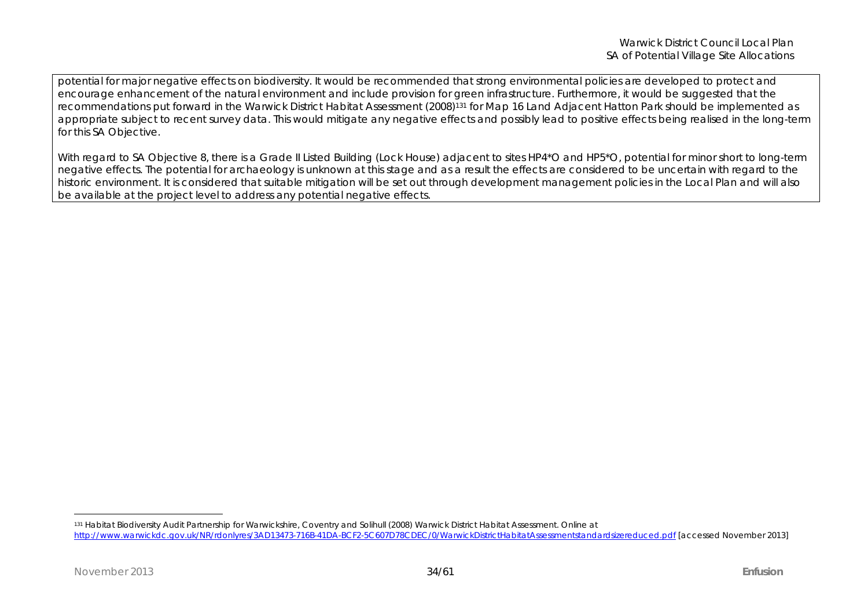potential for major negative effects on biodiversity. It would be recommended that strong environmental policies are developed to protect and encourage enhancement of the natural environment and include provision for green infrastructure. Furthermore, it would be suggested that the recommendations put forward in the Warwick District Habitat Assessment (2008)131 for Map 16 Land Adjacent Hatton Park should be implemented as appropriate subject to recent survey data. This would mitigate any negative effects and possibly lead to positive effects being realised in the long-term for this SA Objective.

With regard to SA Objective 8, there is a Grade II Listed Building (Lock House) adjacent to sites HP4\*O and HP5\*O, potential for minor short to long-term negative effects. The potential for archaeology is unknown at this stage and as a result the effects are considered to be uncertain with regard to the historic environment. It is considered that suitable mitigation will be set out through development management policies in the Local Plan and will also be available at the project level to address any potential negative effects.

<sup>131</sup> Habitat Biodiversity Audit Partnership for Warwickshire, Coventry and Solihull (2008) Warwick District Habitat Assessment. Online at http://www.warwickdc.gov.uk/NR/rdonlyres/3AD13473-716B-41DA-BCF2-5C607D78CDEC/0/WarwickDistrictHabitatAssessmentstandardsizereduced.pdf [accessed November 2013]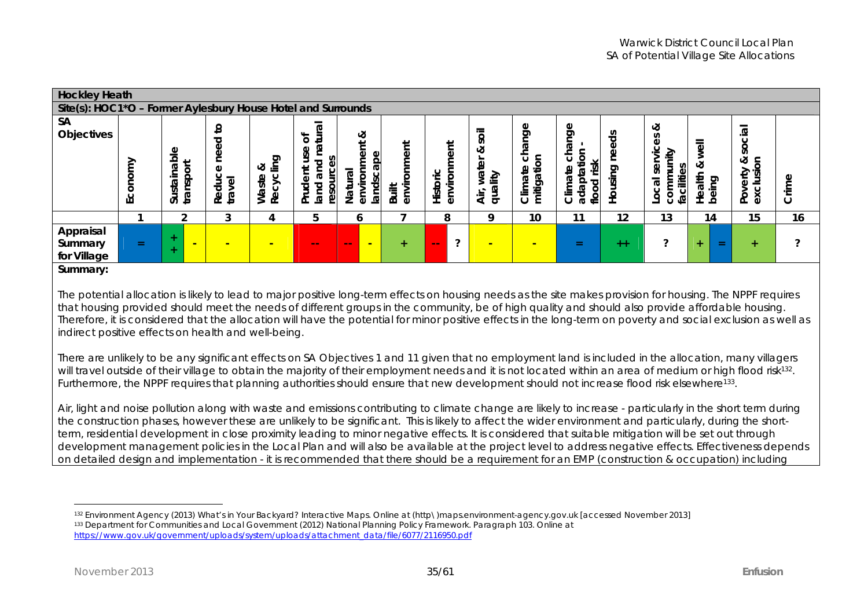| <b>Hockley Heath</b>                                         |           |                                       |                                                                      |                               |                                                                   |                                                                                              |                               |                             |                                                                                     |                                     |                                                    |                  |                                                                                        |                                        |                                                                                           |           |
|--------------------------------------------------------------|-----------|---------------------------------------|----------------------------------------------------------------------|-------------------------------|-------------------------------------------------------------------|----------------------------------------------------------------------------------------------|-------------------------------|-----------------------------|-------------------------------------------------------------------------------------|-------------------------------------|----------------------------------------------------|------------------|----------------------------------------------------------------------------------------|----------------------------------------|-------------------------------------------------------------------------------------------|-----------|
| Site(s): HOC1*O - Former Aylesbury House Hotel and Surrounds |           |                                       |                                                                      |                               |                                                                   |                                                                                              |                               |                             |                                                                                     |                                     |                                                    |                  |                                                                                        |                                        |                                                                                           |           |
| <b>SA</b><br><b>Objectives</b>                               | Quuo<br>Ğ | $\frac{1}{2}$<br>Sustaina<br>transpor | $\overline{5}$<br>ರ<br>Φ<br>ě<br>Reduce<br>$\overline{\Phi}$<br>trav | ling<br>જ<br>Waste<br>š<br>Rĕ | ৳<br>c<br>ŠU<br>S<br>Φ<br>Prudent<br>ourc<br>ᠭᠦ<br>ᅙ<br>an<br>SĐ, | త<br>hent<br>Φ<br>Q<br><b>G</b><br><b>S</b><br>ত<br>ပ္တ<br>⋚<br>land<br>$\overline{a}$<br>έë | ient<br>onm<br>envir<br>Built | ment<br>environ<br>Historic | soil<br>త<br>ater<br>quality<br>$\dot{\mathbf{z}}$<br>$\overline{\phantom{0}}$<br>ā | change<br>c<br>mitigatio<br>Climate | ppc<br>ā<br>듕<br>ation<br>Climate<br>Q<br>ada<br>₫ | eds<br>sing<br>오 | ਕ<br>S<br>≔<br>৳<br>Ĕ<br>S<br>喜<br>$\overline{\sigma}$<br>comn<br>ن<br>و<br><u>ser</u> | =<br>Φ<br>త<br>alth<br>Health<br>being | $\overline{\omega}$<br>SOC <sub>1</sub><br>చ<br>⊂<br>Poverty<br>clusi<br>$\tilde{\delta}$ | Φ<br>Crim |
|                                                              |           | າ                                     |                                                                      |                               | 5                                                                 | <sub>o</sub>                                                                                 |                               | 8                           | 9                                                                                   | 10                                  | 11                                                 | 12               | 13                                                                                     | 14                                     | 15                                                                                        | 16        |
| Appraisal<br>Summary<br>for Village                          | $=$       | $+$<br>-<br>$+$                       |                                                                      | -                             | $-$                                                               | $-$                                                                                          | ٠                             | 2<br>$\sim$ $\sim$          | -                                                                                   |                                     | $=$                                                | $++$             | 2                                                                                      | $+$<br>$=$                             | ÷                                                                                         | 2         |
| Summary:                                                     |           |                                       |                                                                      |                               |                                                                   |                                                                                              |                               |                             |                                                                                     |                                     |                                                    |                  |                                                                                        |                                        |                                                                                           |           |

# The potential allocation is likely to lead to major positive long-term effects on housing needs as the site makes provision for housing. The NPPF requires that housing provided should meet the needs of different groups in the community, be of high quality and should also provide affordable housing. Therefore, it is considered that the allocation will have the potential for minor positive effects in the long-term on poverty and social exclusion as well as indirect positive effects on health and well-being.

There are unlikely to be any significant effects on SA Objectives 1 and 11 given that no employment land is included in the allocation, many villagers will travel outside of their village to obtain the majority of their employment needs and it is not located within an area of medium or high flood risk<sup>132</sup>. Furthermore, the NPPF requires that planning authorities should ensure that new development should not increase flood risk elsewhere<sup>133</sup>.

Air, light and noise pollution along with waste and emissions contributing to climate change are likely to increase - particularly in the short term during the construction phases, however these are unlikely to be significant. This is likely to affect the wider environment and particularly, during the shortterm, residential development in close proximity leading to minor negative effects. It is considered that suitable mitigation will be set out through development management policies in the Local Plan and will also be available at the project level to address negative effects. Effectiveness depends on detailed design and implementation - it is recommended that there should be a requirement for an EMP (construction & occupation) including

<sup>132</sup> Environment Agency (2013) What's in Your Backyard? Interactive Maps. Online at (http\)maps.environment-agency.gov.uk [accessed November 2013] 133 Department for Communities and Local Government (2012) National Planning Policy Framework. Paragraph 103. Online at https://www.gov.uk/government/uploads/system/uploads/attachment\_data/file/6077/2116950.pdf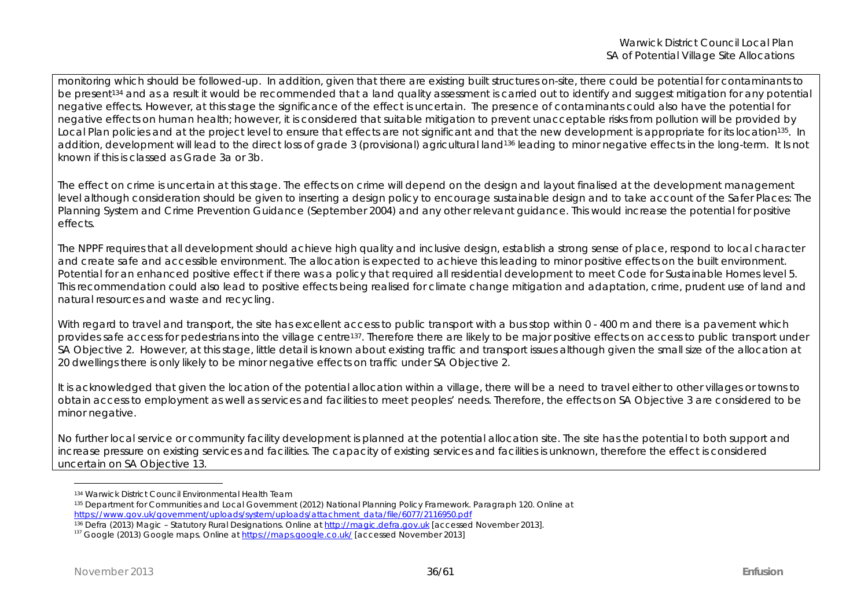monitoring which should be followed-up. In addition, given that there are existing built structures on-site, there could be potential for contaminants to be present<sup>134</sup> and as a result it would be recommended that a land quality assessment is carried out to identify and suggest mitigation for any potential negative effects. However, at this stage the significance of the effect is uncertain. The presence of contaminants could also have the potential for negative effects on human health; however, it is considered that suitable mitigation to prevent unacceptable risks from pollution will be provided by Local Plan policies and at the project level to ensure that effects are not significant and that the new development is appropriate for its location<sup>135</sup>. In addition, development will lead to the direct loss of grade 3 (provisional) agricultural land<sup>136</sup> leading to minor negative effects in the long-term. It Is not known if this is classed as Grade 3a or 3b.

The effect on crime is uncertain at this stage. The effects on crime will depend on the design and layout finalised at the development management level although consideration should be given to inserting a design policy to encourage sustainable design and to take account of the Safer Places: The Planning System and Crime Prevention Guidance (September 2004) and any other relevant guidance. This would increase the potential for positive effects.

The NPPF requires that all development should achieve high quality and inclusive design, establish a strong sense of place, respond to local character and create safe and accessible environment. The allocation is expected to achieve this leading to minor positive effects on the built environment. Potential for an enhanced positive effect if there was a policy that required all residential development to meet Code for Sustainable Homes level 5. This recommendation could also lead to positive effects being realised for climate change mitigation and adaptation, crime, prudent use of land and natural resources and waste and recycling.

With regard to travel and transport, the site has excellent access to public transport with a bus stop within 0 - 400 m and there is a pavement which provides safe access for pedestrians into the village centre<sup>137</sup>. Therefore there are likely to be major positive effects on access to public transport under SA Objective 2. However, at this stage, little detail is known about existing traffic and transport issues although given the small size of the allocation at 20 dwellings there is only likely to be minor negative effects on traffic under SA Objective 2.

It is acknowledged that given the location of the potential allocation within a village, there will be a need to travel either to other villages or towns to obtain access to employment as well as services and facilities to meet peoples' needs. Therefore, the effects on SA Objective 3 are considered to be minor negative.

No further local service or community facility development is planned at the potential allocation site. The site has the potential to both support and increase pressure on existing services and facilities. The capacity of existing services and facilities is unknown, therefore the effect is considered uncertain on SA Objective 13.

<sup>134</sup> Warwick District Council Environmental Health Team

<sup>135</sup> Department for Communities and Local Government (2012) National Planning Policy Framework. Paragraph 120. Online at https://www.gov.uk/government/uploads/system/uploads/attachment\_data/file/6077/2116950.pdf

<sup>136</sup> Defra (2013) Magic – Statutory Rural Designations. Online at http://magic.defra.gov.uk [accessed November 2013].

<sup>&</sup>lt;sup>137</sup> Google (2013) Google maps. Online at <u>https://maps.google.co.uk/</u> [accessed November 2013]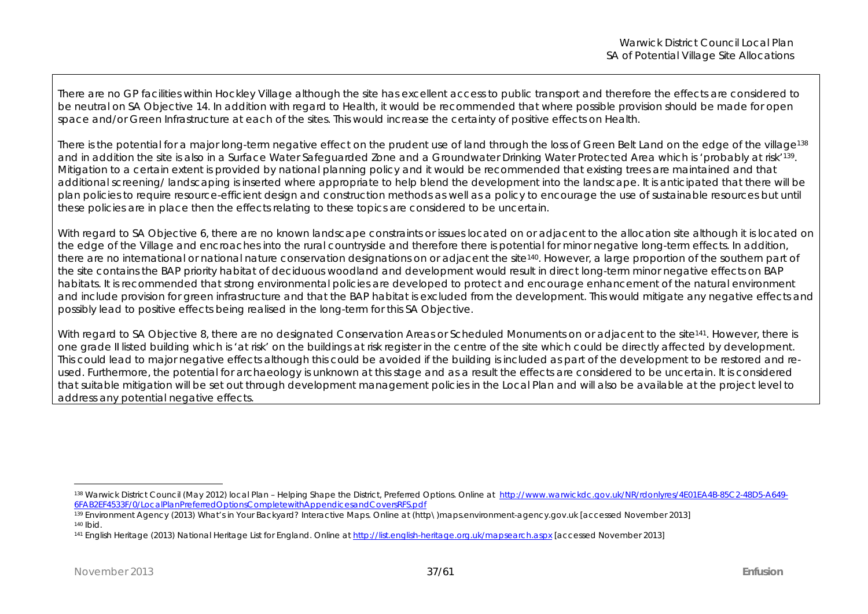There are no GP facilities within Hockley Village although the site has excellent access to public transport and therefore the effects are considered to be neutral on SA Objective 14. In addition with regard to Health, it would be recommended that where possible provision should be made for open space and/or Green Infrastructure at each of the sites. This would increase the certainty of positive effects on Health.

There is the potential for a major long-term negative effect on the prudent use of land through the loss of Green Belt Land on the edge of the village<sup>138</sup> and in addition the site is also in a Surface Water Safeguarded Zone and a Groundwater Drinking Water Protected Area which is 'probably at risk'139. Mitigation to a certain extent is provided by national planning policy and it would be recommended that existing trees are maintained and that additional screening/ landscaping is inserted where appropriate to help blend the development into the landscape. It is anticipated that there will be plan policies to require resource-efficient design and construction methods as well as a policy to encourage the use of sustainable resources but until these policies are in place then the effects relating to these topics are considered to be uncertain.

With regard to SA Objective 6, there are no known landscape constraints or issues located on or adjacent to the allocation site although it is located on the edge of the Village and encroaches into the rural countryside and therefore there is potential for minor negative long-term effects. In addition, there are no international or national nature conservation designations on or adjacent the site<sup>140</sup>. However, a large proportion of the southern part of the site contains the BAP priority habitat of deciduous woodland and development would result in direct long-term minor negative effects on BAP habitats. It is recommended that strong environmental policies are developed to protect and encourage enhancement of the natural environment and include provision for green infrastructure and that the BAP habitat is excluded from the development. This would mitigate any negative effects and possibly lead to positive effects being realised in the long-term for this SA Objective.

With regard to SA Objective 8, there are no designated Conservation Areas or Scheduled Monuments on or adjacent to the site<sup>141</sup>. However, there is one grade II listed building which is 'at risk' on the buildings at risk register in the centre of the site which could be directly affected by development. This could lead to major negative effects although this could be avoided if the building is included as part of the development to be restored and reused. Furthermore, the potential for archaeology is unknown at this stage and as a result the effects are considered to be uncertain. It is considered that suitable mitigation will be set out through development management policies in the Local Plan and will also be available at the project level to address any potential negative effects.

<sup>138</sup> Warwick District Council (May 2012) local Plan – Helping Shape the District, Preferred Options. Online at http://www.warwickdc.gov.uk/NR/rdonlyres/4E01EA4B-85C2-48D5-A649-6FAB2EF4533F/0/LocalPlanPreferredOptionsCompletewithAppendicesandCoversRFS.pdf

<sup>139</sup> Environment Agency (2013) What's in Your Backyard? Interactive Maps. Online at (http\)maps.environment-agency.gov.uk [accessed November 2013] 140 Ibid.

<sup>141</sup> English Heritage (2013) National Heritage List for England. Online at http://list.english-heritage.org.uk/mapsearch.aspx [accessed November 2013]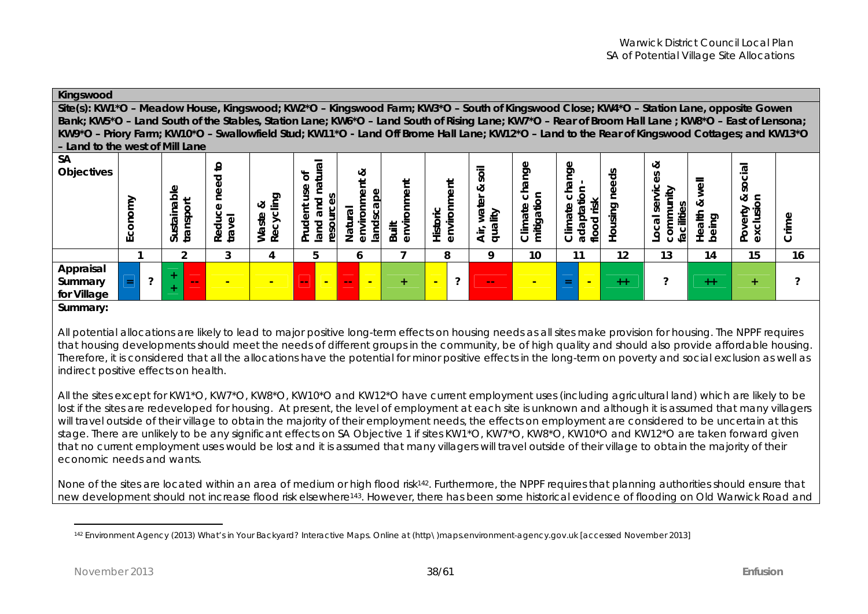# **Kingswood**

**Site(s): KW1\*O – Meadow House, Kingswood; KW2\*O – Kingswood Farm; KW3\*O – South of Kingswood Close; KW4\*O – Station Lane, opposite Gowen Bank; KW5\*O – Land South of the Stables, Station Lane; KW6\*O – Land South of Rising Lane; KW7\*O – Rear of Broom Hall Lane ; KW8\*O – East of Lensona; KW9\*O – Priory Farm; KW10\*O – Swallowfield Stud; KW11\*O - Land Off Brome Hall Lane; KW12\*O – Land to the Rear of Kingswood Cottages; and KW13\*O – Land to the west of Mill Lane** 

| <b>SA</b><br>Objectives             | ≥<br>ш   | Φ<br>≂<br><b>ro</b><br>⊼<br>∴–<br>Q<br>Ø<br>2<br>ঁ<br>đ<br>≕<br>≖<br>Ō | $\circ$<br>ಾ<br>Φ<br>Φ<br>⊂<br>Φ<br>g<br>$\overline{\Phi}$<br>ਹ<br>e.<br>ēه | σ.<br>త<br>≔<br>Waste<br>╰<br>ω<br>∝ | _<br>ω<br>Ξ<br>$\overline{ }$<br>ω<br>Φ<br>-<br>v<br><u>_</u><br>ᢦ<br>ان<br>ద్<br>≒<br>Φ<br>ರ<br>ō<br>P<br>S9.<br>┶<br>$\overline{\omega}$<br>ቭ | త<br>⊭<br>ہ<br>$\mathbf{d}$<br>w<br>ξ<br>∸.<br>āñ<br>ğ<br>$\epsilon$<br>淸 | ent<br>$\bar{\mathsf{s}}$<br>゙゙゙゙゙<br>Built<br>∼<br>৳ | ⊭<br>┶<br>Ф<br>ပ<br>ŏ<br>Histori<br>≃<br>ā | ō<br>S<br>త<br>►<br>₫<br>ā<br>><br>ے<br>≔<br>-<br>≔.<br>ಕ<br>⊄ | Φ<br>ang<br>∽<br>mitigation<br>ပ<br>hate<br>≻<br>こ | Φ<br>g<br>ᠬᠣ<br>ပ<br>⋇<br>ڡٟ<br>≔<br>Ø<br>ਹ<br>ᢐ<br>$\circ$<br>등<br>آ⊇<br>σ | n<br>⇁<br>ರಾ<br>.= | త<br>÷<br>=<br><b>g</b><br>π<br>ທ<br>Φ<br>Ē<br>-<br>$\boldsymbol{\varpi}$<br>◡<br>O<br>o<br><b>@</b> | ত<br>త<br>흚<br>ರಾ<br>≔.<br>$\overline{\mathbb{Q}}$<br>ق<br>≏ | -<br><u>ღ</u><br>ပ<br>SO<br>c<br>త<br>èς<br>2<br>ŧ<br>$\mathbf 0$<br>-<br>Pov<br>U<br>×<br>۵ | Crime |
|-------------------------------------|----------|------------------------------------------------------------------------|-----------------------------------------------------------------------------|--------------------------------------|-------------------------------------------------------------------------------------------------------------------------------------------------|---------------------------------------------------------------------------|-------------------------------------------------------|--------------------------------------------|----------------------------------------------------------------|----------------------------------------------------|-----------------------------------------------------------------------------|--------------------|------------------------------------------------------------------------------------------------------|--------------------------------------------------------------|----------------------------------------------------------------------------------------------|-------|
|                                     |          | ◠                                                                      | ົ<br>- 1                                                                    |                                      | b                                                                                                                                               | O                                                                         |                                                       | 8                                          | ο                                                              | 10                                                 | 11                                                                          | 12                 | 13                                                                                                   | 14                                                           | 15                                                                                           | 16    |
| Appraisal<br>Summary<br>for Village | 2<br>$=$ | $-$<br>۰.                                                              | -                                                                           | -                                    | $- -$<br>-                                                                                                                                      | $-$<br>-                                                                  |                                                       | $\sqrt{2}$<br>-                            | $- -$                                                          | $\overline{\phantom{a}}$                           | $=$<br>$\blacksquare$                                                       | $++$               | っ                                                                                                    | $++$                                                         | $+$                                                                                          |       |

# **Summary:**

All potential allocations are likely to lead to major positive long-term effects on housing needs as all sites make provision for housing. The NPPF requires that housing developments should meet the needs of different groups in the community, be of high quality and should also provide affordable housing. Therefore, it is considered that all the allocations have the potential for minor positive effects in the long-term on poverty and social exclusion as well as indirect positive effects on health.

All the sites except for KW1\*O, KW7\*O, KW8\*O, KW10\*O and KW12\*O have current employment uses (including agricultural land) which are likely to be lost if the sites are redeveloped for housing. At present, the level of employment at each site is unknown and although it is assumed that many villagers will travel outside of their village to obtain the majority of their employment needs, the effects on employment are considered to be uncertain at this stage. There are unlikely to be any significant effects on SA Objective 1 if sites KW1\*O, KW7\*O, KW8\*O, KW10\*O and KW12\*O are taken forward given that no current employment uses would be lost and it is assumed that many villagers will travel outside of their village to obtain the majority of their economic needs and wants.

None of the sites are located within an area of medium or high flood risk<sup>142</sup>. Furthermore, the NPPF requires that planning authorities should ensure that new development should not increase flood risk elsewhere<sup>143</sup>. However, there has been some historical evidence of flooding on Old Warwick Road and

<sup>142</sup> Environment Agency (2013) What's in Your Backyard? Interactive Maps. Online at (http\)maps.environment-agency.gov.uk [accessed November 2013]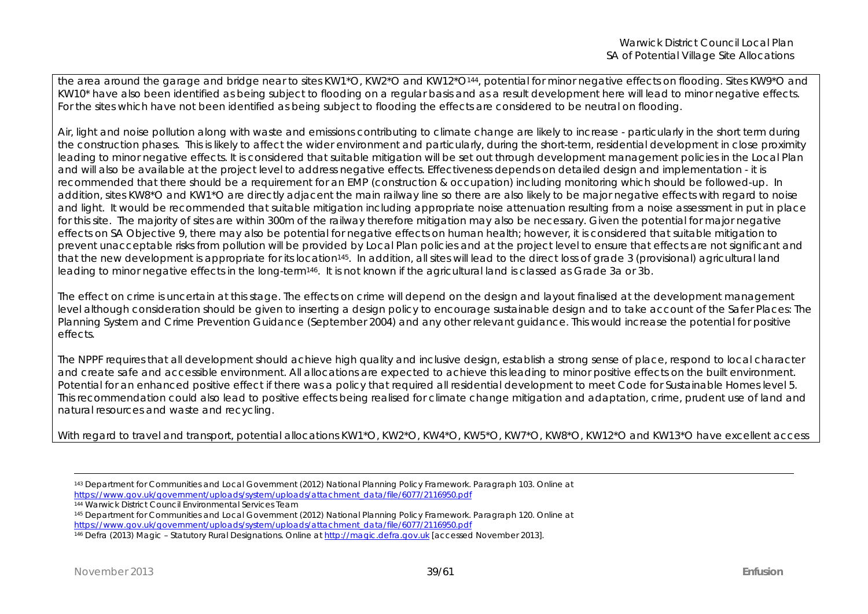the area around the garage and bridge near to sites KW1\*O, KW2\*O and KW12\*O<sup>144</sup>, potential for minor negative effects on flooding. Sites KW9\*O and KW10\* have also been identified as being subject to flooding on a regular basis and as a result development here will lead to minor negative effects. For the sites which have not been identified as being subject to flooding the effects are considered to be neutral on flooding.

Air, light and noise pollution along with waste and emissions contributing to climate change are likely to increase - particularly in the short term during the construction phases. This is likely to affect the wider environment and particularly, during the short-term, residential development in close proximity leading to minor negative effects. It is considered that suitable mitigation will be set out through development management policies in the Local Plan and will also be available at the project level to address negative effects. Effectiveness depends on detailed design and implementation - it is recommended that there should be a requirement for an EMP (construction & occupation) including monitoring which should be followed-up. In addition, sites KW8\*O and KW1\*O are directly adjacent the main railway line so there are also likely to be major negative effects with regard to noise and light. It would be recommended that suitable mitigation including appropriate noise attenuation resulting from a noise assessment in put in place for this site. The majority of sites are within 300m of the railway therefore mitigation may also be necessary. Given the potential for major negative effects on SA Objective 9, there may also be potential for negative effects on human health; however, it is considered that suitable mitigation to prevent unacceptable risks from pollution will be provided by Local Plan policies and at the project level to ensure that effects are not significant and that the new development is appropriate for its location<sup>145</sup>. In addition, all sites will lead to the direct loss of grade 3 (provisional) agricultural land leading to minor negative effects in the long-term146. It is not known if the agricultural land is classed as Grade 3a or 3b.

The effect on crime is uncertain at this stage. The effects on crime will depend on the design and layout finalised at the development management level although consideration should be given to inserting a design policy to encourage sustainable design and to take account of the Safer Places: The Planning System and Crime Prevention Guidance (September 2004) and any other relevant guidance. This would increase the potential for positive effects.

The NPPF requires that all development should achieve high quality and inclusive design, establish a strong sense of place, respond to local character and create safe and accessible environment. All allocations are expected to achieve this leading to minor positive effects on the built environment. Potential for an enhanced positive effect if there was a policy that required all residential development to meet Code for Sustainable Homes level 5. This recommendation could also lead to positive effects being realised for climate change mitigation and adaptation, crime, prudent use of land and natural resources and waste and recycling.

With regard to travel and transport, potential allocations KW1\*O, KW2\*O, KW4\*O, KW5\*O, KW3\*O, KW8\*O, KW12\*O and KW13\*O have excellent access

<sup>143</sup> Department for Communities and Local Government (2012) National Planning Policy Framework. Paragraph 103. Online at https://www.gov.uk/government/uploads/system/uploads/attachment\_data/file/6077/2116950.pdf

<sup>144</sup> Warwick District Council Environmental Services Team

<sup>145</sup> Department for Communities and Local Government (2012) National Planning Policy Framework. Paragraph 120. Online at https://www.gov.uk/government/uploads/system/uploads/attachment\_data/file/6077/2116950.pdf

<sup>146</sup> Defra (2013) Magic – Statutory Rural Designations. Online at http://magic.defra.gov.uk [accessed November 2013].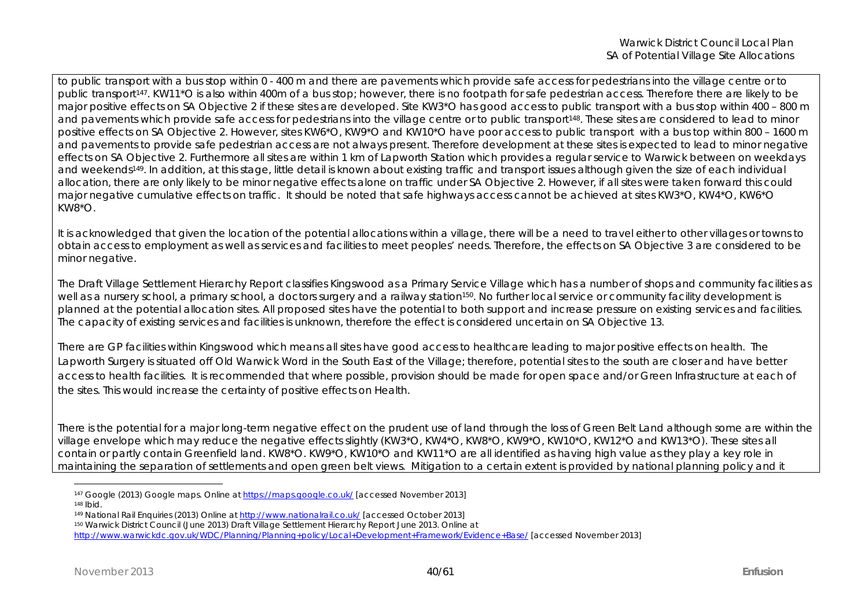to public transport with a bus stop within 0 - 400 m and there are pavements which provide safe access for pedestrians into the village centre or to public transport<sup>147</sup>. KW11\*O is also within 400m of a bus stop; however, there is no footpath for safe pedestrian access. Therefore there are likely to be major positive effects on SA Objective 2 if these sites are developed. Site KW3\*O has good access to public transport with a bus stop within 400 – 800 m and pavements which provide safe access for pedestrians into the village centre or to public transport<sup>148</sup>. These sites are considered to lead to minor positive effects on SA Objective 2. However, sites KW6\*O, KW9\*O and KW10\*O have poor access to public transport with a bus top within 800 – 1600 m and pavements to provide safe pedestrian access are not always present. Therefore development at these sites is expected to lead to minor negative effects on SA Objective 2. Furthermore all sites are within 1 km of Lapworth Station which provides a regular service to Warwick between on weekdays and weekends149. In addition, at this stage, little detail is known about existing traffic and transport issues although given the size of each individual allocation, there are only likely to be minor negative effects alone on traffic under SA Objective 2. However, if all sites were taken forward this could major negative cumulative effects on traffic. It should be noted that safe highways access cannot be achieved at sites KW3\*O, KW4\*O, KW6\*O KW8\*O.

It is acknowledged that given the location of the potential allocations within a village, there will be a need to travel either to other villages or towns to obtain access to employment as well as services and facilities to meet peoples' needs. Therefore, the effects on SA Objective 3 are considered to be minor negative.

The Draft Village Settlement Hierarchy Report classifies Kingswood as a Primary Service Village which has a number of shops and community facilities as well as a nursery school, a primary school, a doctors surgery and a railway station<sup>150</sup>. No further local service or community facility development is planned at the potential allocation sites. All proposed sites have the potential to both support and increase pressure on existing services and facilities. The capacity of existing services and facilities is unknown, therefore the effect is considered uncertain on SA Objective 13.

There are GP facilities within Kingswood which means all sites have good access to healthcare leading to major positive effects on health. The Lapworth Surgery is situated off Old Warwick Word in the South East of the Village; therefore, potential sites to the south are closer and have better access to health facilities. It is recommended that where possible, provision should be made for open space and/or Green Infrastructure at each of the sites. This would increase the certainty of positive effects on Health.

There is the potential for a major long-term negative effect on the prudent use of land through the loss of Green Belt Land although some are within the village envelope which may reduce the negative effects slightly (KW3\*O, KW4\*O, KW8\*O, KW9\*O, KW10\*O, KW12\*O and KW13\*O). These sites all contain or partly contain Greenfield land. KW8\*O. KW9\*O, KW10\*O and KW11\*O are all identified as having high value as they play a key role in maintaining the separation of settlements and open green belt views. Mitigation to a certain extent is provided by national planning policy and it

<sup>147</sup> Google (2013) Google maps. Online at https://maps.google.co.uk/ [accessed November 2013] 148 Ibid.

<sup>149</sup> National Rail Enquiries (2013) Online at http://www.nationalrail.co.uk/ [accessed October 2013]

<sup>150</sup> Warwick District Council (June 2013) Draft Village Settlement Hierarchy Report June 2013. Online at

http://www.warwickdc.gov.uk/WDC/Planning/Planning+policy/Local+Development+Framework/Evidence+Base/ [accessed November 2013]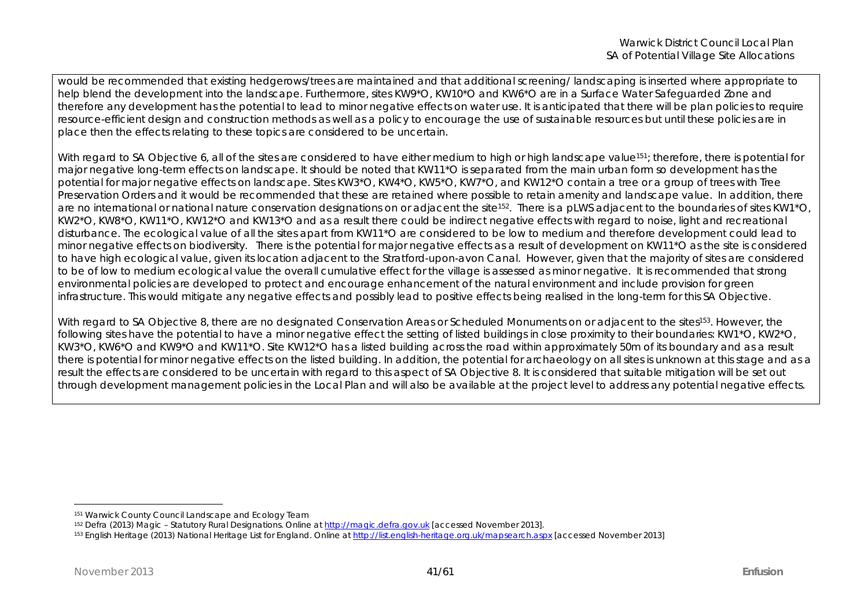would be recommended that existing hedgerows/trees are maintained and that additional screening/ landscaping is inserted where appropriate to help blend the development into the landscape. Furthermore, sites KW9\*O, KW10\*O and KW6\*O are in a Surface Water Safeguarded Zone and therefore any development has the potential to lead to minor negative effects on water use. It is anticipated that there will be plan policies to require resource-efficient design and construction methods as well as a policy to encourage the use of sustainable resources but until these policies are in place then the effects relating to these topics are considered to be uncertain.

With regard to SA Objective 6, all of the sites are considered to have either medium to high or high landscape value<sup>151</sup>; therefore, there is potential for major negative long-term effects on landscape. It should be noted that KW11\*O is separated from the main urban form so development has the potential for major negative effects on landscape. Sites KW3\*O, KW4\*O, KW5\*O, KW7\*O, and KW12\*O contain a tree or a group of trees with Tree Preservation Orders and it would be recommended that these are retained where possible to retain amenity and landscape value. In addition, there are no international or national nature conservation designations on or adjacent the site152. There is a pLWS adjacent to the boundaries of sites KW1\*O, KW2\*O, KW8\*O, KW11\*O, KW12\*O and KW13\*O and as a result there could be indirect negative effects with regard to noise, light and recreational disturbance. The ecological value of all the sites apart from KW11\*O are considered to be low to medium and therefore development could lead to minor negative effects on biodiversity. There is the potential for major negative effects as a result of development on KW11\*O as the site is considered to have high ecological value, given its location adjacent to the Stratford-upon-avon Canal. However, given that the majority of sites are considered to be of low to medium ecological value the overall cumulative effect for the village is assessed as minor negative. It is recommended that strong environmental policies are developed to protect and encourage enhancement of the natural environment and include provision for green infrastructure. This would mitigate any negative effects and possibly lead to positive effects being realised in the long-term for this SA Objective.

With regard to SA Objective 8, there are no designated Conservation Areas or Scheduled Monuments on or adjacent to the sites<sup>153</sup>. However, the following sites have the potential to have a minor negative effect the setting of listed buildings in close proximity to their boundaries: KW1\*O, KW2\*O, KW3\*O, KW6\*O and KW9\*O and KW11\*O. Site KW12\*O has a listed building across the road within approximately 50m of its boundary and as a result there is potential for minor negative effects on the listed building. In addition, the potential for archaeology on all sites is unknown at this stage and as a result the effects are considered to be uncertain with regard to this aspect of SA Objective 8. It is considered that suitable mitigation will be set out through development management policies in the Local Plan and will also be available at the project level to address any potential negative effects.

<sup>151</sup> Warwick County Council Landscape and Ecology Team

<sup>152</sup> Defra (2013) Magic – Statutory Rural Designations. Online at http://magic.defra.gov.uk [accessed November 2013].

<sup>153</sup> English Heritage (2013) National Heritage List for England. Online at http://list.english-heritage.org.uk/mapsearch.aspx [accessed November 2013]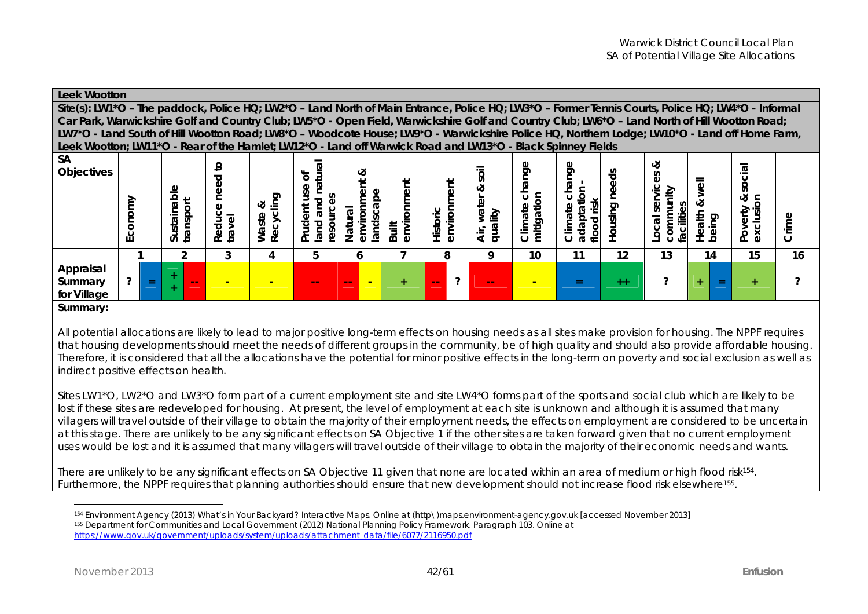**Leek Wootton** 

**Site(s): LW1\*O – The paddock, Police HQ; LW2\*O – Land North of Main Entrance, Police HQ; LW3\*O – Former Tennis Courts, Police HQ; LW4\*O - Informal Car Park, Warwickshire Golf and Country Club; LW5\*O - Open Field, Warwickshire Golf and Country Club; LW6\*O – Land North of Hill Wootton Road; LW7\*O - Land South of Hill Wootton Road; LW8\*O – Woodcote House; LW9\*O - Warwickshire Police HQ, Northern Lodge; LW10\*O - Land off Home Farm, Leek Wootton; LW11\*O - Rear of the Hamlet; LW12\*O - Land off Warwick Road and LW13\*O - Black Spinney Fields** 

| <b>SA</b><br>Objectives             | ≥<br>ᆚ   | Φ<br><b>ro</b><br>⊼<br>∸<br>œ<br>Ø<br>-<br><u>ist</u><br>∼<br>G<br>ದ<br>ᆂ | <u>୦</u><br>need<br>Φ<br>uc<br>$\overline{\Phi}$<br>᠊ᠣ<br>Ø<br>ě<br>ᆂ | ರಾ<br>∞<br>._<br>Waste<br>Φ<br>œ | -<br>ω<br>Ĕ<br>৳<br>ω<br>Φ<br>-<br>S<br>┶<br>▿<br>⊭<br>ద్<br>=<br>Φ<br>ত<br>⊽<br>sη<br>۰<br>۵<br>$\overline{\mathbf{v}}$<br>ፚ | త<br>ىپ<br>∽<br>Ф<br>ᠭᠣ<br>≔.<br>≓<br>δN<br><u>ត</u><br>ئة | ent<br>ă<br>≔<br>≒<br>έë<br>മ് | $\overline{c}$<br>Φ<br>U<br>Histori<br>≔.<br>Ē<br>Φ | ㅎ<br>S<br>త<br>ate<br>╭<br>≝<br>σ<br>∽<br>$\ddot{\vec{e}}$<br>ā | hange<br>⋚<br>ပ<br>≝<br>hate<br>ø<br>mitig<br>ri<br>تا | pp<br>ಸ<br>ပ<br>٩<br>ō٦<br>$\mathfrak{Q}$<br>ഁ<br>._<br>Ø<br>ত<br>-<br>Clir<br>O<br>آ⊇<br>ັ<br>$\boldsymbol{\varpi}$ | ಕೆ<br>Φ<br>Φ<br>ರಾ<br>._<br>S<br>$\circ$<br>ᆂ | త<br>Φ<br>n<br>∍<br>S<br>≣<br>-<br>Ф<br>ပ<br><u>ہ</u><br>යු | త<br>₿<br>రా<br>ω<br>ōّ<br>Φ<br>÷<br>≏ | $\boldsymbol{\varpi}$<br>Ō<br>∞<br>⊂<br>್<br>╭<br>∸<br>∽<br>Φ<br>-<br>б.<br>ᄉ<br>Φ | Φ<br>흣 |
|-------------------------------------|----------|---------------------------------------------------------------------------|-----------------------------------------------------------------------|----------------------------------|-------------------------------------------------------------------------------------------------------------------------------|------------------------------------------------------------|--------------------------------|-----------------------------------------------------|-----------------------------------------------------------------|--------------------------------------------------------|----------------------------------------------------------------------------------------------------------------------|-----------------------------------------------|-------------------------------------------------------------|----------------------------------------|------------------------------------------------------------------------------------|--------|
|                                     |          | ົ                                                                         | ົ<br>J.                                                               |                                  | b                                                                                                                             | 0                                                          |                                | 8                                                   | Q                                                               | 10                                                     | 11                                                                                                                   | 12                                            | 13                                                          | 14                                     | 15                                                                                 | 16     |
| Appraisal<br>Summary<br>for Village | ?<br>$=$ | $-$                                                                       |                                                                       | $\overline{\phantom{a}}$         | $\sim$                                                                                                                        | $\sim$ $\sim$<br>- -                                       |                                | ົ<br>$- -$                                          | $-$                                                             | $\overline{\phantom{a}}$                               | $=$                                                                                                                  | $++$                                          | ◠                                                           | $=$                                    |                                                                                    | ຳ      |

**Summary:** 

All potential allocations are likely to lead to major positive long-term effects on housing needs as all sites make provision for housing. The NPPF requires that housing developments should meet the needs of different groups in the community, be of high quality and should also provide affordable housing. Therefore, it is considered that all the allocations have the potential for minor positive effects in the long-term on poverty and social exclusion as well as indirect positive effects on health.

Sites LW1\*O, LW2\*O and LW3\*O form part of a current employment site and site LW4\*O forms part of the sports and social club which are likely to be lost if these sites are redeveloped for housing. At present, the level of employment at each site is unknown and although it is assumed that many villagers will travel outside of their village to obtain the majority of their employment needs, the effects on employment are considered to be uncertain at this stage. There are unlikely to be any significant effects on SA Objective 1 if the other sites are taken forward given that no current employment uses would be lost and it is assumed that many villagers will travel outside of their village to obtain the majority of their economic needs and wants.

There are unlikely to be any significant effects on SA Objective 11 given that none are located within an area of medium or high flood risk<sup>154</sup>. Furthermore, the NPPF requires that planning authorities should ensure that new development should not increase flood risk elsewhere<sup>155</sup>.

<sup>154</sup> Environment Agency (2013) What's in Your Backyard? Interactive Maps. Online at (http\)maps.environment-agency.gov.uk [accessed November 2013] 155 Department for Communities and Local Government (2012) National Planning Policy Framework. Paragraph 103. Online at https://www.gov.uk/government/uploads/system/uploads/attachment\_data/file/6077/2116950.pdf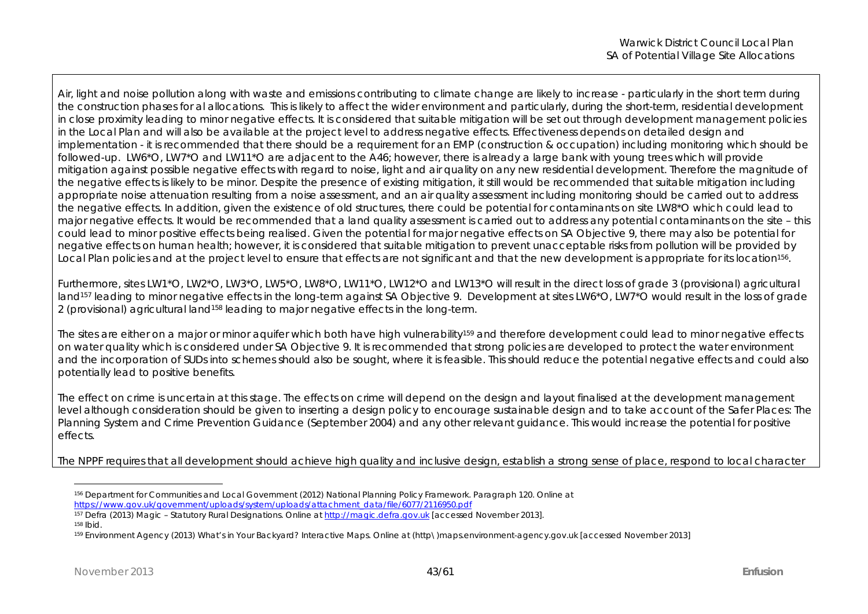Air, light and noise pollution along with waste and emissions contributing to climate change are likely to increase - particularly in the short term during the construction phases for al allocations. This is likely to affect the wider environment and particularly, during the short-term, residential development in close proximity leading to minor negative effects. It is considered that suitable mitigation will be set out through development management policies in the Local Plan and will also be available at the project level to address negative effects. Effectiveness depends on detailed design and implementation - it is recommended that there should be a requirement for an EMP (construction & occupation) including monitoring which should be followed-up. LW6\*O, LW7\*O and LW11\*O are adjacent to the A46; however, there is already a large bank with young trees which will provide mitigation against possible negative effects with regard to noise, light and air quality on any new residential development. Therefore the magnitude of the negative effects is likely to be minor. Despite the presence of existing mitigation, it still would be recommended that suitable mitigation including appropriate noise attenuation resulting from a noise assessment, and an air quality assessment including monitoring should be carried out to address the negative effects. In addition, given the existence of old structures, there could be potential for contaminants on site LW8\*O which could lead to maior negative effects. It would be recommended that a land quality assessment is carried out to address any potential contaminants on the site - this could lead to minor positive effects being realised. Given the potential for major negative effects on SA Objective 9, there may also be potential for negative effects on human health; however, it is considered that suitable mitigation to prevent unacceptable risks from pollution will be provided by Local Plan policies and at the project level to ensure that effects are not significant and that the new development is appropriate for its location<sup>156</sup>.

Furthermore, sites LW1\*O, LW2\*O, LW3\*O, LW5\*O, LW8\*O, LW11\*O, LW12\*O and LW13\*O will result in the direct loss of grade 3 (provisional) agricultural land<sup>157</sup> leading to minor negative effects in the long-term against SA Objective 9. Development at sites LW6\*O, LW7\*O would result in the loss of grade 2 (provisional) agricultural land158 leading to major negative effects in the long-term.

The sites are either on a major or minor aquifer which both have high vulnerability<sup>159</sup> and therefore development could lead to minor negative effects on water quality which is considered under SA Objective 9. It is recommended that strong policies are developed to protect the water environment and the incorporation of SUDs into schemes should also be sought, where it is feasible. This should reduce the potential negative effects and could also potentially lead to positive benefits.

The effect on crime is uncertain at this stage. The effects on crime will depend on the design and layout finalised at the development management level although consideration should be given to inserting a design policy to encourage sustainable design and to take account of the Safer Places: The Planning System and Crime Prevention Guidance (September 2004) and any other relevant guidance. This would increase the potential for positive effects.

The NPPF requires that all development should achieve high quality and inclusive design, establish a strong sense of place, respond to local character

157 Defra (2013) Magic – Statutory Rural Designations. Online at http://magic.defra.gov.uk [accessed November 2013].

158 Ibid.

<sup>156</sup> Department for Communities and Local Government (2012) National Planning Policy Framework. Paragraph 120. Online at https://www.gov.uk/government/uploads/system/uploads/attachment\_data/file/6077/2116950.pdf

<sup>159</sup> Environment Agency (2013) What's in Your Backyard? Interactive Maps. Online at (http\)maps.environment-agency.gov.uk [accessed November 2013]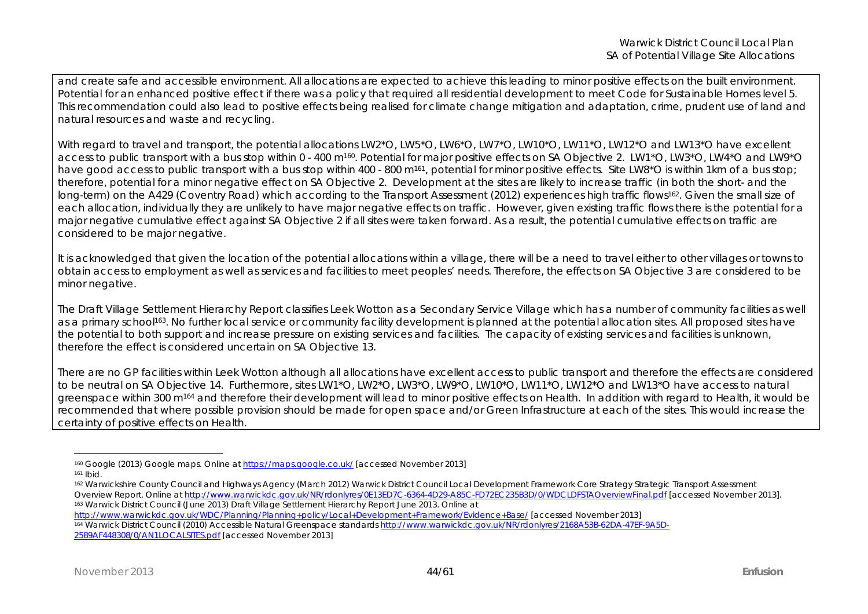and create safe and accessible environment. All allocations are expected to achieve this leading to minor positive effects on the built environment. Potential for an enhanced positive effect if there was a policy that required all residential development to meet Code for Sustainable Homes level 5. This recommendation could also lead to positive effects being realised for climate change mitigation and adaptation, crime, prudent use of land and natural resources and waste and recycling.

With regard to travel and transport, the potential allocations LW2\*O, LW5\*O, LW6\*O, LW7\*O, LW10\*O, LW11\*O, LW12\*O and LW13\*O have excellent access to public transport with a bus stop within 0 - 400 m160. Potential for major positive effects on SA Objective 2. LW1\*O, LW3\*O, LW4\*O and LW9\*O have good access to public transport with a bus stop within 400 - 800 m<sup>161</sup>, potential for minor positive effects. Site LW8<sup>\*</sup>O is within 1km of a bus stop; therefore, potential for a minor negative effect on SA Objective 2. Development at the sites are likely to increase traffic (in both the short- and the long-term) on the A429 (Coventry Road) which according to the Transport Assessment (2012) experiences high traffic flows162. Given the small size of each allocation, individually they are unlikely to have major negative effects on traffic. However, given existing traffic flows there is the potential for a major negative cumulative effect against SA Objective 2 if all sites were taken forward. As a result, the potential cumulative effects on traffic are considered to be major negative.

It is acknowledged that given the location of the potential allocations within a village, there will be a need to travel either to other villages or towns to obtain access to employment as well as services and facilities to meet peoples' needs. Therefore, the effects on SA Objective 3 are considered to be minor negative.

The Draft Village Settlement Hierarchy Report classifies Leek Wotton as a Secondary Service Village which has a number of community facilities as well as a primary school<sup>163</sup>. No further local service or community facility development is planned at the potential allocation sites. All proposed sites have the potential to both support and increase pressure on existing services and facilities. The capacity of existing services and facilities is unknown, therefore the effect is considered uncertain on SA Objective 13.

There are no GP facilities within Leek Wotton although all allocations have excellent access to public transport and therefore the effects are considered to be neutral on SA Objective 14. Furthermore, sites LW1\*O, LW2\*O, LW3\*O, LW9\*O, LW10\*O, LW11\*O, LW12\*O and LW13\*O have access to natural greenspace within 300 m<sup>164</sup> and therefore their development will lead to minor positive effects on Health. In addition with regard to Health, it would be recommended that where possible provision should be made for open space and/or Green Infrastructure at each of the sites. This would increase the certainty of positive effects on Health.

http://www.warwickdc.gov.uk/WDC/Planning/Planning+policy/Local+Development+Framework/Evidence+Base/ [accessed November 2013]

164 Warwick District Council (2010) Accessible Natural Greenspace standards http://www.warwickdc.gov.uk/NR/rdonlyres/2168A53B-62DA-47EF-9A5D-2589AF448308/0/AN1LOCALSITES.pdf [accessed November 2013]

<sup>160</sup> Google (2013) Google maps. Online at https://maps.google.co.uk/ [accessed November 2013] 161 Ibid.

<sup>162</sup> Warwickshire County Council and Highways Agency (March 2012) Warwick District Council Local Development Framework Core Strategy Strategic Transport Assessment Overview Report. Online at http://www.warwickdc.gov.uk/NR/rdonlyres/0E13ED7C-6364-4D29-A85C-FD72EC235B3D/0/WDCLDFSTAOverviewFinal.pdf [accessed November 2013]. 163 Warwick District Council (June 2013) Draft Village Settlement Hierarchy Report June 2013. Online at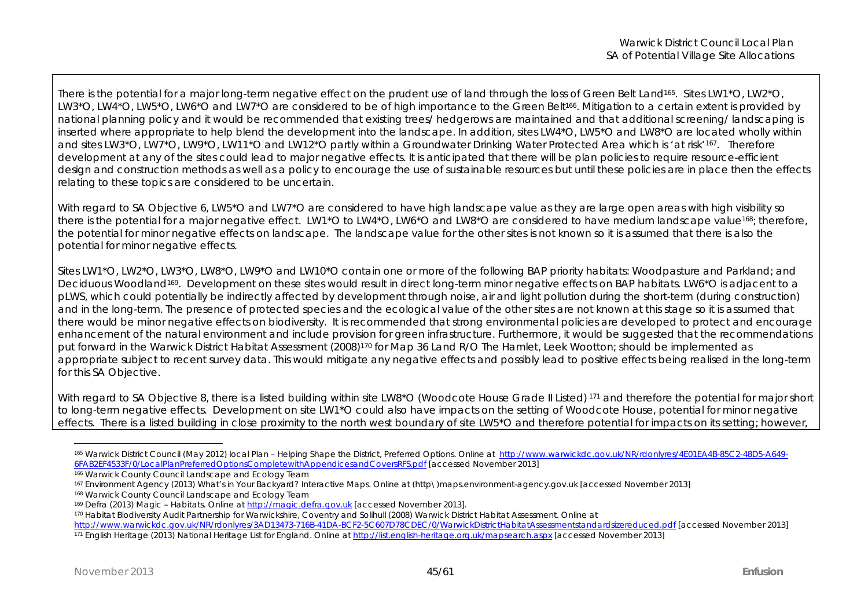There is the potential for a major long-term negative effect on the prudent use of land through the loss of Green Belt Land<sup>165</sup>. Sites LW1<sup>\*</sup>O, LW2<sup>\*</sup>O, LW3<sup>\*</sup>O, LW4<sup>\*</sup>O, LW5<sup>\*</sup>O, LW6<sup>\*</sup>O and LW7<sup>\*</sup>O are considered to be of high importance to the Green Belt<sup>166</sup>. Mitigation to a certain extent is provided by national planning policy and it would be recommended that existing trees/ hedgerows are maintained and that additional screening/ landscaping is inserted where appropriate to help blend the development into the landscape. In addition, sites LW4\*O, LW5\*O and LW8\*O are located wholly within and sites LW3\*O, LW7\*O, LW9\*O, LW11\*O and LW12\*O partly within a Groundwater Drinking Water Protected Area which is 'at risk'167. Therefore development at any of the sites could lead to major negative effects. It is anticipated that there will be plan policies to require resource-efficient design and construction methods as well as a policy to encourage the use of sustainable resources but until these policies are in place then the effects relating to these topics are considered to be uncertain.

With regard to SA Objective 6, LW5\*O and LW7\*O are considered to have high landscape value as they are large open areas with high visibility so there is the potential for a major negative effect. LW1\*O to LW4\*O, LW6\*O and LW8\*O are considered to have medium landscape value168; therefore, the potential for minor negative effects on landscape. The landscape value for the other sites is not known so it is assumed that there is also the potential for minor negative effects.

Sites LW1\*O, LW2\*O, LW3\*O, LW8\*O, LW9\*O and LW10\*O contain one or more of the following BAP priority habitats: Woodpasture and Parkland; and Deciduous Woodland<sup>169</sup>. Development on these sites would result in direct long-term minor negative effects on BAP habitats. LW6\*O is adjacent to a pLWS, which could potentially be indirectly affected by development through noise, air and light pollution during the short-term (during construction) and in the long-term. The presence of protected species and the ecological value of the other sites are not known at this stage so it is assumed that there would be minor negative effects on biodiversity. It is recommended that strong environmental policies are developed to protect and encourage enhancement of the natural environment and include provision for green infrastructure. Furthermore, it would be suggested that the recommendations put forward in the Warwick District Habitat Assessment (2008)170 for Map 36 Land R/O The Hamlet, Leek Wootton; should be implemented as appropriate subject to recent survey data. This would mitigate any negative effects and possibly lead to positive effects being realised in the long-term for this SA Objective.

With regard to SA Objective 8, there is a listed building within site LW8\*O (Woodcote House Grade II Listed) 171 and therefore the potential for major short to long-term negative effects. Development on site LW1\*O could also have impacts on the setting of Woodcote House, potential for minor negative effects. There is a listed building in close proximity to the north west boundary of site LW5\*O and therefore potential for impacts on its setting; however,

<sup>165</sup> Warwick District Council (May 2012) local Plan – Helping Shape the District, Preferred Options. Online at http://www.warwickdc.gov.uk/NR/rdonlyres/4E01EA4B-85C2-48D5-A649- 6FAB2EF4533F/0/LocalPlanPreferredOptionsCompletewithAppendicesandCoversRFS.pdf [accessed November 2013]

<sup>166</sup> Warwick County Council Landscape and Ecology Team

<sup>167</sup> Environment Agency (2013) What's in Your Backyard? Interactive Maps. Online at (http\)maps.environment-agency.gov.uk [accessed November 2013]

<sup>168</sup> Warwick County Council Landscape and Ecology Team

<sup>169</sup> Defra (2013) Magic – Habitats. Online at http://magic.defra.gov.uk [accessed November 2013].

<sup>170</sup> Habitat Biodiversity Audit Partnership for Warwickshire, Coventry and Solihull (2008) Warwick District Habitat Assessment. Online at

http://www.warwickdc.gov.uk/NR/rdonlyres/3AD13473-716B-41DA-BCF2-5C607D78CDEC/0/WarwickDistrictHabitatAssessmentstandardsizereduced.pdf [accessed November 2013] 171 English Heritage (2013) National Heritage List for England. Online at http://list.english-heritage.org.uk/mapsearch.aspx [accessed November 2013]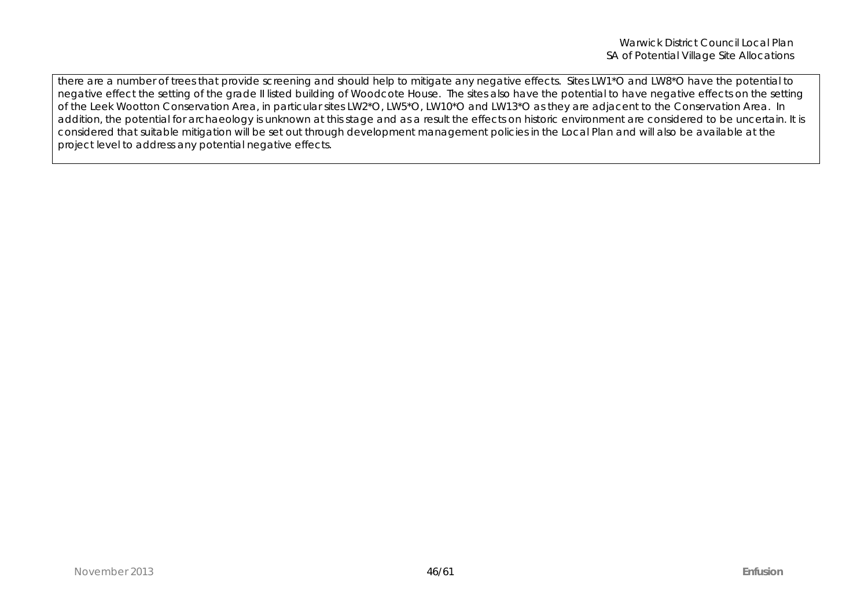there are a number of trees that provide screening and should help to mitigate any negative effects. Sites LW1\*O and LW8\*O have the potential to negative effect the setting of the grade II listed building of Woodcote House. The sites also have the potential to have negative effects on the setting of the Leek Wootton Conservation Area, in particular sites LW2\*O, LW5\*O, LW10\*O and LW13\*O as they are adjacent to the Conservation Area. In addition, the potential for archaeology is unknown at this stage and as a result the effects on historic environment are considered to be uncertain. It is considered that suitable mitigation will be set out through development management policies in the Local Plan and will also be available at the project level to address any potential negative effects.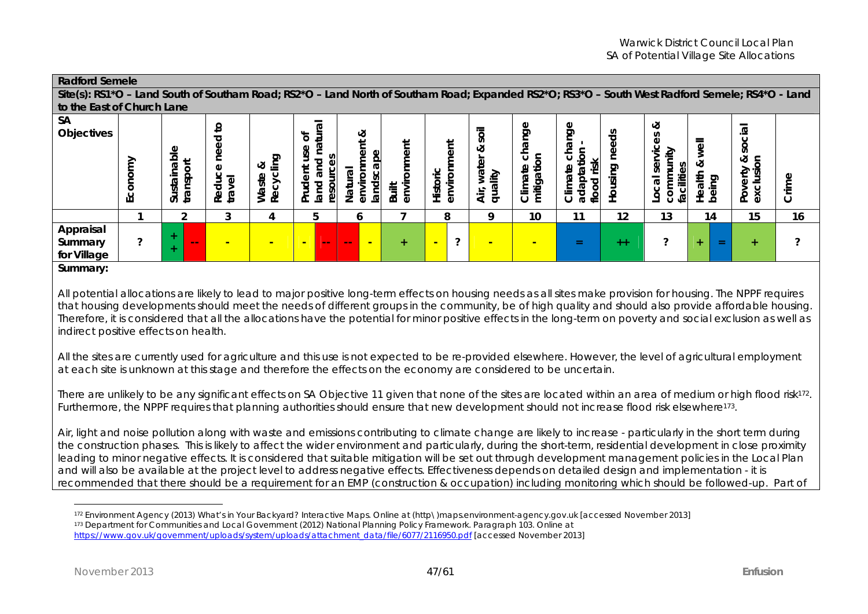#### **Radford Semele**

**Site(s): RS1\*O – Land South of Southam Road; RS2\*O – Land North of Southam Road; Expanded RS2\*O; RS3\*O – South West Radford Semele; RS4\*O - Land to the East of Church Lane** 

| <b>SA</b><br>Objectives             | ↗<br>ш | Φ<br>_<br>ത<br>$\cdot$<br><b>G</b><br>ದ<br>S | с<br>റ<br>S<br>-<br>∼<br>đ<br>≐ | $\overline{\mathsf{c}}$<br>᠊ᠣ<br>ee<br>-<br>∽<br>Φ<br>ğ<br>$\overline{\Phi}$<br>ਹ<br>Ø<br>ě<br>느 | ರಾ<br>త<br>$=$<br>ste<br>◡<br>Μa<br>Φ<br>œ | ৳<br>Φ.<br>Ō<br>ـ<br>∼<br>Φ<br>ত<br>۰<br>ᅕ | ಸ<br>≒<br>ہے<br><u>ब्</u><br>┶<br>▿<br>►<br>ω<br>≒<br>▿<br>Φ<br>$\bar{\mathbf{v}}$ | ω<br>≒<br>đ<br>z | త<br>پ<br>►<br>$\overline{\mathbb{O}}$<br>$\epsilon$<br>≻<br>≔.<br>ट<br>-<br><u>히</u><br>Φ | ent<br>≒<br>ă<br>≝<br>έñ<br>മ് | ⊇.<br>ğ<br>ЭĤ            | $\overline{E}$<br>$\overline{\mathbf{\omega}}$<br>∼<br>._<br>–<br>Φ | $\overline{\overline{6}}$<br>S<br>త<br>Ф<br>-<br>$\omega$<br>-<br>≝<br>$\boldsymbol{\varpi}$<br>-<br>∸.<br>Ξ<br>₫<br>$\bar{\bm{\sigma}}$ | Φ<br>פַּ<br>ಕ<br>-<br>ξ<br>ပ<br>ate<br>≔<br>mitigat<br>-<br>≐<br>ပ | Φ<br>ğη<br>న్<br>듕<br>٥j<br><u>ي</u><br>ate<br>$\sigma$<br>⇁<br>칔<br>⌒<br>O<br>ັ<br>$\circ$<br>ω<br>ਵ | S<br>ರ<br>Φ<br>ω<br>రా<br>-<br>._<br>$\overline{v}$<br>$\circ$<br>ェ | త<br>v<br>Φ<br>≒<br>v<br>S<br>Ē<br>$\overline{\sigma}$<br>O<br>0<br>$\overline{\omega}$ | త<br>Ξ<br>Ф<br>÷ | פו<br>∸.<br>Q | $\overline{\phantom{0}}$<br>ω<br>S<br>∞<br>⊊<br>j<br>◢<br>S<br>-<br>৯<br>б.<br>Φ | Φ<br>Έ<br>$\circ$ |
|-------------------------------------|--------|----------------------------------------------|---------------------------------|--------------------------------------------------------------------------------------------------|--------------------------------------------|--------------------------------------------|------------------------------------------------------------------------------------|------------------|--------------------------------------------------------------------------------------------|--------------------------------|--------------------------|---------------------------------------------------------------------|------------------------------------------------------------------------------------------------------------------------------------------|--------------------------------------------------------------------|-------------------------------------------------------------------------------------------------------|---------------------------------------------------------------------|-----------------------------------------------------------------------------------------|------------------|---------------|----------------------------------------------------------------------------------|-------------------|
|                                     |        | ົ                                            |                                 | ົ<br>J                                                                                           |                                            | b                                          |                                                                                    |                  | o                                                                                          |                                | 8                        |                                                                     | Q                                                                                                                                        | 10                                                                 | 11                                                                                                    | 12                                                                  | 13                                                                                      |                  | 14            | 15                                                                               | 16                |
| Appraisal<br>Summary<br>for Village | 7      | ۰<br>4                                       | $-$                             |                                                                                                  | $\overline{\phantom{a}}$                   | -                                          | $- -$                                                                              | $-$              |                                                                                            | ÷                              | $\overline{\phantom{a}}$ | ົ                                                                   |                                                                                                                                          |                                                                    | $=$                                                                                                   | $++$                                                                | ົ                                                                                       |                  | $=$           |                                                                                  | ຳ                 |

# **Summary:**

All potential allocations are likely to lead to major positive long-term effects on housing needs as all sites make provision for housing. The NPPF requires that housing developments should meet the needs of different groups in the community, be of high quality and should also provide affordable housing. Therefore, it is considered that all the allocations have the potential for minor positive effects in the long-term on poverty and social exclusion as well as indirect positive effects on health.

All the sites are currently used for agriculture and this use is not expected to be re-provided elsewhere. However, the level of agricultural employment at each site is unknown at this stage and therefore the effects on the economy are considered to be uncertain.

There are unlikely to be any significant effects on SA Objective 11 given that none of the sites are located within an area of medium or high flood risk<sup>172</sup>. Furthermore, the NPPF requires that planning authorities should ensure that new development should not increase flood risk elsewhere<sup>173</sup>.

Air, light and noise pollution along with waste and emissions contributing to climate change are likely to increase - particularly in the short term during the construction phases. This is likely to affect the wider environment and particularly, during the short-term, residential development in close proximity leading to minor negative effects. It is considered that suitable mitigation will be set out through development management policies in the Local Plan and will also be available at the project level to address negative effects. Effectiveness depends on detailed design and implementation - it is recommended that there should be a requirement for an EMP (construction & occupation) including monitoring which should be followed-up. Part of

<sup>172</sup> Environment Agency (2013) What's in Your Backyard? Interactive Maps. Online at (http\)maps.environment-agency.gov.uk [accessed November 2013]

<sup>173</sup> Department for Communities and Local Government (2012) National Planning Policy Framework. Paragraph 103. Online at

https://www.gov.uk/government/uploads/system/uploads/attachment\_data/file/6077/2116950.pdf [accessed November 2013]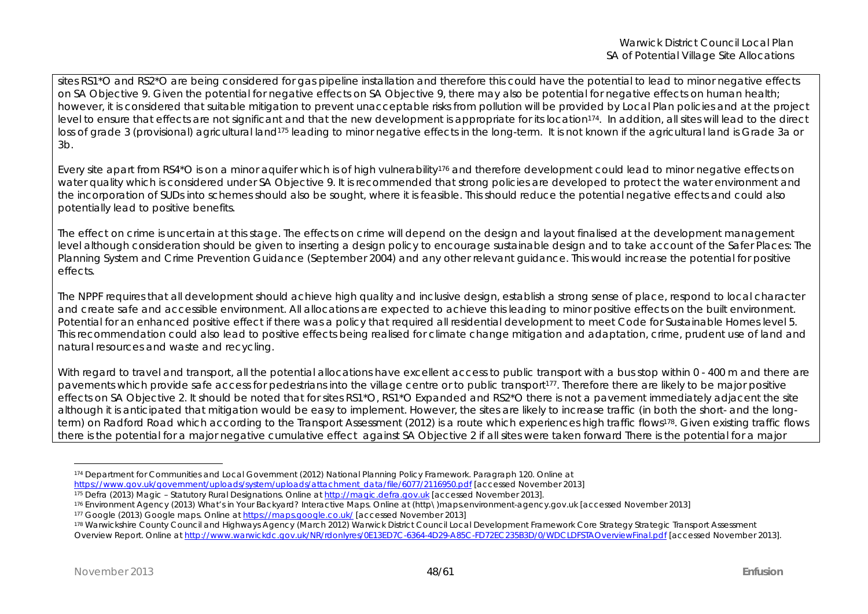sites RS1\*O and RS2\*O are being considered for gas pipeline installation and therefore this could have the potential to lead to minor negative effects on SA Objective 9. Given the potential for negative effects on SA Objective 9, there may also be potential for negative effects on human health; however, it is considered that suitable mitigation to prevent unacceptable risks from pollution will be provided by Local Plan policies and at the project level to ensure that effects are not significant and that the new development is appropriate for its location<sup>174</sup>. In addition, all sites will lead to the direct loss of grade 3 (provisional) agricultural land<sup>175</sup> leading to minor negative effects in the long-term. It is not known if the agricultural land is Grade 3a or 3b.

Every site apart from RS4\*O is on a minor aquifer which is of high vulnerability<sup>176</sup> and therefore development could lead to minor negative effects on water quality which is considered under SA Objective 9. It is recommended that strong policies are developed to protect the water environment and the incorporation of SUDs into schemes should also be sought, where it is feasible. This should reduce the potential negative effects and could also potentially lead to positive benefits.

The effect on crime is uncertain at this stage. The effects on crime will depend on the design and layout finalised at the development management level although consideration should be given to inserting a design policy to encourage sustainable design and to take account of the Safer Places: The Planning System and Crime Prevention Guidance (September 2004) and any other relevant guidance. This would increase the potential for positive effects.

The NPPF requires that all development should achieve high quality and inclusive design, establish a strong sense of place, respond to local character and create safe and accessible environment. All allocations are expected to achieve this leading to minor positive effects on the built environment. Potential for an enhanced positive effect if there was a policy that required all residential development to meet Code for Sustainable Homes level 5. This recommendation could also lead to positive effects being realised for climate change mitigation and adaptation, crime, prudent use of land and natural resources and waste and recycling.

With regard to travel and transport, all the potential allocations have excellent access to public transport with a bus stop within 0 - 400 m and there are pavements which provide safe access for pedestrians into the village centre or to public transport<sup>177</sup>. Therefore there are likely to be major positive effects on SA Objective 2. It should be noted that for sites RS1\*O, RS1\*O Expanded and RS2\*O there is not a pavement immediately adjacent the site although it is anticipated that mitigation would be easy to implement. However, the sites are likely to increase traffic (in both the short- and the longterm) on Radford Road which according to the Transport Assessment (2012) is a route which experiences high traffic flows<sup>178</sup>. Given existing traffic flows there is the potential for a major negative cumulative effect against SA Objective 2 if all sites were taken forward There is the potential for a major

<sup>174</sup> Department for Communities and Local Government (2012) National Planning Policy Framework. Paragraph 120. Online at

https://www.gov.uk/government/uploads/system/uploads/attachment\_data/file/6077/2116950.pdf [accessed November 2013]

<sup>175</sup> Defra (2013) Magic – Statutory Rural Designations. Online at http://magic.defra.gov.uk [accessed November 2013].

<sup>176</sup> Environment Agency (2013) What's in Your Backyard? Interactive Maps. Online at (http\)maps.environment-agency.gov.uk [accessed November 2013]

<sup>177</sup> Google (2013) Google maps. Online at https://maps.google.co.uk/ [accessed November 2013]

<sup>178</sup> Warwickshire County Council and Highways Agency (March 2012) Warwick District Council Local Development Framework Core Strategy Strategic Transport Assessment Overview Report. Online at http://www.warwickdc.gov.uk/NR/rdonlyres/0E13ED7C-6364-4D29-A85C-FD72EC235B3D/0/WDCLDFSTAOverviewFinal.pdf [accessed November 2013].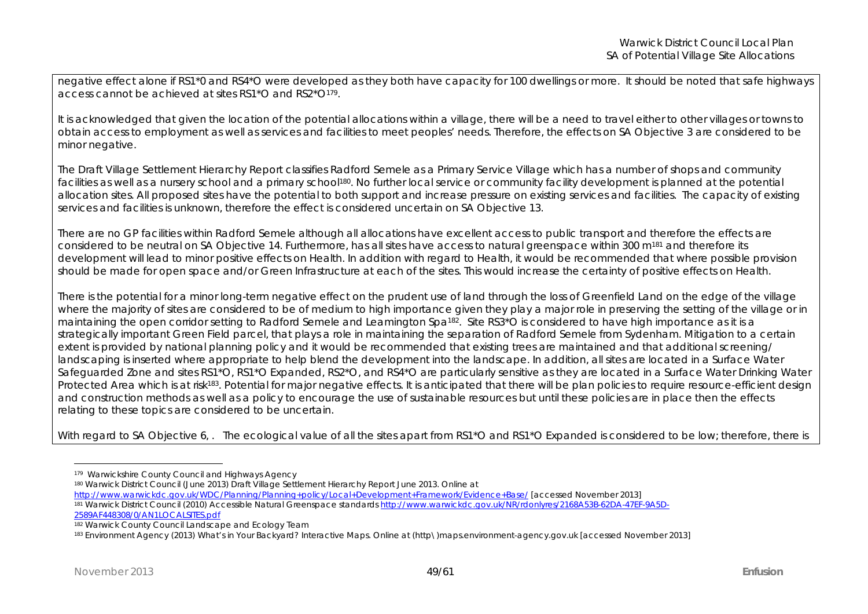negative effect alone if RS1\*0 and RS4\*O were developed as they both have capacity for 100 dwellings or more. It should be noted that safe highways access cannot be achieved at sites RS1\*O and RS2\*O179.

It is acknowledged that given the location of the potential allocations within a village, there will be a need to travel either to other villages or towns to obtain access to employment as well as services and facilities to meet peoples' needs. Therefore, the effects on SA Objective 3 are considered to be minor negative.

The Draft Village Settlement Hierarchy Report classifies Radford Semele as a Primary Service Village which has a number of shops and community facilities as well as a nursery school and a primary school<sup>180</sup>. No further local service or community facility development is planned at the potential allocation sites. All proposed sites have the potential to both support and increase pressure on existing services and facilities. The capacity of existing services and facilities is unknown, therefore the effect is considered uncertain on SA Objective 13.

There are no GP facilities within Radford Semele although all allocations have excellent access to public transport and therefore the effects are considered to be neutral on SA Objective 14. Furthermore, has all sites have access to natural greenspace within 300 m181 and therefore its development will lead to minor positive effects on Health. In addition with regard to Health, it would be recommended that where possible provision should be made for open space and/or Green Infrastructure at each of the sites. This would increase the certainty of positive effects on Health.

There is the potential for a minor long-term negative effect on the prudent use of land through the loss of Greenfield Land on the edge of the village where the majority of sites are considered to be of medium to high importance given they play a major role in preserving the setting of the village or in maintaining the open corridor setting to Radford Semele and Leamington Spa<sup>182</sup>. Site RS3<sup>\*</sup>O is considered to have high importance as it is a strategically important Green Field parcel, that plays a role in maintaining the separation of Radford Semele from Sydenham. Mitigation to a certain extent is provided by national planning policy and it would be recommended that existing trees are maintained and that additional screening/ landscaping is inserted where appropriate to help blend the development into the landscape. In addition, all sites are located in a Surface Water Safeguarded Zone and sites RS1\*O, RS1\*O Expanded, RS2\*O, and RS4\*O are particularly sensitive as they are located in a Surface Water Drinking Water Protected Area which is at risk<sup>183</sup>. Potential for major negative effects. It is anticipated that there will be plan policies to require resource-efficient design and construction methods as well as a policy to encourage the use of sustainable resources but until these policies are in place then the effects relating to these topics are considered to be uncertain.

With regard to SA Objective 6, . The ecological value of all the sites apart from RS1\*O and RS1\*O Expanded is considered to be low; therefore, there is

<sup>179</sup> Warwickshire County Council and Highways Agency

<sup>180</sup> Warwick District Council (June 2013) Draft Village Settlement Hierarchy Report June 2013. Online at

http://www.warwickdc.gov.uk/WDC/Planning/Planning+policy/Local+Development+Framework/Evidence+Base/ [accessed November 2013]

<sup>181</sup> Warwick District Council (2010) Accessible Natural Greenspace standards http://www.warwickdc.gov.uk/NR/rdonlyres/2168A53B-62DA-47EF-9A5D-

<sup>2589</sup>AF448308/0/AN1LOCALSITES.pdf

<sup>182</sup> Warwick County Council Landscape and Ecology Team

<sup>183</sup> Environment Agency (2013) What's in Your Backyard? Interactive Maps. Online at (http\)maps.environment-agency.gov.uk [accessed November 2013]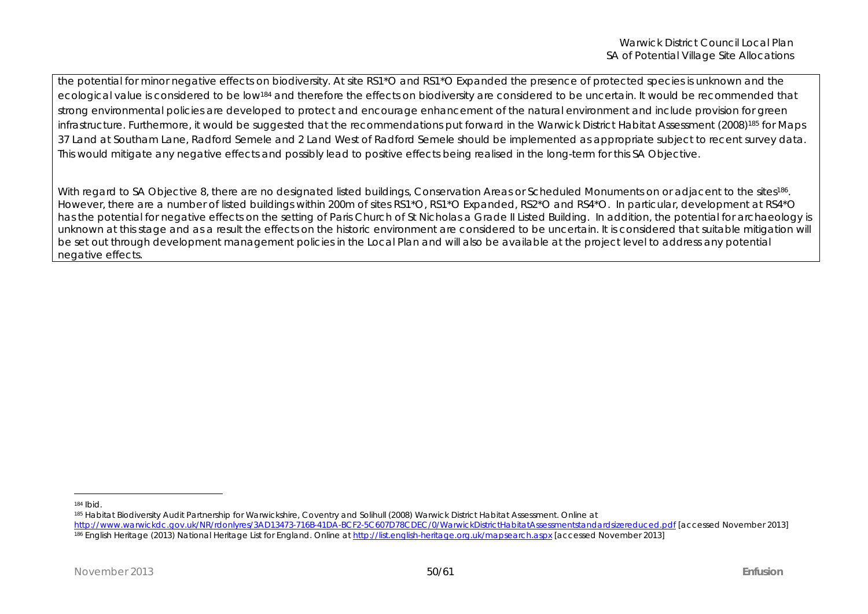the potential for minor negative effects on biodiversity. At site RS1\*O and RS1\*O Expanded the presence of protected species is unknown and the ecological value is considered to be low184 and therefore the effects on biodiversity are considered to be uncertain. It would be recommended that strong environmental policies are developed to protect and encourage enhancement of the natural environment and include provision for green infrastructure. Furthermore, it would be suggested that the recommendations put forward in the Warwick District Habitat Assessment (2008)<sup>185</sup> for Maps 37 Land at Southam Lane, Radford Semele and 2 Land West of Radford Semele should be implemented as appropriate subject to recent survey data. This would mitigate any negative effects and possibly lead to positive effects being realised in the long-term for this SA Objective.

With regard to SA Objective 8, there are no designated listed buildings, Conservation Areas or Scheduled Monuments on or adjacent to the sites<sup>186</sup>. However, there are a number of listed buildings within 200m of sites RS1\*O, RS1\*O Expanded, RS2\*O and RS4\*O. In particular, development at RS4\*O has the potential for negative effects on the setting of Paris Church of St Nicholas a Grade II Listed Building. In addition, the potential for archaeology is unknown at this stage and as a result the effects on the historic environment are considered to be uncertain. It is considered that suitable mitigation will be set out through development management policies in the Local Plan and will also be available at the project level to address any potential negative effects.

<sup>184</sup> Ibid.

<sup>185</sup> Habitat Biodiversity Audit Partnership for Warwickshire, Coventry and Solihull (2008) Warwick District Habitat Assessment. Online at

http://www.warwickdc.gov.uk/NR/rdonlyres/3AD13473-716B-41DA-BCF2-5C607D78CDEC/0/WarwickDistrictHabitatAssessmentstandardsizereduced.pdf [accessed November 2013] 186 English Heritage (2013) National Heritage List for England. Online at http://list.english-heritage.org.uk/mapsearch.aspx [accessed November 2013]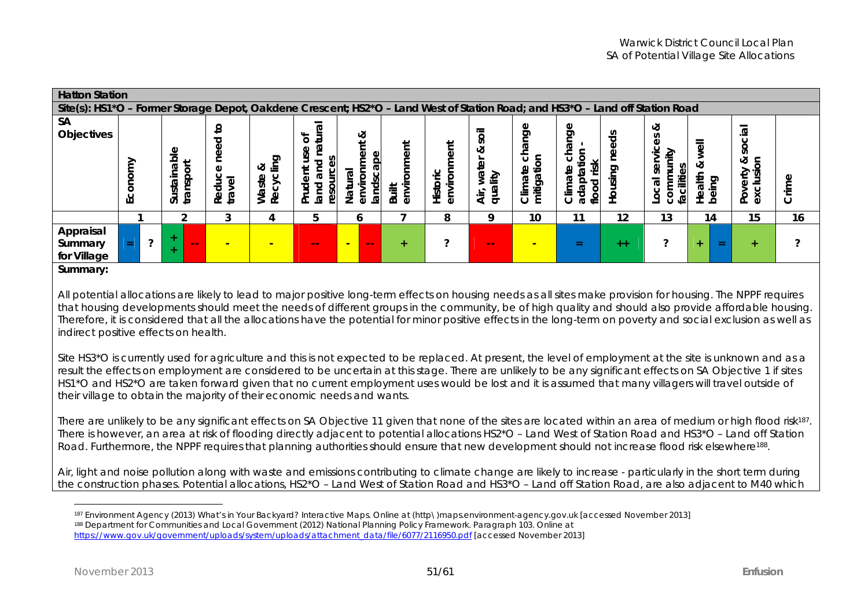| <b>Hatton Station</b>                                                                                                         |         |                                                  |                                                                             |                 |                                |                               |                      |                                          |                               |                                                     |                                                                                             |           |                                            |                 |                                     |    |
|-------------------------------------------------------------------------------------------------------------------------------|---------|--------------------------------------------------|-----------------------------------------------------------------------------|-----------------|--------------------------------|-------------------------------|----------------------|------------------------------------------|-------------------------------|-----------------------------------------------------|---------------------------------------------------------------------------------------------|-----------|--------------------------------------------|-----------------|-------------------------------------|----|
| Site(s): HS1*O – Former Storage Depot, Oakdene Crescent; HS2*O – Land West of Station Road; and HS3*O – Land off Station Road |         |                                                  |                                                                             |                 |                                |                               |                      |                                          |                               |                                                     |                                                                                             |           |                                            |                 |                                     |    |
| <b>SA</b><br><b>Objectives</b>                                                                                                | ↗<br>ய் | ەّ<br>ω<br>č<br>ءِ<br>$\circ$<br>Sustai<br>trans | c<br>heed<br>Φ<br>duc<br>$\overline{\Phi}$<br>$\overline{\mathbf{g}}$<br>œ. | త<br>Waste<br>ഷ | ৳<br>Φ<br>é<br>land<br>ÖΜ<br>ፚ | త<br>Ξ<br>ᢐ<br>land<br>g<br>ā | ēπ<br>envir<br>Built | $\overline{5}$<br>5<br>Historic<br>envir | ō<br>త<br>ater<br>≧<br>ā<br>공 | Φ<br>ğ<br>≌<br>mitigat<br>đ<br>$\frac{1}{\sqrt{2}}$ | Φ<br>ăug<br>ပ<br>≗<br>ഇ<br>$\sigma$<br>ᠭᠦ<br>$\overline{\mathsf{10}}$<br>$\frac{5}{5}$<br>ಡ | eds<br>ටා | త<br>ͽ<br><u>faciliti</u><br>ಸ<br>Loc<br>g | Health<br>being | ω<br>S<br>త<br>Poverty<br>üğ<br>(I) | Ğ  |
|                                                                                                                               |         |                                                  | 3                                                                           | 4               | 5                              | <sub>6</sub>                  |                      | 8                                        | Q                             | 10                                                  | 11                                                                                          | 12        | 13                                         | 14              | 15                                  | 16 |
| Appraisal<br>Summary<br>for Village                                                                                           | ?<br>=  | $-$                                              |                                                                             | -               | $-$                            | $-$                           | ٠                    | 2                                        | $-$                           |                                                     | =                                                                                           | $++$      | っ                                          | $=$<br>$\pm$    |                                     |    |

# **Summary:**

All potential allocations are likely to lead to major positive long-term effects on housing needs as all sites make provision for housing. The NPPF requires that housing developments should meet the needs of different groups in the community, be of high quality and should also provide affordable housing. Therefore, it is considered that all the allocations have the potential for minor positive effects in the long-term on poverty and social exclusion as well as indirect positive effects on health.

Site HS3<sup>\*</sup>O is currently used for agriculture and this is not expected to be replaced. At present, the level of employment at the site is unknown and as a result the effects on employment are considered to be uncertain at this stage. There are unlikely to be any significant effects on SA Objective 1 if sites HS1<sup>\*</sup>O and HS2<sup>\*</sup>O are taken forward given that no current employment uses would be lost and it is assumed that many villagers will travel outside of their village to obtain the majority of their economic needs and wants.

There are unlikely to be any significant effects on SA Objective 11 given that none of the sites are located within an area of medium or high flood risk<sup>187</sup>. There is however, an area at risk of flooding directly adjacent to potential allocations HS2\*O – Land West of Station Road and HS3\*O – Land off Station Road. Furthermore, the NPPF requires that planning authorities should ensure that new development should not increase flood risk elsewhere<sup>188</sup>.

Air, light and noise pollution along with waste and emissions contributing to climate change are likely to increase - particularly in the short term during the construction phases. Potential allocations, HS2\*O – Land West of Station Road and HS3\*O – Land off Station Road, are also adjacent to M40 which

<sup>187</sup> Environment Agency (2013) What's in Your Backyard? Interactive Maps. Online at (http\)maps.environment-agency.gov.uk [accessed November 2013]

<sup>188</sup> Department for Communities and Local Government (2012) National Planning Policy Framework. Paragraph 103. Online at

https://www.gov.uk/government/uploads/system/uploads/attachment\_data/file/6077/2116950.pdf [accessed November 2013]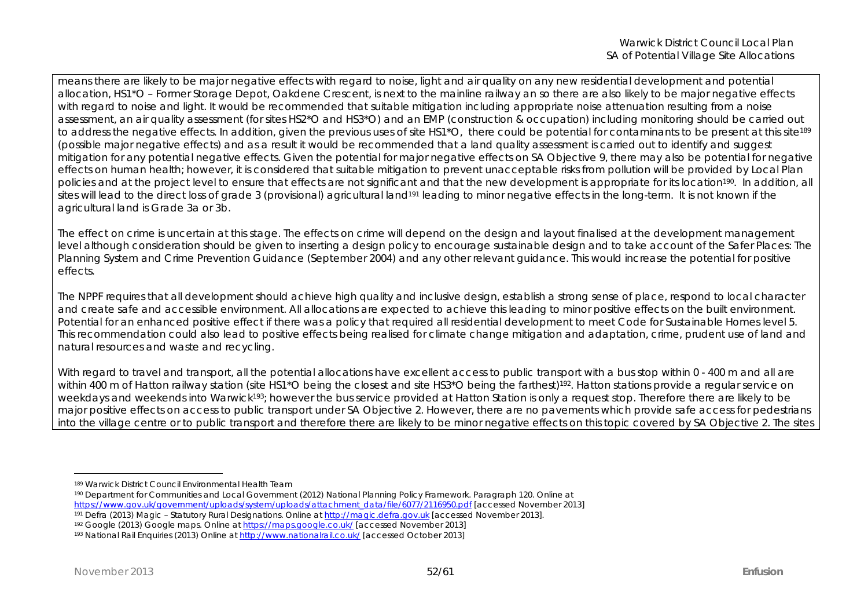means there are likely to be major negative effects with regard to noise, light and air quality on any new residential development and potential allocation, HS1\*O – Former Storage Depot, Oakdene Crescent, is next to the mainline railway an so there are also likely to be major negative effects with regard to noise and light. It would be recommended that suitable mitigation including appropriate noise attenuation resulting from a noise assessment, an air quality assessment (for sites HS2\*O and HS3\*O) and an EMP (construction & occupation) including monitoring should be carried out to address the negative effects. In addition, given the previous uses of site HS1\*O, there could be potential for contaminants to be present at this site189 (possible major negative effects) and as a result it would be recommended that a land quality assessment is carried out to identify and suggest mitigation for any potential negative effects. Given the potential for major negative effects on SA Objective 9, there may also be potential for negative effects on human health; however, it is considered that suitable mitigation to prevent unacceptable risks from pollution will be provided by Local Plan policies and at the project level to ensure that effects are not significant and that the new development is appropriate for its location<sup>190</sup>. In addition, all sites will lead to the direct loss of grade 3 (provisional) agricultural land<sup>191</sup> leading to minor negative effects in the long-term. It is not known if the agricultural land is Grade 3a or 3b.

The effect on crime is uncertain at this stage. The effects on crime will depend on the design and layout finalised at the development management level although consideration should be given to inserting a design policy to encourage sustainable design and to take account of the Safer Places: The Planning System and Crime Prevention Guidance (September 2004) and any other relevant guidance. This would increase the potential for positive effects.

The NPPF requires that all development should achieve high quality and inclusive design, establish a strong sense of place, respond to local character and create safe and accessible environment. All allocations are expected to achieve this leading to minor positive effects on the built environment. Potential for an enhanced positive effect if there was a policy that required all residential development to meet Code for Sustainable Homes level 5. This recommendation could also lead to positive effects being realised for climate change mitigation and adaptation, crime, prudent use of land and natural resources and waste and recycling.

With regard to travel and transport, all the potential allocations have excellent access to public transport with a bus stop within 0 - 400 m and all are within 400 m of Hatton railway station (site HS1\*O being the closest and site HS3\*O being the farthest)<sup>192</sup>. Hatton stations provide a regular service on weekdays and weekends into Warwick<sup>193</sup>; however the bus service provided at Hatton Station is only a request stop. Therefore there are likely to be major positive effects on access to public transport under SA Objective 2. However, there are no pavements which provide safe access for pedestrians into the village centre or to public transport and therefore there are likely to be minor negative effects on this topic covered by SA Objective 2. The sites

<sup>189</sup> Warwick District Council Environmental Health Team

<sup>190</sup> Department for Communities and Local Government (2012) National Planning Policy Framework. Paragraph 120. Online at https://www.gov.uk/government/uploads/system/uploads/attachment\_data/file/6077/2116950.pdf [accessed November 2013]

<sup>191</sup> Defra (2013) Magic – Statutory Rural Designations. Online at http://magic.defra.gov.uk [accessed November 2013].

<sup>192</sup> Google (2013) Google maps. Online at https://maps.google.co.uk/ [accessed November 2013]

<sup>193</sup> National Rail Enquiries (2013) Online at http://www.nationalrail.co.uk/ [accessed October 2013]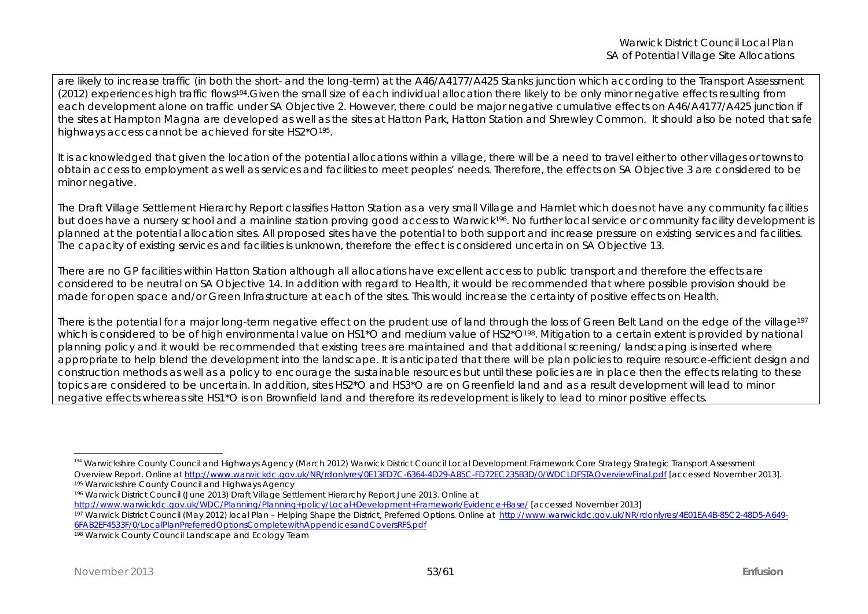are likely to increase traffic (in both the short- and the long-term) at the A46/A4177/A425 Stanks junction which according to the Transport Assessment (2012) experiences high traffic flows194.Given the small size of each individual allocation there likely to be only minor negative effects resulting from each development alone on traffic under SA Objective 2. However, there could be major negative cumulative effects on A46/A4177/A425 junction if the sites at Hampton Magna are developed as well as the sites at Hatton Park, Hatton Station and Shrewley Common. It should also be noted that safe highways access cannot be achieved for site HS2\*O<sup>195</sup>.

It is acknowledged that given the location of the potential allocations within a village, there will be a need to travel either to other villages or towns to obtain access to employment as well as services and facilities to meet peoples' needs. Therefore, the effects on SA Objective 3 are considered to be minor negative.

The Draft Village Settlement Hierarchy Report classifies Hatton Station as a very small Village and Hamlet which does not have any community facilities but does have a nursery school and a mainline station proving good access to Warwick<sup>196</sup>. No further local service or community facility development is planned at the potential allocation sites. All proposed sites have the potential to both support and increase pressure on existing services and facilities. The capacity of existing services and facilities is unknown, therefore the effect is considered uncertain on SA Objective 13.

There are no GP facilities within Hatton Station although all allocations have excellent access to public transport and therefore the effects are considered to be neutral on SA Objective 14. In addition with regard to Health, it would be recommended that where possible provision should be made for open space and/or Green Infrastructure at each of the sites. This would increase the certainty of positive effects on Health.

There is the potential for a major long-term negative effect on the prudent use of land through the loss of Green Belt Land on the edge of the village<sup>197</sup> which is considered to be of high environmental value on HS1<sup>\*</sup>O and medium value of HS2<sup>\*</sup>O<sup>198</sup>. Mitigation to a certain extent is provided by national planning policy and it would be recommended that existing trees are maintained and that additional screening/ landscaping is inserted where appropriate to help blend the development into the landscape. It is anticipated that there will be plan policies to require resource-efficient design and construction methods as well as a policy to encourage the sustainable resources but until these policies are in place then the effects relating to these topics are considered to be uncertain. In addition, sites HS2\*O and HS3\*O are on Greenfield land and as a result development will lead to minor negative effects whereas site HS1\*O is on Brownfield land and therefore its redevelopment is likely to lead to minor positive effects.

<sup>&</sup>lt;sup>194</sup> Warwickshire County Council and Highways Agency (March 2012) Warwick District Council Local Development Framework Core Strategy Strategic Transport Assessment Overview Report. Online at http://www.warwickdc.gov.uk/NR/rdonlyres/0E13ED7C-6364-4D29-A85C-FD72EC235B3D/0/WDCLDFSTAOverviewFinal.pdf [accessed November 2013]. 195 Warwickshire County Council and Highways Agency

<sup>196</sup> Warwick District Council (June 2013) Draft Village Settlement Hierarchy Report June 2013. Online at http://www.warwickdc.gov.uk/WDC/Planning/Planning+policy/Local+Development+Framework/Evidence+Base/ [accessed November 2013]

<sup>197</sup> Warwick District Council (May 2012) local Plan – Helping Shape the District, Preferred Options. Online at http://www.warwickdc.gov.uk/NR/rdonlyres/4E01EA4B-85C2-48D5-A649- 6FAB2EF4533F/0/LocalPlanPreferredOptionsCompletewithAppendicesandCoversRFS.pdf

<sup>198</sup> Warwick County Council Landscape and Ecology Team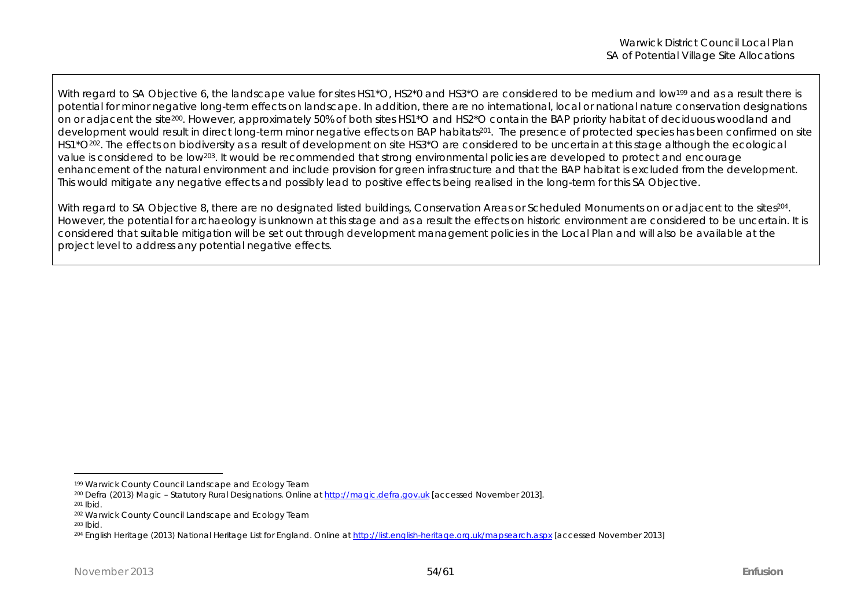With regard to SA Objective 6, the landscape value for sites HS1\*O, HS2\*0 and HS3\*O are considered to be medium and low<sup>199</sup> and as a result there is potential for minor negative long-term effects on landscape. In addition, there are no international, local or national nature conservation designations on or adjacent the site200. However, approximately 50% of both sites HS1\*O and HS2\*O contain the BAP priority habitat of deciduous woodland and development would result in direct long-term minor negative effects on BAP habitats<sup>201</sup>. The presence of protected species has been confirmed on site HS1<sup>\*</sup>O<sup>202</sup>. The effects on biodiversity as a result of development on site HS3<sup>\*</sup>O are considered to be uncertain at this stage although the ecological value is considered to be low203. It would be recommended that strong environmental policies are developed to protect and encourage enhancement of the natural environment and include provision for green infrastructure and that the BAP habitat is excluded from the development. This would mitigate any negative effects and possibly lead to positive effects being realised in the long-term for this SA Objective.

With regard to SA Objective 8, there are no designated listed buildings, Conservation Areas or Scheduled Monuments on or adjacent to the sites<sup>204</sup>. However, the potential for archaeology is unknown at this stage and as a result the effects on historic environment are considered to be uncertain. It is considered that suitable mitigation will be set out through development management policies in the Local Plan and will also be available at the project level to address any potential negative effects.

<sup>199</sup> Warwick County Council Landscape and Ecology Team

<sup>&</sup>lt;sup>200</sup> Defra (2013) Magic – Statutory Rural Designations. Online at http://magic.defra.gov.uk [accessed November 2013].

<sup>201</sup> Ibid.

<sup>202</sup> Warwick County Council Landscape and Ecology Team

<sup>203</sup> Ibid.

<sup>204</sup> English Heritage (2013) National Heritage List for England. Online at http://list.english-heritage.org.uk/mapsearch.aspx [accessed November 2013]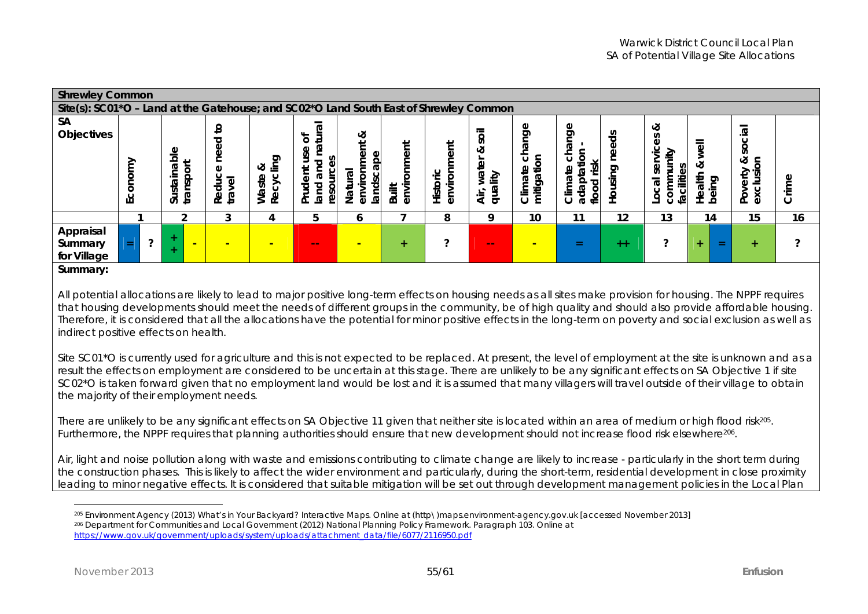| <b>Shrewley Common</b>                                                                 |          |                                                      |                                                                    |                                |                                                                                                      |                                                                                             |                         |                               |                                     |                                               |                                    |          |                                                                   |                      |                                                                       |    |
|----------------------------------------------------------------------------------------|----------|------------------------------------------------------|--------------------------------------------------------------------|--------------------------------|------------------------------------------------------------------------------------------------------|---------------------------------------------------------------------------------------------|-------------------------|-------------------------------|-------------------------------------|-----------------------------------------------|------------------------------------|----------|-------------------------------------------------------------------|----------------------|-----------------------------------------------------------------------|----|
| Site(s): SC01*O - Land at the Gatehouse; and SC02*O Land South East of Shrewley Common |          |                                                      |                                                                    |                                |                                                                                                      |                                                                                             |                         |                               |                                     |                                               |                                    |          |                                                                   |                      |                                                                       |    |
| <b>SA</b><br><b>Objectives</b>                                                         | 2<br>ш   | Φ<br><u>5</u><br>ω<br>ট<br>⊇.<br>transp<br>σ<br>Sust | ರ<br>duc<br>$\overline{\Phi}$<br>><br>$\overline{\mathbf{a}}$<br>Ř | ರಾ<br>∞<br>≔<br>Waste<br>Recyc | $\boldsymbol{\varpi}$<br>ъ<br>₽<br>Φ<br>v<br>న్<br>╘<br>Φ<br>Prud<br>o<br>ਹ<br>SÐ,<br>$\overline{a}$ | త<br>ēπ<br>Ф<br>$\frac{\Omega}{\Omega}$<br>Ф<br>ပ္တ<br>$\circ$<br>ミ<br>land<br>م<br>2<br>έë | onment<br>Built<br>envi | ent<br>Historic<br>১<br>envir | ㅎ<br>త<br>ater<br>quality<br>≳<br>ä | Φ<br>ihang<br>ڡٟ<br>≂<br>mitigat<br>Ø<br>Clim | Φ<br>ğ<br>৳<br>₫<br>Clim<br>ತ<br>₫ | ಕೆ<br>O) | ∞<br>n<br>Φ<br>⋾<br>n<br>S<br>faciliti<br>ಸ<br>ā<br>ğ<br><u>ۃ</u> | ∞<br>Health<br>being | <u>ത</u><br>Š.<br>త<br>⊂<br>Poverty<br>._<br>$\overline{v}$<br>ပ<br>δ | έ  |
|                                                                                        |          | າ                                                    | 3                                                                  | 4                              | 5                                                                                                    | O                                                                                           |                         | 8                             | Q                                   | 10                                            | 11                                 | 12       | 13                                                                | 14                   | 15                                                                    | 16 |
| Appraisal<br>Summary<br>for Village                                                    | ?<br>$=$ |                                                      |                                                                    | -                              | $\sim$ $\sim$                                                                                        |                                                                                             | ٠                       | 2                             | $\sim$ $\sim$                       |                                               | $=$                                | $+ +$    | 2                                                                 | $=$<br>$\pm$         |                                                                       | ◠  |

# **Summary:**

All potential allocations are likely to lead to major positive long-term effects on housing needs as all sites make provision for housing. The NPPF requires that housing developments should meet the needs of different groups in the community, be of high quality and should also provide affordable housing. Therefore, it is considered that all the allocations have the potential for minor positive effects in the long-term on poverty and social exclusion as well as indirect positive effects on health.

Site SC01<sup>\*</sup>O is currently used for agriculture and this is not expected to be replaced. At present, the level of employment at the site is unknown and as a result the effects on employment are considered to be uncertain at this stage. There are unlikely to be any significant effects on SA Objective 1 if site SC02<sup>\*</sup>O is taken forward given that no employment land would be lost and it is assumed that many villagers will travel outside of their village to obtain the majority of their employment needs.

There are unlikely to be any significant effects on SA Objective 11 given that neither site is located within an area of medium or high flood risk<sup>205</sup>. Furthermore, the NPPF requires that planning authorities should ensure that new development should not increase flood risk elsewhere<sup>206</sup>.

Air, light and noise pollution along with waste and emissions contributing to climate change are likely to increase - particularly in the short term during the construction phases. This is likely to affect the wider environment and particularly, during the short-term, residential development in close proximity leading to minor negative effects. It is considered that suitable mitigation will be set out through development management policies in the Local Plan

<sup>205</sup> Environment Agency (2013) What's in Your Backyard? Interactive Maps. Online at (http\)maps.environment-agency.gov.uk [accessed November 2013] 206 Department for Communities and Local Government (2012) National Planning Policy Framework. Paragraph 103. Online at https://www.gov.uk/government/uploads/system/uploads/attachment\_data/file/6077/2116950.pdf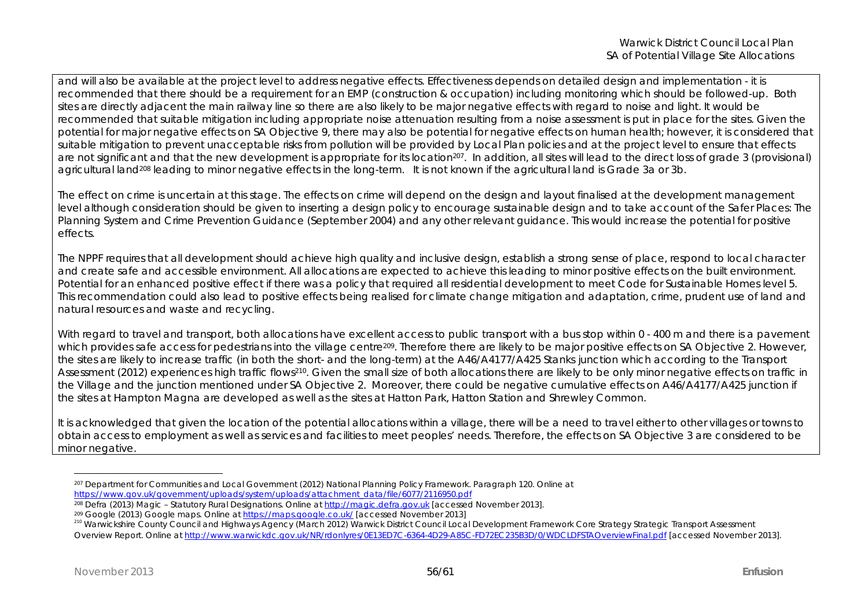and will also be available at the project level to address negative effects. Effectiveness depends on detailed design and implementation - it is recommended that there should be a requirement for an EMP (construction & occupation) including monitoring which should be followed-up. Both sites are directly adjacent the main railway line so there are also likely to be major negative effects with regard to noise and light. It would be recommended that suitable mitigation including appropriate noise attenuation resulting from a noise assessment is put in place for the sites. Given the potential for major negative effects on SA Objective 9, there may also be potential for negative effects on human health; however, it is considered that suitable mitigation to prevent unacceptable risks from pollution will be provided by Local Plan policies and at the project level to ensure that effects are not significant and that the new development is appropriate for its location<sup>207</sup>. In addition, all sites will lead to the direct loss of grade 3 (provisional) agricultural land208 leading to minor negative effects in the long-term. It is not known if the agricultural land is Grade 3a or 3b.

The effect on crime is uncertain at this stage. The effects on crime will depend on the design and layout finalised at the development management level although consideration should be given to inserting a design policy to encourage sustainable design and to take account of the Safer Places: The Planning System and Crime Prevention Guidance (September 2004) and any other relevant guidance. This would increase the potential for positive effects.

The NPPF requires that all development should achieve high quality and inclusive design, establish a strong sense of place, respond to local character and create safe and accessible environment. All allocations are expected to achieve this leading to minor positive effects on the built environment. Potential for an enhanced positive effect if there was a policy that required all residential development to meet Code for Sustainable Homes level 5. This recommendation could also lead to positive effects being realised for climate change mitigation and adaptation, crime, prudent use of land and natural resources and waste and recycling.

With regard to travel and transport, both allocations have excellent access to public transport with a bus stop within 0 - 400 m and there is a pavement which provides safe access for pedestrians into the village centre<sup>209</sup>. Therefore there are likely to be major positive effects on SA Objective 2. However, the sites are likely to increase traffic (in both the short- and the long-term) at the A46/A4177/A425 Stanks junction which according to the Transport Assessment (2012) experiences high traffic flows<sup>210</sup>. Given the small size of both allocations there are likely to be only minor negative effects on traffic in the Village and the junction mentioned under SA Objective 2. Moreover, there could be negative cumulative effects on A46/A4177/A425 junction if the sites at Hampton Magna are developed as well as the sites at Hatton Park, Hatton Station and Shrewley Common.

It is acknowledged that given the location of the potential allocations within a village, there will be a need to travel either to other villages or towns to obtain access to employment as well as services and facilities to meet peoples' needs. Therefore, the effects on SA Objective 3 are considered to be minor negative.

<sup>207</sup> Department for Communities and Local Government (2012) National Planning Policy Framework. Paragraph 120. Online at https://www.gov.uk/government/uploads/system/uploads/attachment\_data/file/6077/2116950.pdf

<sup>208</sup> Defra (2013) Magic – Statutory Rural Designations. Online at http://magic.defra.gov.uk [accessed November 2013].

<sup>209</sup> Google (2013) Google maps. Online at https://maps.google.co.uk/ [accessed November 2013]

<sup>&</sup>lt;sup>210</sup> Warwickshire County Council and Highways Agency (March 2012) Warwick District Council Local Development Framework Core Strategy Strategic Transport Assessment Overview Report. Online at http://www.warwickdc.gov.uk/NR/rdonlyres/0E13ED7C-6364-4D29-A85C-FD72EC235B3D/0/WDCLDFSTAOverviewFinal.pdf [accessed November 2013].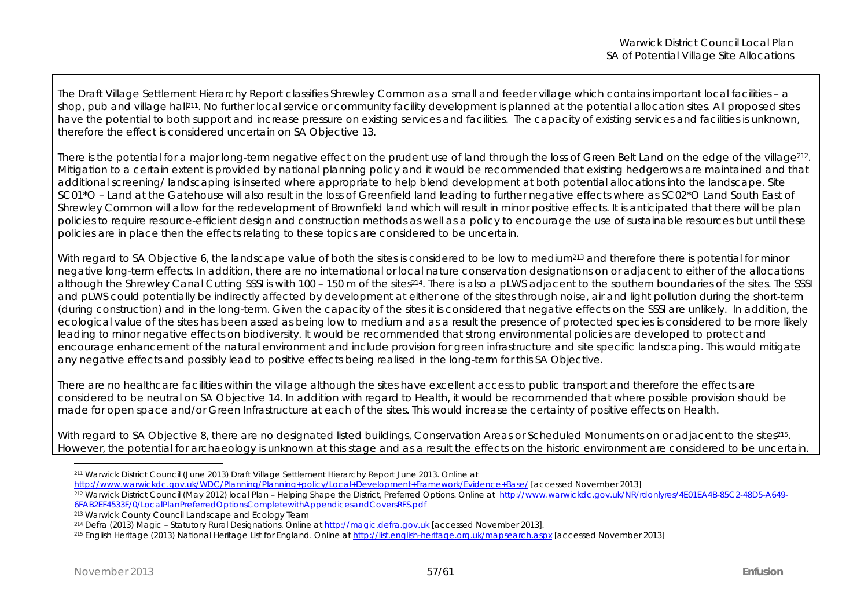The Draft Village Settlement Hierarchy Report classifies Shrewley Common as a small and feeder village which contains important local facilities – a shop, pub and village hall<sup>211</sup>. No further local service or community facility development is planned at the potential allocation sites. All proposed sites have the potential to both support and increase pressure on existing services and facilities. The capacity of existing services and facilities is unknown, therefore the effect is considered uncertain on SA Objective 13.

There is the potential for a major long-term negative effect on the prudent use of land through the loss of Green Belt Land on the edge of the village212. Mitigation to a certain extent is provided by national planning policy and it would be recommended that existing hedgerows are maintained and that additional screening/ landscaping is inserted where appropriate to help blend development at both potential allocations into the landscape. Site SC01\*O – Land at the Gatehouse will also result in the loss of Greenfield land leading to further negative effects where as SC02\*O Land South East of Shrewley Common will allow for the redevelopment of Brownfield land which will result in minor positive effects. It is anticipated that there will be plan policies to require resource-efficient design and construction methods as well as a policy to encourage the use of sustainable resources but until these policies are in place then the effects relating to these topics are considered to be uncertain.

With regard to SA Objective 6, the landscape value of both the sites is considered to be low to medium<sup>213</sup> and therefore there is potential for minor negative long-term effects. In addition, there are no international or local nature conservation designations on or adjacent to either of the allocations although the Shrewley Canal Cutting SSSI is with 100 – 150 m of the sites<sup>214</sup>. There is also a pLWS adjacent to the southern boundaries of the sites. The SSSI and pLWS could potentially be indirectly affected by development at either one of the sites through noise, air and light pollution during the short-term (during construction) and in the long-term. Given the capacity of the sites it is considered that negative effects on the SSSI are unlikely. In addition, the ecological value of the sites has been assed as being low to medium and as a result the presence of protected species is considered to be more likely leading to minor negative effects on biodiversity. It would be recommended that strong environmental policies are developed to protect and encourage enhancement of the natural environment and include provision for green infrastructure and site specific landscaping. This would mitigate any negative effects and possibly lead to positive effects being realised in the long-term for this SA Objective.

There are no healthcare facilities within the village although the sites have excellent access to public transport and therefore the effects are considered to be neutral on SA Objective 14. In addition with regard to Health, it would be recommended that where possible provision should be made for open space and/or Green Infrastructure at each of the sites. This would increase the certainty of positive effects on Health.

With regard to SA Objective 8, there are no designated listed buildings, Conservation Areas or Scheduled Monuments on or adjacent to the sites<sup>215</sup>. However, the potential for archaeology is unknown at this stage and as a result the effects on the historic environment are considered to be uncertain.

<sup>211</sup> Warwick District Council (June 2013) Draft Village Settlement Hierarchy Report June 2013. Online at

http://www.warwickdc.gov.uk/WDC/Planning/Planning+policy/Local+Development+Framework/Evidence+Base/ [accessed November 2013]

<sup>212</sup> Warwick District Council (May 2012) local Plan – Helping Shape the District, Preferred Options. Online at http://www.warwickdc.gov.uk/NR/rdonlyres/4E01EA4B-85C2-48D5-A649-6FAB2EF4533F/0/LocalPlanPreferredOptionsCompletewithAppendicesandCoversRFS.pdf

<sup>213</sup> Warwick County Council Landscape and Ecology Team

<sup>214</sup> Defra (2013) Magic – Statutory Rural Designations. Online at http://magic.defra.gov.uk [accessed November 2013].

<sup>215</sup> English Heritage (2013) National Heritage List for England. Online at http://list.english-heritage.org.uk/mapsearch.aspx [accessed November 2013]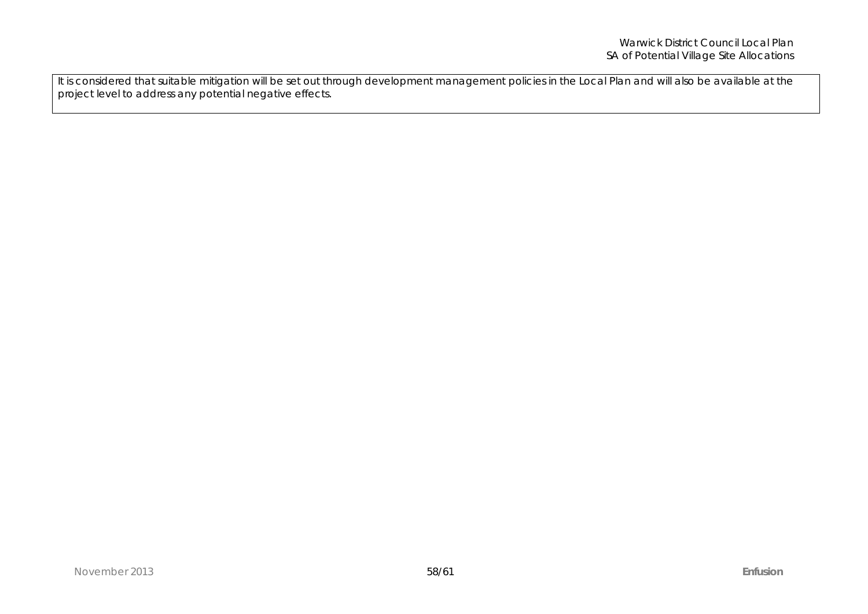It is considered that suitable mitigation will be set out through development management policies in the Local Plan and will also be available at the project level to address any potential negative effects.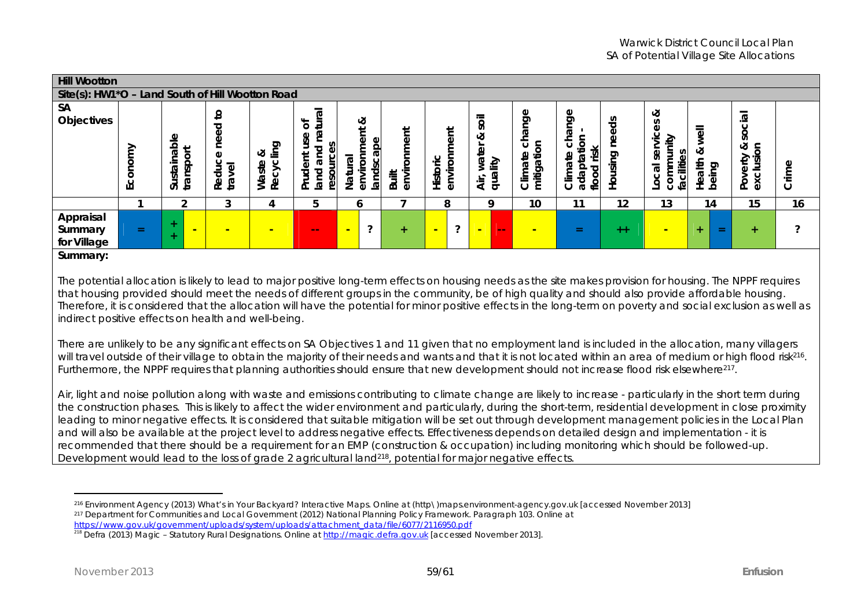| <b>Hill Wootton</b>                              |             |                                             |                                                        |                                |                                                                                                     |                                                                      |                      |                                 |                                                                                                    |                                 |                                                                          |                        |                                                                                        |                                                                   |                                        |       |
|--------------------------------------------------|-------------|---------------------------------------------|--------------------------------------------------------|--------------------------------|-----------------------------------------------------------------------------------------------------|----------------------------------------------------------------------|----------------------|---------------------------------|----------------------------------------------------------------------------------------------------|---------------------------------|--------------------------------------------------------------------------|------------------------|----------------------------------------------------------------------------------------|-------------------------------------------------------------------|----------------------------------------|-------|
| Site(s): HW1*O - Land South of Hill Wootton Road |             |                                             |                                                        |                                |                                                                                                     |                                                                      |                      |                                 |                                                                                                    |                                 |                                                                          |                        |                                                                                        |                                                                   |                                        |       |
| <b>SA</b><br><b>Objectives</b>                   | nomy<br>ပ္ပ | $\frac{e}{\alpha}$<br>transport<br>Sustaina | $\overline{5}$<br>ರ<br>D<br>ρ<br>Φ<br>Reduce<br>travel | ರಾ<br>∞<br>≐<br>Waste<br>Recyc | $\overline{\mathfrak{a}}$<br>Ĕ<br>৳<br>g<br>use<br>စိ<br>ठ<br>Prudent<br>ã<br><b>Sinosa</b><br>land | ∞<br>ent<br>landscape<br>≻<br>-<br>ŏ<br><b>G</b><br>Ĕ<br>envir<br>πā | environment<br>Built | ent<br>-<br>Historic<br>enviror | $\overline{\overline{6}}$<br>Ō<br>త<br>ater<br>quality<br>Š<br>$\overline{\phantom{0}}$<br>∸.<br>⋖ | change<br>mitigation<br>Climate | pp<br>char<br>tation<br>Climate<br>÷<br>٥<br>ada<br>$\tilde{\mathbf{5}}$ | eds<br>₫<br>using<br>오 | త<br>hunity<br>٠<br>ه<br>ő<br>割<br>comn<br>$\overline{\sigma}$<br>ن<br>9<br><u>[ac</u> | $\overline{\overline{\Phi}}$<br>⋧<br>త<br>dili<br>Health<br>being | cial<br>Š<br>త<br>exclusion<br>Poverty | Crime |
|                                                  |             | າ                                           | 3                                                      | 4                              | 5                                                                                                   | <sub>o</sub>                                                         |                      | 8                               | 9                                                                                                  | 10                              | 11                                                                       | 12                     | 13                                                                                     | 14                                                                | 15                                     | 16    |
| Appraisal<br>Summary<br>for Village              | $=$         | $+$<br>$+$                                  |                                                        | -                              | $\sim$ $-$                                                                                          | 2<br>$\overline{\phantom{a}}$                                        | ÷                    | 2<br>$\blacksquare$             | $-$<br>-                                                                                           |                                 | $=$                                                                      | $++$                   | $\blacksquare$                                                                         | $=$<br>$\pm$                                                      |                                        | っ     |
| Summary:                                         |             |                                             |                                                        |                                |                                                                                                     |                                                                      |                      |                                 |                                                                                                    |                                 |                                                                          |                        |                                                                                        |                                                                   |                                        |       |

The potential allocation is likely to lead to major positive long-term effects on housing needs as the site makes provision for housing. The NPPF requires that housing provided should meet the needs of different groups in the community, be of high quality and should also provide affordable housing. Therefore, it is considered that the allocation will have the potential for minor positive effects in the long-term on poverty and social exclusion as well as indirect positive effects on health and well-being.

There are unlikely to be any significant effects on SA Objectives 1 and 11 given that no employment land is included in the allocation, many villagers will travel outside of their village to obtain the majority of their needs and wants and that it is not located within an area of medium or high flood risk<sup>216</sup>. Furthermore, the NPPF requires that planning authorities should ensure that new development should not increase flood risk elsewhere<sup>217</sup>.

Air, light and noise pollution along with waste and emissions contributing to climate change are likely to increase - particularly in the short term during the construction phases. This is likely to affect the wider environment and particularly, during the short-term, residential development in close proximity leading to minor negative effects. It is considered that suitable mitigation will be set out through development management policies in the Local Plan and will also be available at the project level to address negative effects. Effectiveness depends on detailed design and implementation - it is recommended that there should be a requirement for an EMP (construction & occupation) including monitoring which should be followed-up. Development would lead to the loss of grade 2 agricultural land<sup>218</sup>, potential for major negative effects.

<sup>216</sup> Environment Agency (2013) What's in Your Backyard? Interactive Maps. Online at (http\)maps.environment-agency.gov.uk [accessed November 2013] 217 Department for Communities and Local Government (2012) National Planning Policy Framework. Paragraph 103. Online at

https://www.gov.uk/government/uploads/system/uploads/attachment\_data/file/6077/2116950.pdf

<sup>&</sup>lt;sup>218</sup> Defra (2013) Magic - Statutory Rural Designations. Online at http://magic.defra.gov.uk [accessed November 2013].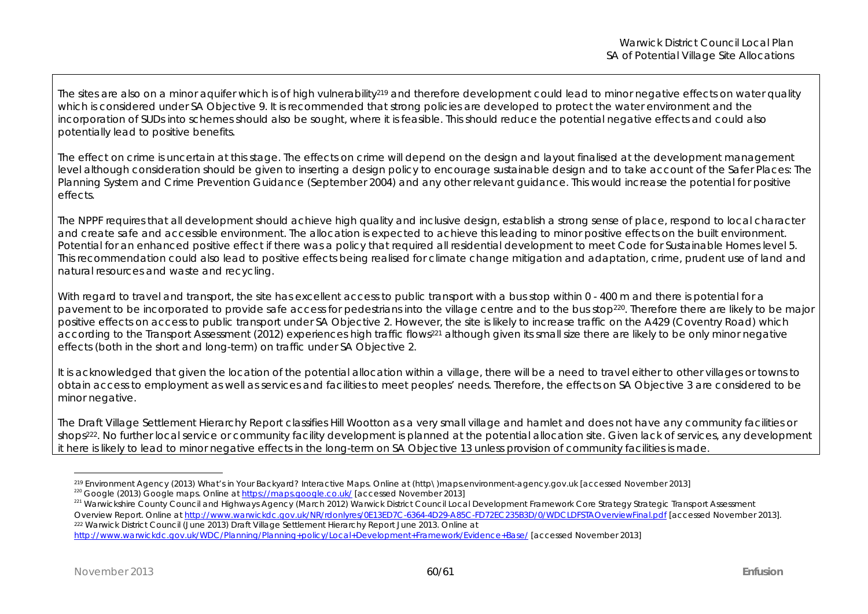The sites are also on a minor aquifer which is of high vulnerability<sup>219</sup> and therefore development could lead to minor negative effects on water quality which is considered under SA Objective 9. It is recommended that strong policies are developed to protect the water environment and the incorporation of SUDs into schemes should also be sought, where it is feasible. This should reduce the potential negative effects and could also potentially lead to positive benefits.

The effect on crime is uncertain at this stage. The effects on crime will depend on the design and layout finalised at the development management level although consideration should be given to inserting a design policy to encourage sustainable design and to take account of the Safer Places: The Planning System and Crime Prevention Guidance (September 2004) and any other relevant guidance. This would increase the potential for positive effects.

The NPPF requires that all development should achieve high quality and inclusive design, establish a strong sense of place, respond to local character and create safe and accessible environment. The allocation is expected to achieve this leading to minor positive effects on the built environment. Potential for an enhanced positive effect if there was a policy that required all residential development to meet Code for Sustainable Homes level 5. This recommendation could also lead to positive effects being realised for climate change mitigation and adaptation, crime, prudent use of land and natural resources and waste and recycling.

With regard to travel and transport, the site has excellent access to public transport with a bus stop within 0 - 400 m and there is potential for a pavement to be incorporated to provide safe access for pedestrians into the village centre and to the bus stop<sup>220</sup>. Therefore there are likely to be major positive effects on access to public transport under SA Objective 2. However, the site is likely to increase traffic on the A429 (Coventry Road) which according to the Transport Assessment (2012) experiences high traffic flows<sup>221</sup> although given its small size there are likely to be only minor negative effects (both in the short and long-term) on traffic under SA Objective 2.

It is acknowledged that given the location of the potential allocation within a village, there will be a need to travel either to other villages or towns to obtain access to employment as well as services and facilities to meet peoples' needs. Therefore, the effects on SA Objective 3 are considered to be minor negative.

The Draft Village Settlement Hierarchy Report classifies Hill Wootton as a very small village and hamlet and does not have any community facilities or shops<sup>222</sup>. No further local service or community facility development is planned at the potential allocation site. Given lack of services, any development it here is likely to lead to minor negative effects in the long-term on SA Objective 13 unless provision of community facilities is made.

<sup>219</sup> Environment Agency (2013) What's in Your Backyard? Interactive Maps. Online at (http\)maps.environment-agency.gov.uk [accessed November 2013]

<sup>&</sup>lt;sup>220</sup> Google (2013) Google maps. Online at <u>https://maps.google.co.uk/</u> [accessed November 2013]

<sup>&</sup>lt;sup>221</sup> Warwickshire County Council and Highways Agency (March 2012) Warwick District Council Local Development Framework Core Strategy Strategic Transport Assessment Overview Report. Online at http://www.warwickdc.gov.uk/NR/rdonlyres/0E13ED7C-6364-4D29-A85C-FD72EC235B3D/0/WDCLDFSTAOverviewFinal.pdf [accessed November 2013]. 222 Warwick District Council (June 2013) Draft Village Settlement Hierarchy Report June 2013. Online at

http://www.warwickdc.gov.uk/WDC/Planning/Planning+policy/Local+Development+Framework/Evidence+Base/ [accessed November 2013]